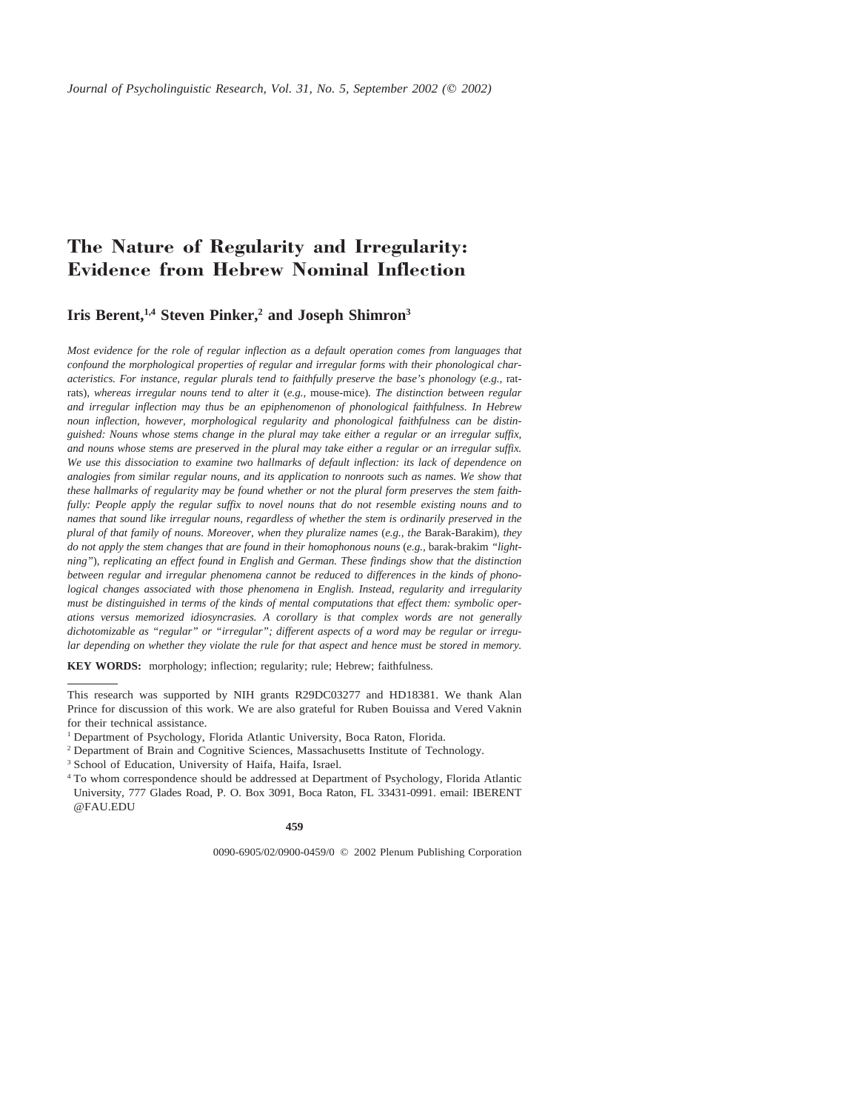# **The Nature of Regularity and Irregularity: Evidence from Hebrew Nominal Inflection**

## **Iris Berent,1,4 Steven Pinker,2 and Joseph Shimron3**

*Most evidence for the role of regular inflection as a default operation comes from languages that confound the morphological properties of regular and irregular forms with their phonological characteristics. For instance, regular plurals tend to faithfully preserve the base's phonology* (*e.g.,* ratrats)*, whereas irregular nouns tend to alter it* (*e.g.,* mouse-mice)*. The distinction between regular and irregular inflection may thus be an epiphenomenon of phonological faithfulness. In Hebrew noun inflection, however, morphological regularity and phonological faithfulness can be distinguished: Nouns whose stems change in the plural may take either a regular or an irregular suffix, and nouns whose stems are preserved in the plural may take either a regular or an irregular suffix. We use this dissociation to examine two hallmarks of default inflection: its lack of dependence on analogies from similar regular nouns, and its application to nonroots such as names. We show that these hallmarks of regularity may be found whether or not the plural form preserves the stem faithfully: People apply the regular suffix to novel nouns that do not resemble existing nouns and to names that sound like irregular nouns, regardless of whether the stem is ordinarily preserved in the plural of that family of nouns. Moreover, when they pluralize names* (*e.g., the* Barak-Barakim)*, they do not apply the stem changes that are found in their homophonous nouns* (*e.g.,* barak-brakim *"lightning"*)*, replicating an effect found in English and German. These findings show that the distinction between regular and irregular phenomena cannot be reduced to differences in the kinds of phonological changes associated with those phenomena in English. Instead, regularity and irregularity must be distinguished in terms of the kinds of mental computations that effect them: symbolic operations versus memorized idiosyncrasies. A corollary is that complex words are not generally dichotomizable as "regular" or "irregular"; different aspects of a word may be regular or irregular depending on whether they violate the rule for that aspect and hence must be stored in memory.*

**KEY WORDS:** morphology; inflection; regularity; rule; Hebrew; faithfulness.

This research was supported by NIH grants R29DC03277 and HD18381. We thank Alan Prince for discussion of this work. We are also grateful for Ruben Bouissa and Vered Vaknin for their technical assistance.

<sup>1</sup> Department of Psychology, Florida Atlantic University, Boca Raton, Florida.

<sup>2</sup> Department of Brain and Cognitive Sciences, Massachusetts Institute of Technology.

<sup>3</sup> School of Education, University of Haifa, Haifa, Israel.

<sup>4</sup> To whom correspondence should be addressed at Department of Psychology, Florida Atlantic University, 777 Glades Road, P. O. Box 3091, Boca Raton, FL 33431-0991. email: IBERENT @FAU.EDU

**459**

0090-6905/02/0900-0459/0 © 2002 Plenum Publishing Corporation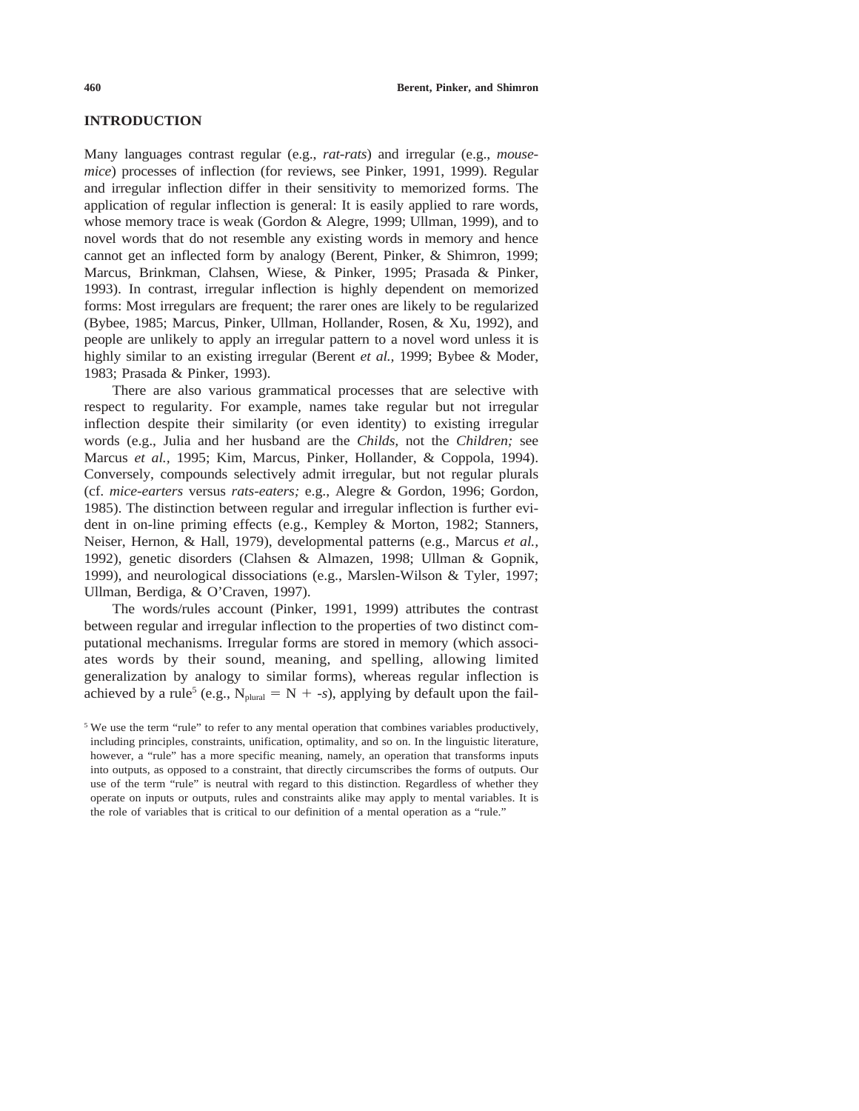## **INTRODUCTION**

Many languages contrast regular (e.g., *rat-rats*) and irregular (e.g., *mousemice*) processes of inflection (for reviews, see Pinker, 1991, 1999). Regular and irregular inflection differ in their sensitivity to memorized forms. The application of regular inflection is general: It is easily applied to rare words, whose memory trace is weak (Gordon & Alegre, 1999; Ullman, 1999), and to novel words that do not resemble any existing words in memory and hence cannot get an inflected form by analogy (Berent, Pinker, & Shimron, 1999; Marcus, Brinkman, Clahsen, Wiese, & Pinker, 1995; Prasada & Pinker, 1993). In contrast, irregular inflection is highly dependent on memorized forms: Most irregulars are frequent; the rarer ones are likely to be regularized (Bybee, 1985; Marcus, Pinker, Ullman, Hollander, Rosen, & Xu, 1992), and people are unlikely to apply an irregular pattern to a novel word unless it is highly similar to an existing irregular (Berent *et al.,* 1999; Bybee & Moder, 1983; Prasada & Pinker, 1993).

There are also various grammatical processes that are selective with respect to regularity. For example, names take regular but not irregular inflection despite their similarity (or even identity) to existing irregular words (e.g., Julia and her husband are the *Childs,* not the *Children;* see Marcus *et al.,* 1995; Kim, Marcus, Pinker, Hollander, & Coppola, 1994). Conversely, compounds selectively admit irregular, but not regular plurals (cf. *mice-earters* versus *rats-eaters;* e.g., Alegre & Gordon, 1996; Gordon, 1985). The distinction between regular and irregular inflection is further evident in on-line priming effects (e.g., Kempley & Morton, 1982; Stanners, Neiser, Hernon, & Hall, 1979), developmental patterns (e.g., Marcus *et al.,* 1992), genetic disorders (Clahsen & Almazen, 1998; Ullman & Gopnik, 1999), and neurological dissociations (e.g., Marslen-Wilson & Tyler, 1997; Ullman, Berdiga, & O'Craven, 1997).

The words/rules account (Pinker, 1991, 1999) attributes the contrast between regular and irregular inflection to the properties of two distinct computational mechanisms. Irregular forms are stored in memory (which associates words by their sound, meaning, and spelling, allowing limited generalization by analogy to similar forms), whereas regular inflection is achieved by a rule<sup>5</sup> (e.g.,  $N_{\text{plural}} = N + -s$ ), applying by default upon the fail-

<sup>&</sup>lt;sup>5</sup> We use the term "rule" to refer to any mental operation that combines variables productively, including principles, constraints, unification, optimality, and so on. In the linguistic literature, however, a "rule" has a more specific meaning, namely, an operation that transforms inputs into outputs, as opposed to a constraint, that directly circumscribes the forms of outputs. Our use of the term "rule" is neutral with regard to this distinction. Regardless of whether they operate on inputs or outputs, rules and constraints alike may apply to mental variables. It is the role of variables that is critical to our definition of a mental operation as a "rule."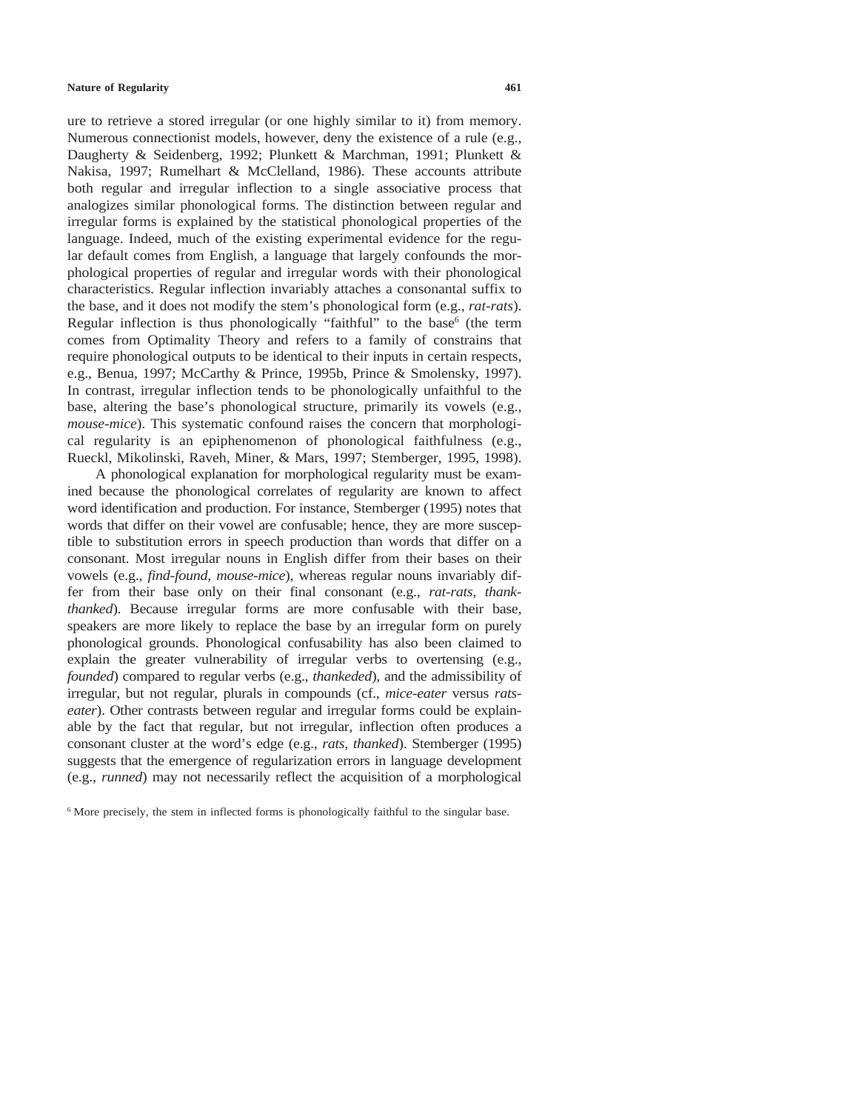ure to retrieve a stored irregular (or one highly similar to it) from memory. Numerous connectionist models, however, deny the existence of a rule (e.g., Daugherty & Seidenberg, 1992; Plunkett & Marchman, 1991; Plunkett & Nakisa, 1997; Rumelhart & McClelland, 1986). These accounts attribute both regular and irregular inflection to a single associative process that analogizes similar phonological forms. The distinction between regular and irregular forms is explained by the statistical phonological properties of the language. Indeed, much of the existing experimental evidence for the regular default comes from English, a language that largely confounds the morphological properties of regular and irregular words with their phonological characteristics. Regular inflection invariably attaches a consonantal suffix to the base, and it does not modify the stem's phonological form (e.g., *rat-rats*). Regular inflection is thus phonologically "faithful" to the base $<sup>6</sup>$  (the term</sup> comes from Optimality Theory and refers to a family of constrains that require phonological outputs to be identical to their inputs in certain respects, e.g., Benua, 1997; McCarthy & Prince, 1995b, Prince & Smolensky, 1997). In contrast, irregular inflection tends to be phonologically unfaithful to the base, altering the base's phonological structure, primarily its vowels (e.g., *mouse-mice*). This systematic confound raises the concern that morphological regularity is an epiphenomenon of phonological faithfulness (e.g., Rueckl, Mikolinski, Raveh, Miner, & Mars, 1997; Stemberger, 1995, 1998).

A phonological explanation for morphological regularity must be examined because the phonological correlates of regularity are known to affect word identification and production. For instance, Stemberger (1995) notes that words that differ on their vowel are confusable; hence, they are more susceptible to substitution errors in speech production than words that differ on a consonant. Most irregular nouns in English differ from their bases on their vowels (e.g., *find-found, mouse-mice*), whereas regular nouns invariably differ from their base only on their final consonant (e.g., *rat-rats, thankthanked*). Because irregular forms are more confusable with their base, speakers are more likely to replace the base by an irregular form on purely phonological grounds. Phonological confusability has also been claimed to explain the greater vulnerability of irregular verbs to overtensing (e.g., *founded*) compared to regular verbs (e.g., *thankeded*), and the admissibility of irregular, but not regular, plurals in compounds (cf., *mice-eater* versus *ratseater*). Other contrasts between regular and irregular forms could be explainable by the fact that regular, but not irregular, inflection often produces a consonant cluster at the word's edge (e.g., *rats, thanked*). Stemberger (1995) suggests that the emergence of regularization errors in language development (e.g., *runned*) may not necessarily reflect the acquisition of a morphological

<sup>6</sup> More precisely, the stem in inflected forms is phonologically faithful to the singular base.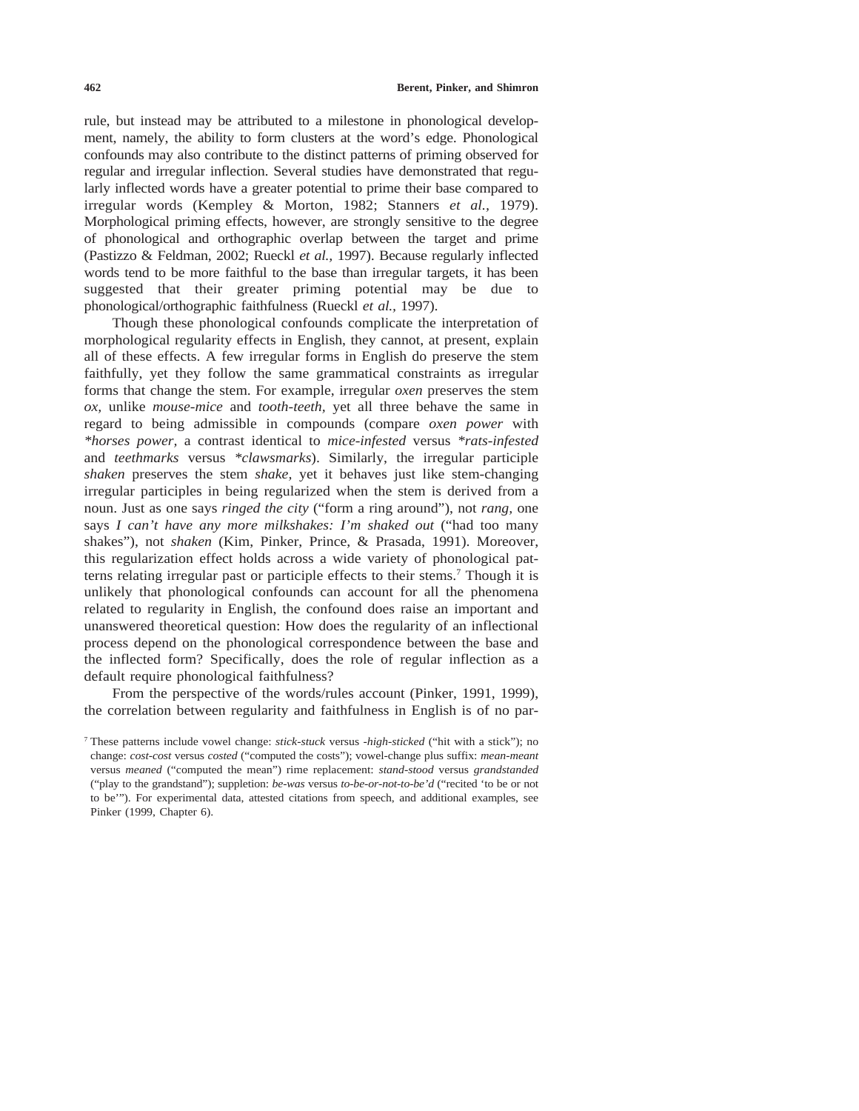rule, but instead may be attributed to a milestone in phonological development, namely, the ability to form clusters at the word's edge. Phonological confounds may also contribute to the distinct patterns of priming observed for regular and irregular inflection. Several studies have demonstrated that regularly inflected words have a greater potential to prime their base compared to irregular words (Kempley & Morton, 1982; Stanners *et al.,* 1979). Morphological priming effects, however, are strongly sensitive to the degree of phonological and orthographic overlap between the target and prime (Pastizzo & Feldman, 2002; Rueckl *et al.,* 1997). Because regularly inflected words tend to be more faithful to the base than irregular targets, it has been suggested that their greater priming potential may be due to phonological/orthographic faithfulness (Rueckl *et al.,* 1997).

Though these phonological confounds complicate the interpretation of morphological regularity effects in English, they cannot, at present, explain all of these effects. A few irregular forms in English do preserve the stem faithfully, yet they follow the same grammatical constraints as irregular forms that change the stem. For example, irregular *oxen* preserves the stem *ox,* unlike *mouse-mice* and *tooth-teeth,* yet all three behave the same in regard to being admissible in compounds (compare *oxen power* with *\*horses power,* a contrast identical to *mice-infested* versus *\*rats-infested* and *teethmarks* versus *\*clawsmarks*). Similarly, the irregular participle *shaken* preserves the stem *shake,* yet it behaves just like stem-changing irregular participles in being regularized when the stem is derived from a noun. Just as one says *ringed the city* ("form a ring around"), not *rang,* one says *I can't have any more milkshakes: I'm shaked out* ("had too many shakes"), not *shaken* (Kim, Pinker, Prince, & Prasada, 1991). Moreover, this regularization effect holds across a wide variety of phonological patterns relating irregular past or participle effects to their stems.7 Though it is unlikely that phonological confounds can account for all the phenomena related to regularity in English, the confound does raise an important and unanswered theoretical question: How does the regularity of an inflectional process depend on the phonological correspondence between the base and the inflected form? Specifically, does the role of regular inflection as a default require phonological faithfulness?

From the perspective of the words/rules account (Pinker, 1991, 1999), the correlation between regularity and faithfulness in English is of no par-

<sup>7</sup> These patterns include vowel change: *stick-stuck* versus *-high-sticked* ("hit with a stick"); no change: *cost-cost* versus *costed* ("computed the costs"); vowel-change plus suffix: *mean-meant* versus *meaned* ("computed the mean") rime replacement: *stand-stood* versus *grandstanded* ("play to the grandstand"); suppletion: *be-was* versus *to-be-or-not-to-be'd* ("recited 'to be or not to be'"). For experimental data, attested citations from speech, and additional examples, see Pinker (1999, Chapter 6).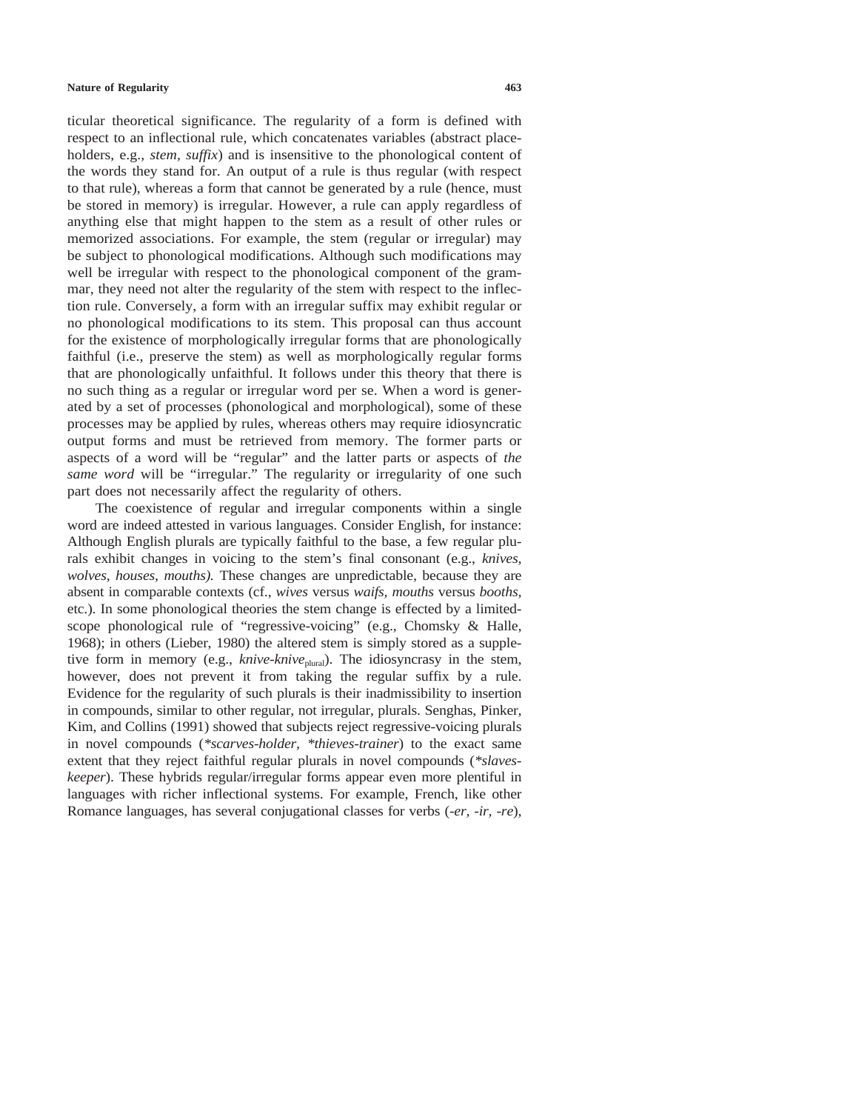ticular theoretical significance. The regularity of a form is defined with respect to an inflectional rule, which concatenates variables (abstract placeholders, e.g., *stem, suffix*) and is insensitive to the phonological content of the words they stand for. An output of a rule is thus regular (with respect to that rule), whereas a form that cannot be generated by a rule (hence, must be stored in memory) is irregular. However, a rule can apply regardless of anything else that might happen to the stem as a result of other rules or memorized associations. For example, the stem (regular or irregular) may be subject to phonological modifications. Although such modifications may well be irregular with respect to the phonological component of the grammar, they need not alter the regularity of the stem with respect to the inflection rule. Conversely, a form with an irregular suffix may exhibit regular or no phonological modifications to its stem. This proposal can thus account for the existence of morphologically irregular forms that are phonologically faithful (i.e., preserve the stem) as well as morphologically regular forms that are phonologically unfaithful. It follows under this theory that there is no such thing as a regular or irregular word per se. When a word is generated by a set of processes (phonological and morphological), some of these processes may be applied by rules, whereas others may require idiosyncratic output forms and must be retrieved from memory. The former parts or aspects of a word will be "regular" and the latter parts or aspects of *the same word* will be "irregular." The regularity or irregularity of one such part does not necessarily affect the regularity of others.

The coexistence of regular and irregular components within a single word are indeed attested in various languages. Consider English, for instance: Although English plurals are typically faithful to the base, a few regular plurals exhibit changes in voicing to the stem's final consonant (e.g., *knives, wolves, houses, mouths).* These changes are unpredictable, because they are absent in comparable contexts (cf., *wives* versus *waifs, mouths* versus *booths,* etc.). In some phonological theories the stem change is effected by a limitedscope phonological rule of "regressive-voicing" (e.g., Chomsky & Halle, 1968); in others (Lieber, 1980) the altered stem is simply stored as a suppletive form in memory (e.g., *knive-knive*<sub>plural</sub>). The idiosyncrasy in the stem, however, does not prevent it from taking the regular suffix by a rule. Evidence for the regularity of such plurals is their inadmissibility to insertion in compounds, similar to other regular, not irregular, plurals. Senghas, Pinker, Kim, and Collins (1991) showed that subjects reject regressive-voicing plurals in novel compounds (*\*scarves-holder, \*thieves-trainer*) to the exact same extent that they reject faithful regular plurals in novel compounds (*\*slaveskeeper*). These hybrids regular/irregular forms appear even more plentiful in languages with richer inflectional systems. For example, French, like other Romance languages, has several conjugational classes for verbs (*-er, -ir, -re*),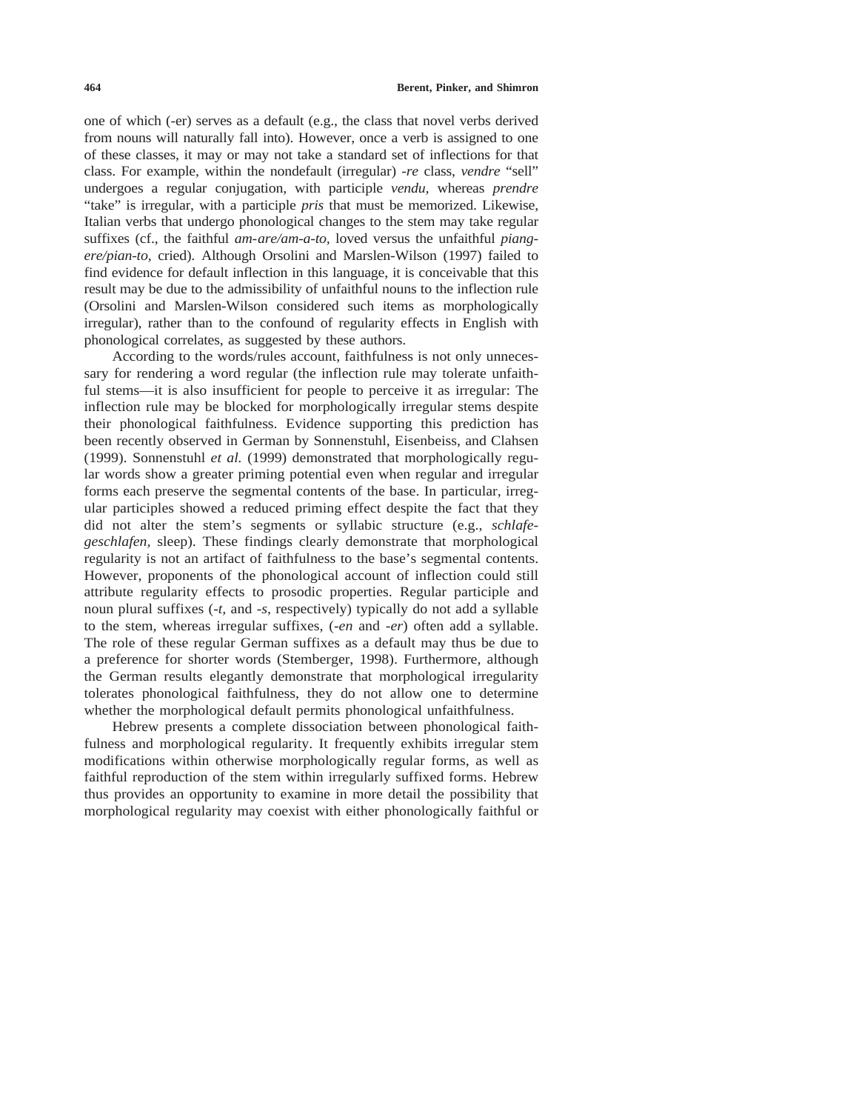one of which (-er) serves as a default (e.g., the class that novel verbs derived from nouns will naturally fall into). However, once a verb is assigned to one of these classes, it may or may not take a standard set of inflections for that class. For example, within the nondefault (irregular) *-re* class, *vendre* "sell" undergoes a regular conjugation, with participle *vendu,* whereas *prendre* "take" is irregular, with a participle *pris* that must be memorized. Likewise, Italian verbs that undergo phonological changes to the stem may take regular suffixes (cf., the faithful *am-are/am-a-to,* loved versus the unfaithful *piangere/pian-to,* cried). Although Orsolini and Marslen-Wilson (1997) failed to find evidence for default inflection in this language, it is conceivable that this result may be due to the admissibility of unfaithful nouns to the inflection rule (Orsolini and Marslen-Wilson considered such items as morphologically irregular), rather than to the confound of regularity effects in English with phonological correlates, as suggested by these authors.

According to the words/rules account, faithfulness is not only unnecessary for rendering a word regular (the inflection rule may tolerate unfaithful stems—it is also insufficient for people to perceive it as irregular: The inflection rule may be blocked for morphologically irregular stems despite their phonological faithfulness. Evidence supporting this prediction has been recently observed in German by Sonnenstuhl, Eisenbeiss, and Clahsen (1999). Sonnenstuhl *et al.* (1999) demonstrated that morphologically regular words show a greater priming potential even when regular and irregular forms each preserve the segmental contents of the base. In particular, irregular participles showed a reduced priming effect despite the fact that they did not alter the stem's segments or syllabic structure (e.g., *schlafegeschlafen,* sleep). These findings clearly demonstrate that morphological regularity is not an artifact of faithfulness to the base's segmental contents. However, proponents of the phonological account of inflection could still attribute regularity effects to prosodic properties. Regular participle and noun plural suffixes (*-t,* and *-s,* respectively) typically do not add a syllable to the stem, whereas irregular suffixes, (*-en* and *-er*) often add a syllable. The role of these regular German suffixes as a default may thus be due to a preference for shorter words (Stemberger, 1998). Furthermore, although the German results elegantly demonstrate that morphological irregularity tolerates phonological faithfulness, they do not allow one to determine whether the morphological default permits phonological unfaithfulness.

Hebrew presents a complete dissociation between phonological faithfulness and morphological regularity. It frequently exhibits irregular stem modifications within otherwise morphologically regular forms, as well as faithful reproduction of the stem within irregularly suffixed forms. Hebrew thus provides an opportunity to examine in more detail the possibility that morphological regularity may coexist with either phonologically faithful or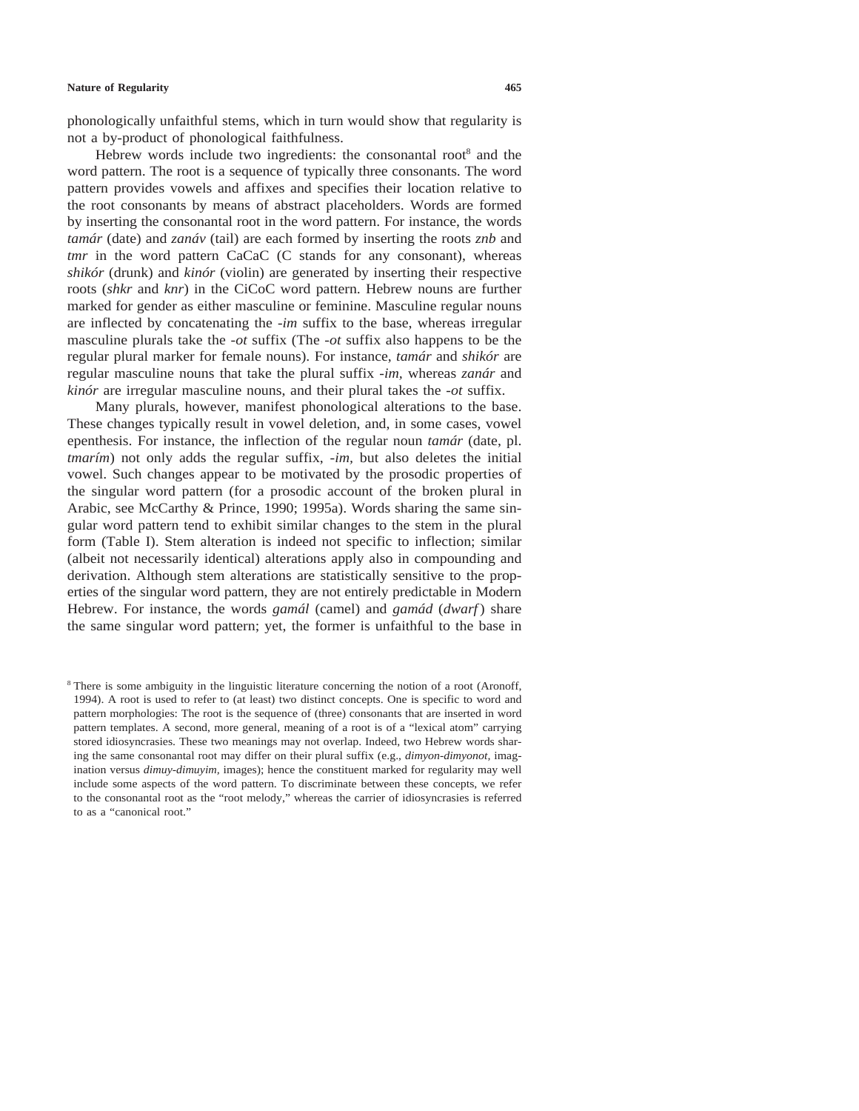phonologically unfaithful stems, which in turn would show that regularity is not a by-product of phonological faithfulness.

Hebrew words include two ingredients: the consonantal root $8$  and the word pattern. The root is a sequence of typically three consonants. The word pattern provides vowels and affixes and specifies their location relative to the root consonants by means of abstract placeholders. Words are formed by inserting the consonantal root in the word pattern. For instance, the words *tamár* (date) and *zanáv* (tail) are each formed by inserting the roots *znb* and *tmr* in the word pattern CaCaC (C stands for any consonant), whereas *shikór* (drunk) and *kinór* (violin) are generated by inserting their respective roots (*shkr* and *knr*) in the CiCoC word pattern. Hebrew nouns are further marked for gender as either masculine or feminine. Masculine regular nouns are inflected by concatenating the *-im* suffix to the base, whereas irregular masculine plurals take the *-ot* suffix (The *-ot* suffix also happens to be the regular plural marker for female nouns). For instance, *tamár* and *shikór* are regular masculine nouns that take the plural suffix *-im,* whereas *zanár* and *kinór* are irregular masculine nouns, and their plural takes the *-ot* suffix.

Many plurals, however, manifest phonological alterations to the base. These changes typically result in vowel deletion, and, in some cases, vowel epenthesis. For instance, the inflection of the regular noun *tamár* (date, pl. *tmarím*) not only adds the regular suffix, *-im,* but also deletes the initial vowel. Such changes appear to be motivated by the prosodic properties of the singular word pattern (for a prosodic account of the broken plural in Arabic, see McCarthy & Prince, 1990; 1995a). Words sharing the same singular word pattern tend to exhibit similar changes to the stem in the plural form (Table I). Stem alteration is indeed not specific to inflection; similar (albeit not necessarily identical) alterations apply also in compounding and derivation. Although stem alterations are statistically sensitive to the properties of the singular word pattern, they are not entirely predictable in Modern Hebrew. For instance, the words *gamál* (camel) and *gamád* (*dwarf*) share the same singular word pattern; yet, the former is unfaithful to the base in

<sup>&</sup>lt;sup>8</sup> There is some ambiguity in the linguistic literature concerning the notion of a root (Aronoff, 1994). A root is used to refer to (at least) two distinct concepts. One is specific to word and pattern morphologies: The root is the sequence of (three) consonants that are inserted in word pattern templates. A second, more general, meaning of a root is of a "lexical atom" carrying stored idiosyncrasies. These two meanings may not overlap. Indeed, two Hebrew words sharing the same consonantal root may differ on their plural suffix (e.g., *dimyon-dimyonot,* imagination versus *dimuy-dimuyim,* images); hence the constituent marked for regularity may well include some aspects of the word pattern. To discriminate between these concepts, we refer to the consonantal root as the "root melody," whereas the carrier of idiosyncrasies is referred to as a "canonical root."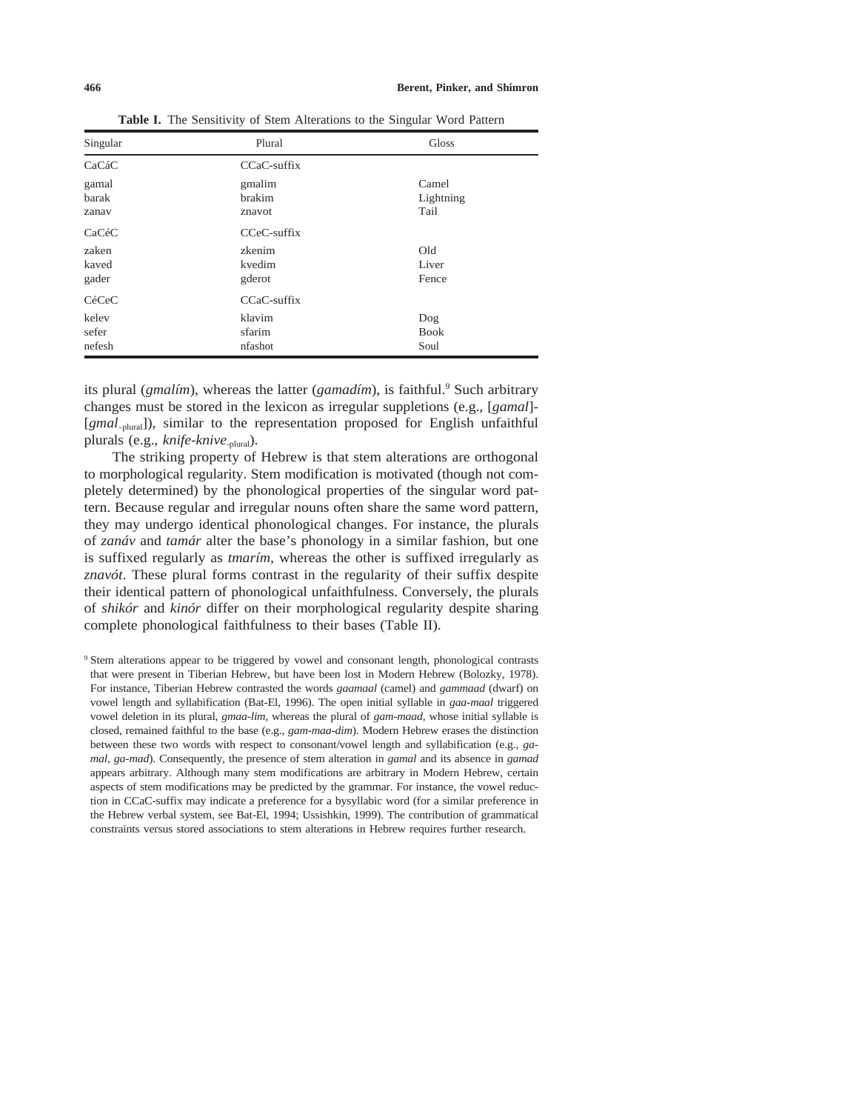| Singular                 | Plural                      | Gloss                      |
|--------------------------|-----------------------------|----------------------------|
| CaCáC                    | $CCaC$ -suffix              |                            |
| gamal<br>barak<br>zanav  | gmalim<br>brakim<br>znavot  | Camel<br>Lightning<br>Tail |
| CaCéC                    | CCeC-suffix                 |                            |
| zaken<br>kaved<br>gader  | zkenim<br>kvedim<br>gderot  | Old<br>Liver<br>Fence      |
| CéCeC                    | CCaC-suffix                 |                            |
| kelev<br>sefer<br>nefesh | klavim<br>sfarim<br>nfashot | Dog<br><b>Book</b><br>Soul |

**Table I.** The Sensitivity of Stem Alterations to the Singular Word Pattern

its plural (*gmalím*), whereas the latter (*gamadím*), is faithful.<sup>9</sup> Such arbitrary changes must be stored in the lexicon as irregular suppletions (e.g., [*gamal*]- [*gmal<sub>-plural</sub>]*), similar to the representation proposed for English unfaithful plurals (e.g., *knife-knive*-plural).

The striking property of Hebrew is that stem alterations are orthogonal to morphological regularity. Stem modification is motivated (though not completely determined) by the phonological properties of the singular word pattern. Because regular and irregular nouns often share the same word pattern, they may undergo identical phonological changes. For instance, the plurals of *zanáv* and *tamár* alter the base's phonology in a similar fashion, but one is suffixed regularly as *tmarím,* whereas the other is suffixed irregularly as *znavót*. These plural forms contrast in the regularity of their suffix despite their identical pattern of phonological unfaithfulness. Conversely, the plurals of *shikór* and *kinór* differ on their morphological regularity despite sharing complete phonological faithfulness to their bases (Table II).

<sup>9</sup> Stem alterations appear to be triggered by vowel and consonant length, phonological contrasts that were present in Tiberian Hebrew, but have been lost in Modern Hebrew (Bolozky, 1978). For instance, Tiberian Hebrew contrasted the words *gaamaal* (camel) and *gammaad* (dwarf) on vowel length and syllabification (Bat-El, 1996). The open initial syllable in *gaa-maal* triggered vowel deletion in its plural, *gmaa-lim,* whereas the plural of *gam-maad,* whose initial syllable is closed, remained faithful to the base (e.g., *gam-maa-dim*). Modern Hebrew erases the distinction between these two words with respect to consonant/vowel length and syllabification (e.g., *gamal, ga-mad*). Consequently, the presence of stem alteration in *gamal* and its absence in *gamad* appears arbitrary. Although many stem modifications are arbitrary in Modern Hebrew, certain aspects of stem modifications may be predicted by the grammar. For instance, the vowel reduction in CCaC-suffix may indicate a preference for a bysyllabic word (for a similar preference in the Hebrew verbal system, see Bat-El, 1994; Ussishkin, 1999). The contribution of grammatical constraints versus stored associations to stem alterations in Hebrew requires further research.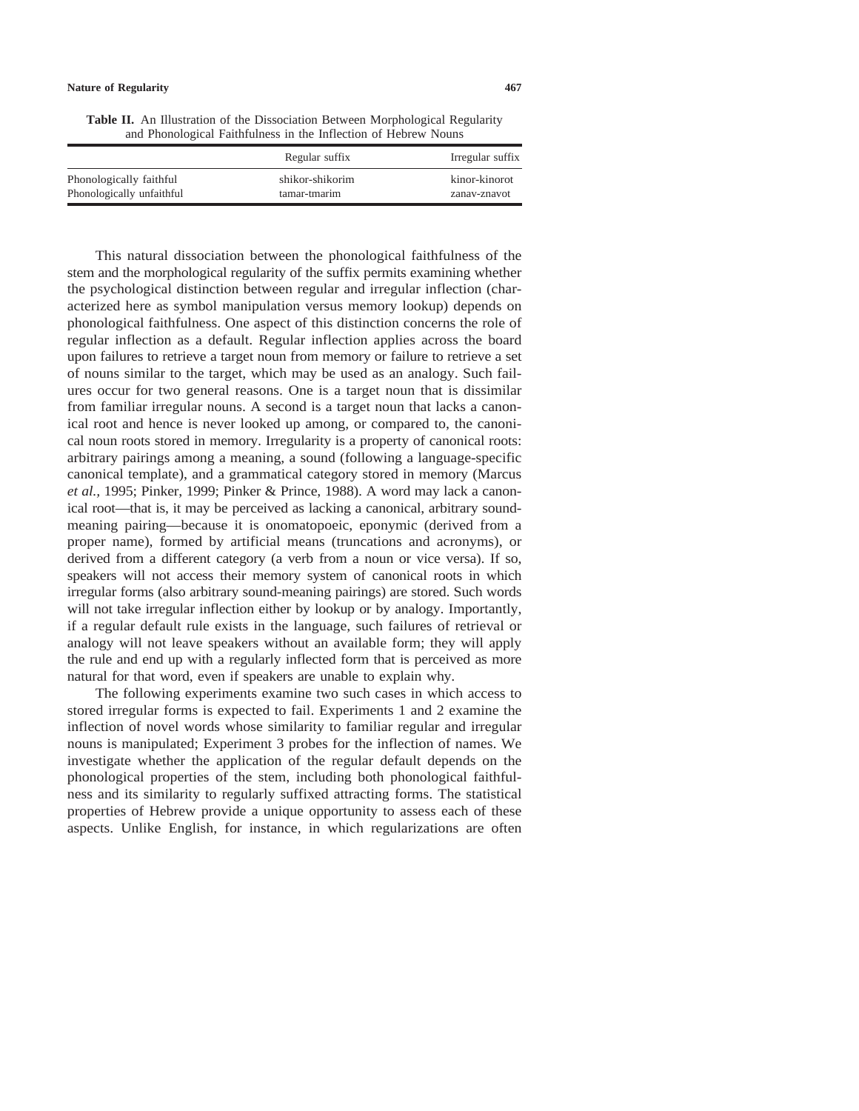**Table II.** An Illustration of the Dissociation Between Morphological Regularity and Phonological Faithfulness in the Inflection of Hebrew Nouns

|                           | Regular suffix  | Irregular suffix |
|---------------------------|-----------------|------------------|
| Phonologically faithful   | shikor-shikorim | kinor-kinorot    |
| Phonologically unfaithful | tamar-tmarim    | zanav-znavot     |

This natural dissociation between the phonological faithfulness of the stem and the morphological regularity of the suffix permits examining whether the psychological distinction between regular and irregular inflection (characterized here as symbol manipulation versus memory lookup) depends on phonological faithfulness. One aspect of this distinction concerns the role of regular inflection as a default. Regular inflection applies across the board upon failures to retrieve a target noun from memory or failure to retrieve a set of nouns similar to the target, which may be used as an analogy. Such failures occur for two general reasons. One is a target noun that is dissimilar from familiar irregular nouns. A second is a target noun that lacks a canonical root and hence is never looked up among, or compared to, the canonical noun roots stored in memory. Irregularity is a property of canonical roots: arbitrary pairings among a meaning, a sound (following a language-specific canonical template), and a grammatical category stored in memory (Marcus *et al.,* 1995; Pinker, 1999; Pinker & Prince, 1988). A word may lack a canonical root—that is, it may be perceived as lacking a canonical, arbitrary soundmeaning pairing—because it is onomatopoeic, eponymic (derived from a proper name), formed by artificial means (truncations and acronyms), or derived from a different category (a verb from a noun or vice versa). If so, speakers will not access their memory system of canonical roots in which irregular forms (also arbitrary sound-meaning pairings) are stored. Such words will not take irregular inflection either by lookup or by analogy. Importantly, if a regular default rule exists in the language, such failures of retrieval or analogy will not leave speakers without an available form; they will apply the rule and end up with a regularly inflected form that is perceived as more natural for that word, even if speakers are unable to explain why.

The following experiments examine two such cases in which access to stored irregular forms is expected to fail. Experiments 1 and 2 examine the inflection of novel words whose similarity to familiar regular and irregular nouns is manipulated; Experiment 3 probes for the inflection of names. We investigate whether the application of the regular default depends on the phonological properties of the stem, including both phonological faithfulness and its similarity to regularly suffixed attracting forms. The statistical properties of Hebrew provide a unique opportunity to assess each of these aspects. Unlike English, for instance, in which regularizations are often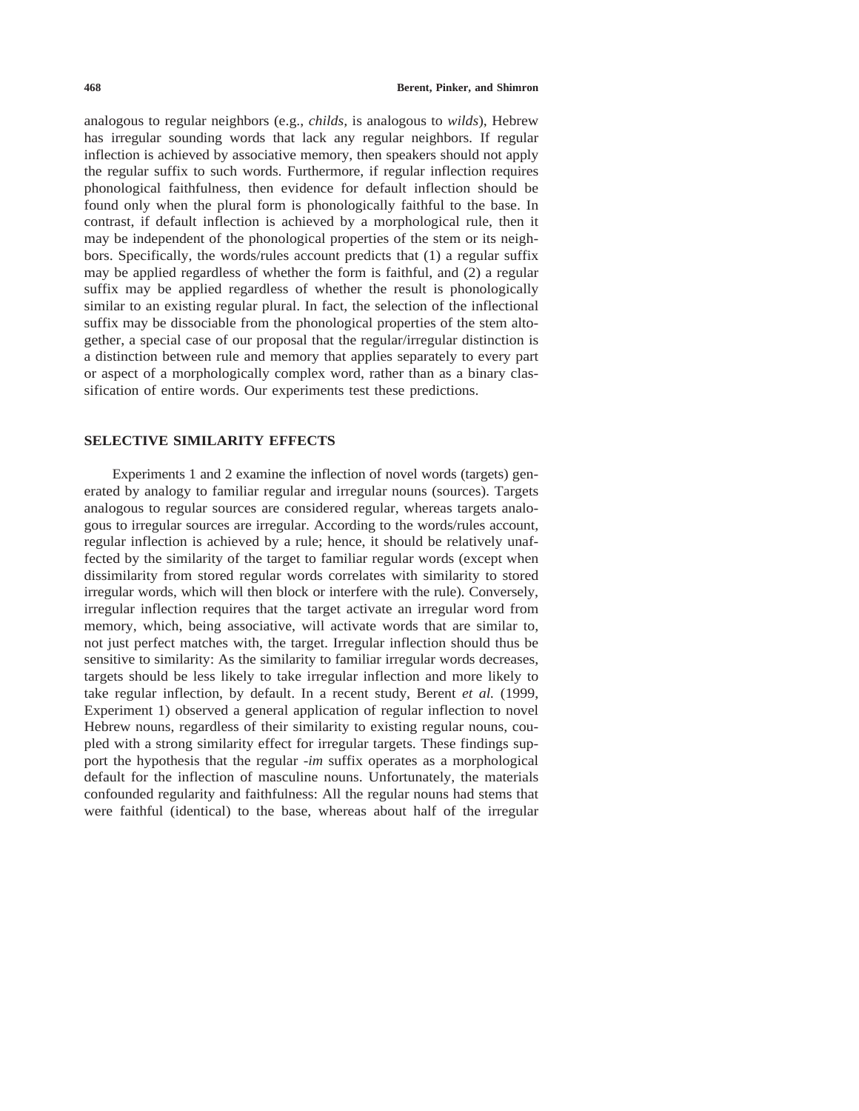analogous to regular neighbors (e.g., *childs,* is analogous to *wilds*), Hebrew has irregular sounding words that lack any regular neighbors. If regular inflection is achieved by associative memory, then speakers should not apply the regular suffix to such words. Furthermore, if regular inflection requires phonological faithfulness, then evidence for default inflection should be found only when the plural form is phonologically faithful to the base. In contrast, if default inflection is achieved by a morphological rule, then it may be independent of the phonological properties of the stem or its neighbors. Specifically, the words/rules account predicts that (1) a regular suffix may be applied regardless of whether the form is faithful, and (2) a regular suffix may be applied regardless of whether the result is phonologically similar to an existing regular plural. In fact, the selection of the inflectional suffix may be dissociable from the phonological properties of the stem altogether, a special case of our proposal that the regular/irregular distinction is a distinction between rule and memory that applies separately to every part or aspect of a morphologically complex word, rather than as a binary classification of entire words. Our experiments test these predictions.

#### **SELECTIVE SIMILARITY EFFECTS**

Experiments 1 and 2 examine the inflection of novel words (targets) generated by analogy to familiar regular and irregular nouns (sources). Targets analogous to regular sources are considered regular, whereas targets analogous to irregular sources are irregular. According to the words/rules account, regular inflection is achieved by a rule; hence, it should be relatively unaffected by the similarity of the target to familiar regular words (except when dissimilarity from stored regular words correlates with similarity to stored irregular words, which will then block or interfere with the rule). Conversely, irregular inflection requires that the target activate an irregular word from memory, which, being associative, will activate words that are similar to, not just perfect matches with, the target. Irregular inflection should thus be sensitive to similarity: As the similarity to familiar irregular words decreases, targets should be less likely to take irregular inflection and more likely to take regular inflection, by default. In a recent study, Berent *et al.* (1999, Experiment 1) observed a general application of regular inflection to novel Hebrew nouns, regardless of their similarity to existing regular nouns, coupled with a strong similarity effect for irregular targets. These findings support the hypothesis that the regular *-im* suffix operates as a morphological default for the inflection of masculine nouns. Unfortunately, the materials confounded regularity and faithfulness: All the regular nouns had stems that were faithful (identical) to the base, whereas about half of the irregular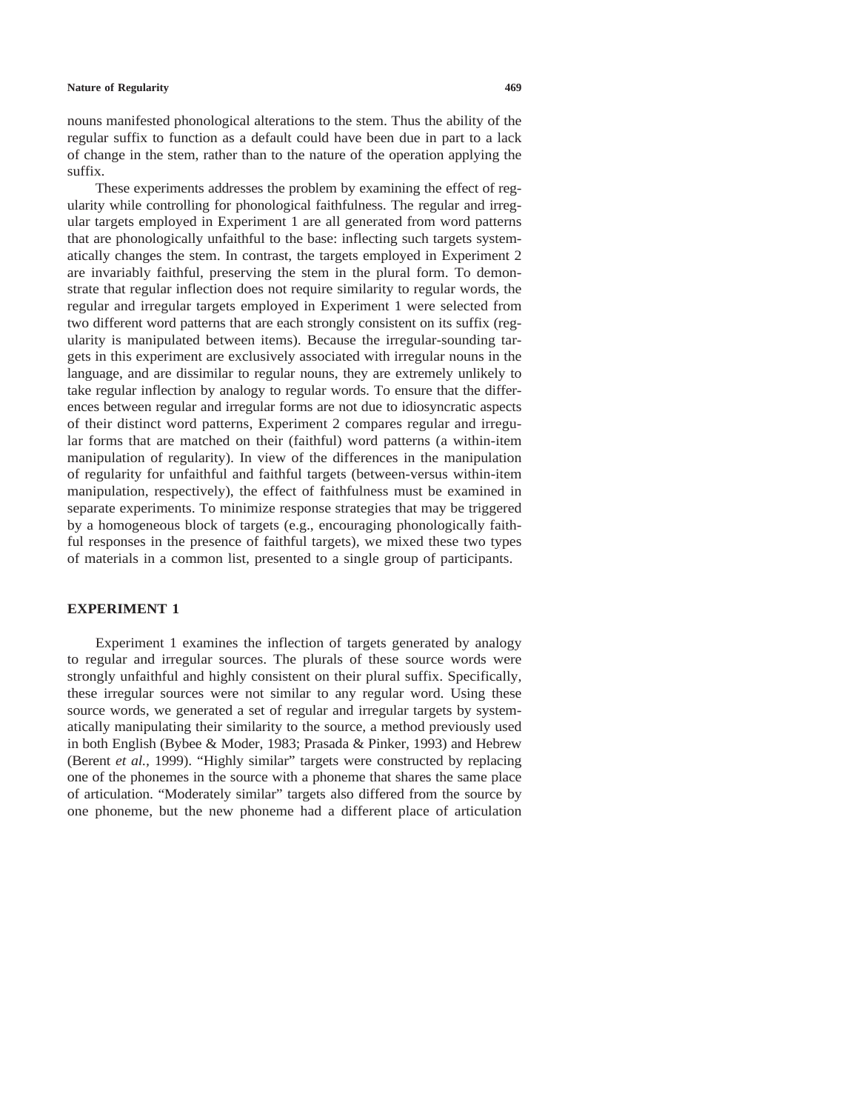nouns manifested phonological alterations to the stem. Thus the ability of the regular suffix to function as a default could have been due in part to a lack of change in the stem, rather than to the nature of the operation applying the suffix.

These experiments addresses the problem by examining the effect of regularity while controlling for phonological faithfulness. The regular and irregular targets employed in Experiment 1 are all generated from word patterns that are phonologically unfaithful to the base: inflecting such targets systematically changes the stem. In contrast, the targets employed in Experiment 2 are invariably faithful, preserving the stem in the plural form. To demonstrate that regular inflection does not require similarity to regular words, the regular and irregular targets employed in Experiment 1 were selected from two different word patterns that are each strongly consistent on its suffix (regularity is manipulated between items). Because the irregular-sounding targets in this experiment are exclusively associated with irregular nouns in the language, and are dissimilar to regular nouns, they are extremely unlikely to take regular inflection by analogy to regular words. To ensure that the differences between regular and irregular forms are not due to idiosyncratic aspects of their distinct word patterns, Experiment 2 compares regular and irregular forms that are matched on their (faithful) word patterns (a within-item manipulation of regularity). In view of the differences in the manipulation of regularity for unfaithful and faithful targets (between-versus within-item manipulation, respectively), the effect of faithfulness must be examined in separate experiments. To minimize response strategies that may be triggered by a homogeneous block of targets (e.g., encouraging phonologically faithful responses in the presence of faithful targets), we mixed these two types of materials in a common list, presented to a single group of participants.

## **EXPERIMENT 1**

Experiment 1 examines the inflection of targets generated by analogy to regular and irregular sources. The plurals of these source words were strongly unfaithful and highly consistent on their plural suffix. Specifically, these irregular sources were not similar to any regular word. Using these source words, we generated a set of regular and irregular targets by systematically manipulating their similarity to the source, a method previously used in both English (Bybee & Moder, 1983; Prasada & Pinker, 1993) and Hebrew (Berent *et al.,* 1999). "Highly similar" targets were constructed by replacing one of the phonemes in the source with a phoneme that shares the same place of articulation. "Moderately similar" targets also differed from the source by one phoneme, but the new phoneme had a different place of articulation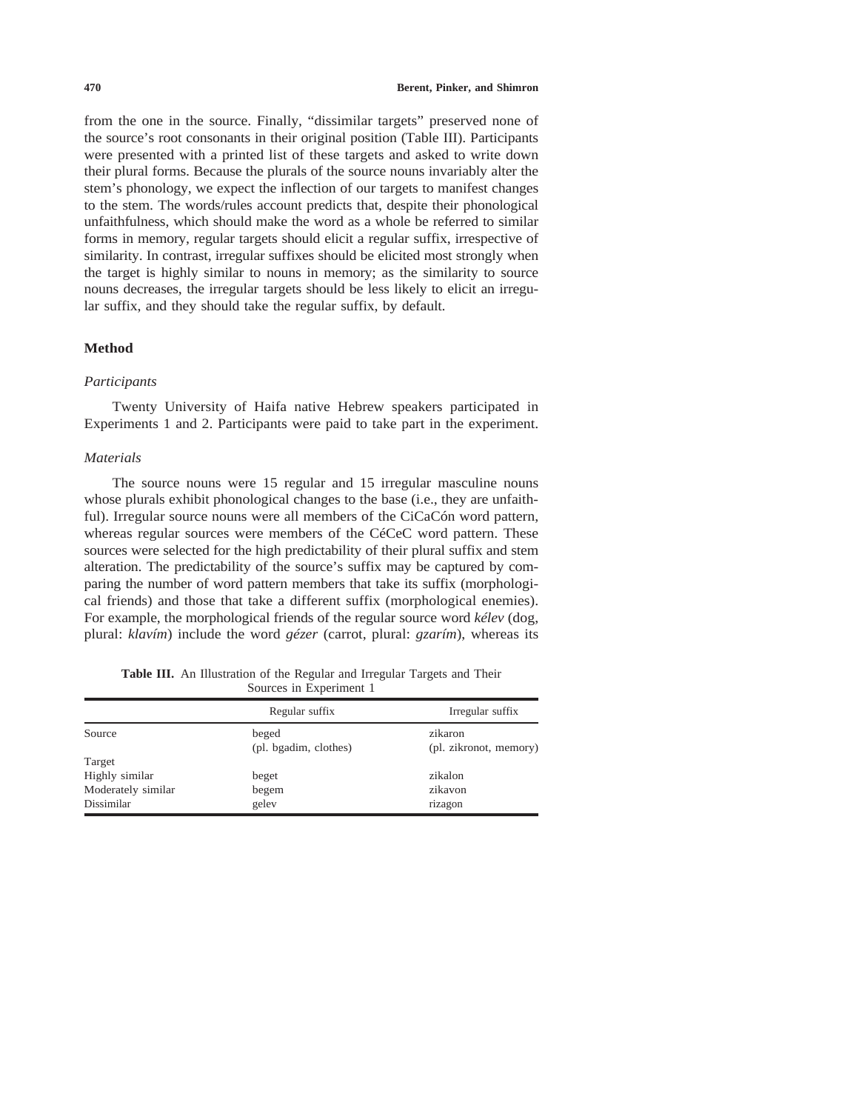#### **470 Berent, Pinker, and Shimron**

from the one in the source. Finally, "dissimilar targets" preserved none of the source's root consonants in their original position (Table III). Participants were presented with a printed list of these targets and asked to write down their plural forms. Because the plurals of the source nouns invariably alter the stem's phonology, we expect the inflection of our targets to manifest changes to the stem. The words/rules account predicts that, despite their phonological unfaithfulness, which should make the word as a whole be referred to similar forms in memory, regular targets should elicit a regular suffix, irrespective of similarity. In contrast, irregular suffixes should be elicited most strongly when the target is highly similar to nouns in memory; as the similarity to source nouns decreases, the irregular targets should be less likely to elicit an irregular suffix, and they should take the regular suffix, by default.

## **Method**

#### *Participants*

Twenty University of Haifa native Hebrew speakers participated in Experiments 1 and 2. Participants were paid to take part in the experiment.

## *Materials*

The source nouns were 15 regular and 15 irregular masculine nouns whose plurals exhibit phonological changes to the base (i.e., they are unfaithful). Irregular source nouns were all members of the CiCaCón word pattern, whereas regular sources were members of the CéCeC word pattern. These sources were selected for the high predictability of their plural suffix and stem alteration. The predictability of the source's suffix may be captured by comparing the number of word pattern members that take its suffix (morphological friends) and those that take a different suffix (morphological enemies). For example, the morphological friends of the regular source word *kélev* (dog, plural: *klavím*) include the word *gézer* (carrot, plural: *gzarím*), whereas its

**Table III.** An Illustration of the Regular and Irregular Targets and Their Sources in Experiment 1

|                    | Regular suffix                 | Irregular suffix                  |
|--------------------|--------------------------------|-----------------------------------|
| Source             | beged<br>(pl. bgadim, clothes) | zikaron<br>(pl. zikronot, memory) |
| Target             |                                |                                   |
| Highly similar     | beget                          | zikalon                           |
| Moderately similar | begem                          | zikavon                           |
| Dissimilar         | gelev                          | rizagon                           |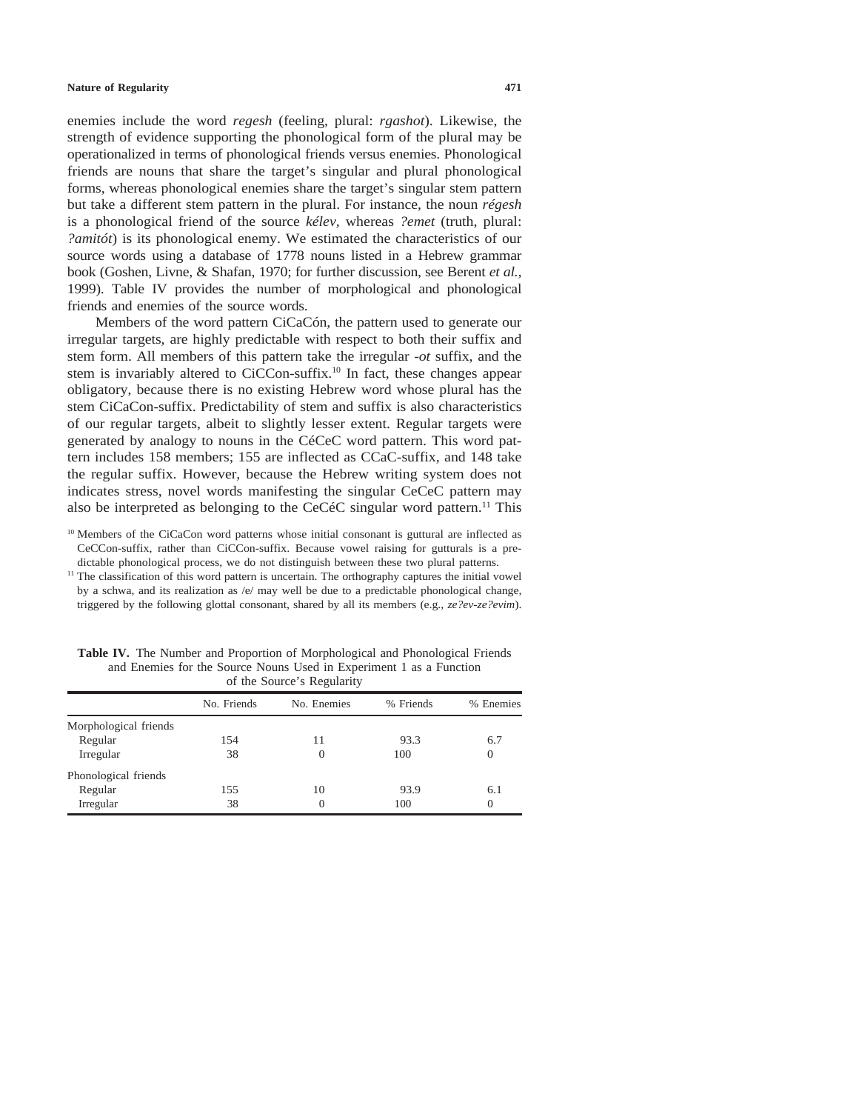enemies include the word *regesh* (feeling, plural: *rgashot*). Likewise, the strength of evidence supporting the phonological form of the plural may be operationalized in terms of phonological friends versus enemies. Phonological friends are nouns that share the target's singular and plural phonological forms, whereas phonological enemies share the target's singular stem pattern but take a different stem pattern in the plural. For instance, the noun *régesh* is a phonological friend of the source *kélev,* whereas *?emet* (truth, plural: *?amitót*) is its phonological enemy. We estimated the characteristics of our source words using a database of 1778 nouns listed in a Hebrew grammar book (Goshen, Livne, & Shafan, 1970; for further discussion, see Berent *et al.,* 1999). Table IV provides the number of morphological and phonological friends and enemies of the source words.

Members of the word pattern CiCaCón, the pattern used to generate our irregular targets, are highly predictable with respect to both their suffix and stem form. All members of this pattern take the irregular *-ot* suffix, and the stem is invariably altered to CiCCon-suffix.10 In fact, these changes appear obligatory, because there is no existing Hebrew word whose plural has the stem CiCaCon-suffix. Predictability of stem and suffix is also characteristics of our regular targets, albeit to slightly lesser extent. Regular targets were generated by analogy to nouns in the CéCeC word pattern. This word pattern includes 158 members; 155 are inflected as CCaC-suffix, and 148 take the regular suffix. However, because the Hebrew writing system does not indicates stress, novel words manifesting the singular CeCeC pattern may also be interpreted as belonging to the CeCéC singular word pattern.11 This

 $10$  Members of the CiCaCon word patterns whose initial consonant is guttural are inflected as CeCCon-suffix, rather than CiCCon-suffix. Because vowel raising for gutturals is a predictable phonological process, we do not distinguish between these two plural patterns.

<sup>11</sup> The classification of this word pattern is uncertain. The orthography captures the initial vowel by a schwa, and its realization as /e/ may well be due to a predictable phonological change, triggered by the following glottal consonant, shared by all its members (e.g., *ze?ev-ze?evim*).

**Table IV.** The Number and Proportion of Morphological and Phonological Friends and Enemies for the Source Nouns Used in Experiment 1 as a Function of the Source's Regularity

|                       |             | $\sigma$ and $\sigma$ and $\sigma$ is regarded. |           |                |
|-----------------------|-------------|-------------------------------------------------|-----------|----------------|
|                       | No. Friends | No. Enemies                                     | % Friends | % Enemies      |
| Morphological friends |             |                                                 |           |                |
| Regular               | 154         | 11                                              | 93.3      | 6.7            |
| Irregular             | 38          | 0                                               | 100       | $\overline{0}$ |
| Phonological friends  |             |                                                 |           |                |
| Regular               | 155         | 10                                              | 93.9      | 6.1            |
| Irregular             | 38          | $\theta$                                        | 100       | $\Omega$       |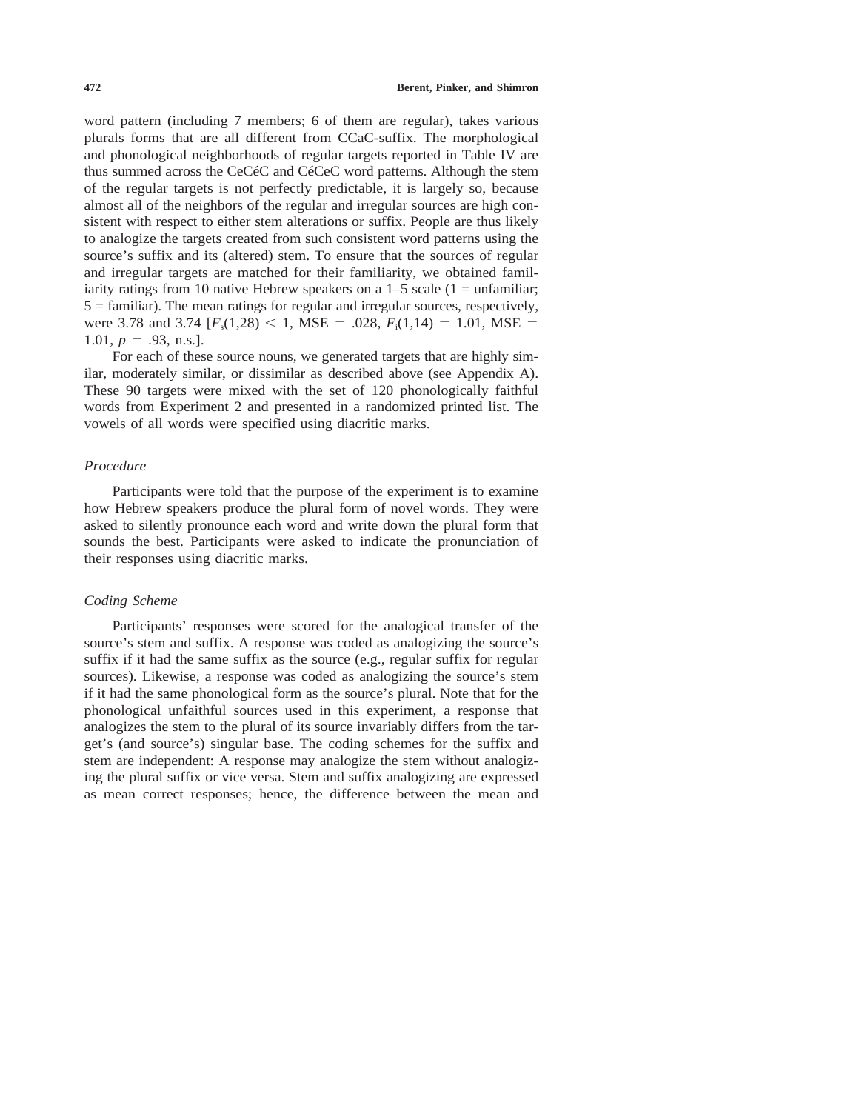word pattern (including 7 members; 6 of them are regular), takes various plurals forms that are all different from CCaC-suffix. The morphological and phonological neighborhoods of regular targets reported in Table IV are thus summed across the CeCéC and CéCeC word patterns. Although the stem of the regular targets is not perfectly predictable, it is largely so, because almost all of the neighbors of the regular and irregular sources are high consistent with respect to either stem alterations or suffix. People are thus likely to analogize the targets created from such consistent word patterns using the source's suffix and its (altered) stem. To ensure that the sources of regular and irregular targets are matched for their familiarity, we obtained familiarity ratings from 10 native Hebrew speakers on a  $1-5$  scale (1 = unfamiliar;  $5 =$  familiar). The mean ratings for regular and irregular sources, respectively, were 3.78 and 3.74  $[F_s(1,28) < 1, \text{ MSE} = .028, F_i(1,14) = 1.01, \text{ MSE} =$ 1.01,  $p = .93$ , n.s.].

For each of these source nouns, we generated targets that are highly similar, moderately similar, or dissimilar as described above (see Appendix A). These 90 targets were mixed with the set of 120 phonologically faithful words from Experiment 2 and presented in a randomized printed list. The vowels of all words were specified using diacritic marks.

#### *Procedure*

Participants were told that the purpose of the experiment is to examine how Hebrew speakers produce the plural form of novel words. They were asked to silently pronounce each word and write down the plural form that sounds the best. Participants were asked to indicate the pronunciation of their responses using diacritic marks.

### *Coding Scheme*

Participants' responses were scored for the analogical transfer of the source's stem and suffix. A response was coded as analogizing the source's suffix if it had the same suffix as the source (e.g., regular suffix for regular sources). Likewise, a response was coded as analogizing the source's stem if it had the same phonological form as the source's plural. Note that for the phonological unfaithful sources used in this experiment, a response that analogizes the stem to the plural of its source invariably differs from the target's (and source's) singular base. The coding schemes for the suffix and stem are independent: A response may analogize the stem without analogizing the plural suffix or vice versa. Stem and suffix analogizing are expressed as mean correct responses; hence, the difference between the mean and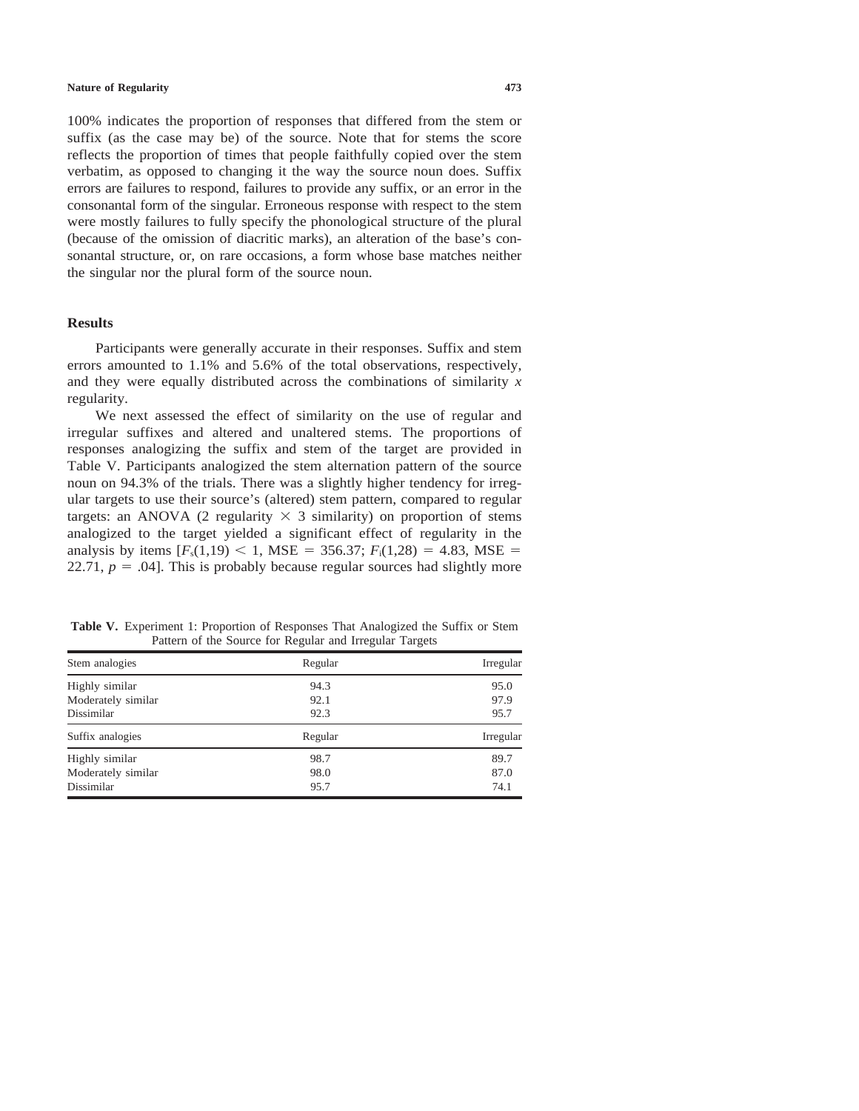100% indicates the proportion of responses that differed from the stem or suffix (as the case may be) of the source. Note that for stems the score reflects the proportion of times that people faithfully copied over the stem verbatim, as opposed to changing it the way the source noun does. Suffix errors are failures to respond, failures to provide any suffix, or an error in the consonantal form of the singular. Erroneous response with respect to the stem were mostly failures to fully specify the phonological structure of the plural (because of the omission of diacritic marks), an alteration of the base's consonantal structure, or, on rare occasions, a form whose base matches neither the singular nor the plural form of the source noun.

## **Results**

Participants were generally accurate in their responses. Suffix and stem errors amounted to 1.1% and 5.6% of the total observations, respectively, and they were equally distributed across the combinations of similarity *x* regularity.

We next assessed the effect of similarity on the use of regular and irregular suffixes and altered and unaltered stems. The proportions of responses analogizing the suffix and stem of the target are provided in Table V. Participants analogized the stem alternation pattern of the source noun on 94.3% of the trials. There was a slightly higher tendency for irregular targets to use their source's (altered) stem pattern, compared to regular targets: an ANOVA (2 regularity  $\times$  3 similarity) on proportion of stems analogized to the target yielded a significant effect of regularity in the analysis by items  $[F_s(1,19) < 1, \text{ MSE} = 356.37; F_i(1,28) = 4.83, \text{ MSE} =$ 22.71,  $p = .04$ . This is probably because regular sources had slightly more

**Table V.** Experiment 1: Proportion of Responses That Analogized the Suffix or Stem Pattern of the Source for Regular and Irregular Targets

| Stem analogies     | Regular | Irregular |
|--------------------|---------|-----------|
| Highly similar     | 94.3    | 95.0      |
| Moderately similar | 92.1    | 97.9      |
| Dissimilar         | 92.3    | 95.7      |
| Suffix analogies   | Regular | Irregular |
| Highly similar     | 98.7    | 89.7      |
| Moderately similar | 98.0    | 87.0      |
| Dissimilar         | 95.7    | 74.1      |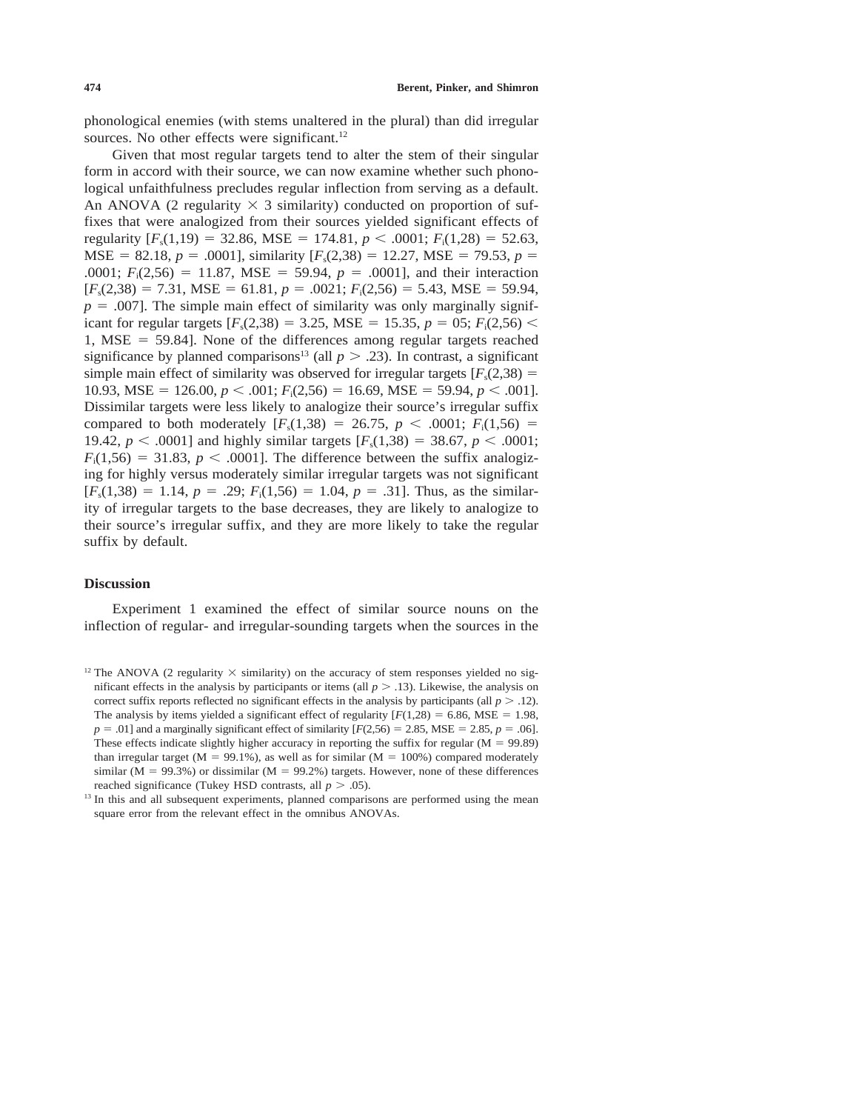phonological enemies (with stems unaltered in the plural) than did irregular sources. No other effects were significant.<sup>12</sup>

Given that most regular targets tend to alter the stem of their singular form in accord with their source, we can now examine whether such phonological unfaithfulness precludes regular inflection from serving as a default. An ANOVA (2 regularity  $\times$  3 similarity) conducted on proportion of suffixes that were analogized from their sources yielded significant effects of regularity  $[F_s(1,19) = 32.86, \text{MSE} = 174.81, p < .0001; F_i(1,28) = 52.63,$  $MSE = 82.18, p = .0001$ , similarity  $[F_s(2,38) = 12.27, MSE = 79.53, p =$ .0001;  $F_1(2,56) = 11.87$ , MSE = 59.94,  $p = .0001$ ], and their interaction  $[F_s(2,38) = 7.31, \text{MSE} = 61.81, p = .0021; F_i(2,56) = 5.43, \text{MSE} = 59.94,$  $p = .007$ . The simple main effect of similarity was only marginally significant for regular targets  $[F_s(2,38) = 3.25, \text{MSE} = 15.35, p = 05; F_i(2,56)$ 1, MSE  $= 59.84$ ]. None of the differences among regular targets reached significance by planned comparisons<sup>13</sup> (all  $p > .23$ ). In contrast, a significant simple main effect of similarity was observed for irregular targets  $[F<sub>s</sub>(2,38) =$ 10.93, MSE = 126.00,  $p < .001$ ;  $F_i(2,56) = 16.69$ , MSE = 59.94,  $p < .001$ ]. Dissimilar targets were less likely to analogize their source's irregular suffix compared to both moderately  $[F_s(1,38) = 26.75, p < .0001; F_i(1,56) =$ 19.42,  $p < .0001$ ] and highly similar targets  $[F_s(1,38) = 38.67, p < .0001;$  $F_1(1,56) = 31.83$ ,  $p < .0001$ . The difference between the suffix analogizing for highly versus moderately similar irregular targets was not significant  $[F_s(1,38) = 1.14, p = .29; F_i(1,56) = 1.04, p = .31]$ . Thus, as the similarity of irregular targets to the base decreases, they are likely to analogize to their source's irregular suffix, and they are more likely to take the regular suffix by default.

#### **Discussion**

Experiment 1 examined the effect of similar source nouns on the inflection of regular- and irregular-sounding targets when the sources in the

<sup>&</sup>lt;sup>12</sup> The ANOVA (2 regularity  $\times$  similarity) on the accuracy of stem responses yielded no significant effects in the analysis by participants or items (all  $p > .13$ ). Likewise, the analysis on correct suffix reports reflected no significant effects in the analysis by participants (all  $p > .12$ ). The analysis by items yielded a significant effect of regularity  $[F(1,28) = 6.86, MSE = 1.98,$  $p = .01$ ] and a marginally significant effect of similarity  $[F(2,56) = 2.85, \text{MSE} = 2.85, p = .06]$ . These effects indicate slightly higher accuracy in reporting the suffix for regular  $(M = 99.89)$ than irregular target ( $M = 99.1\%$ ), as well as for similar ( $M = 100\%$ ) compared moderately similar ( $M = 99.3\%$ ) or dissimilar ( $M = 99.2\%$ ) targets. However, none of these differences reached significance (Tukey HSD contrasts, all  $p > .05$ ).

<sup>&</sup>lt;sup>13</sup> In this and all subsequent experiments, planned comparisons are performed using the mean square error from the relevant effect in the omnibus ANOVAs.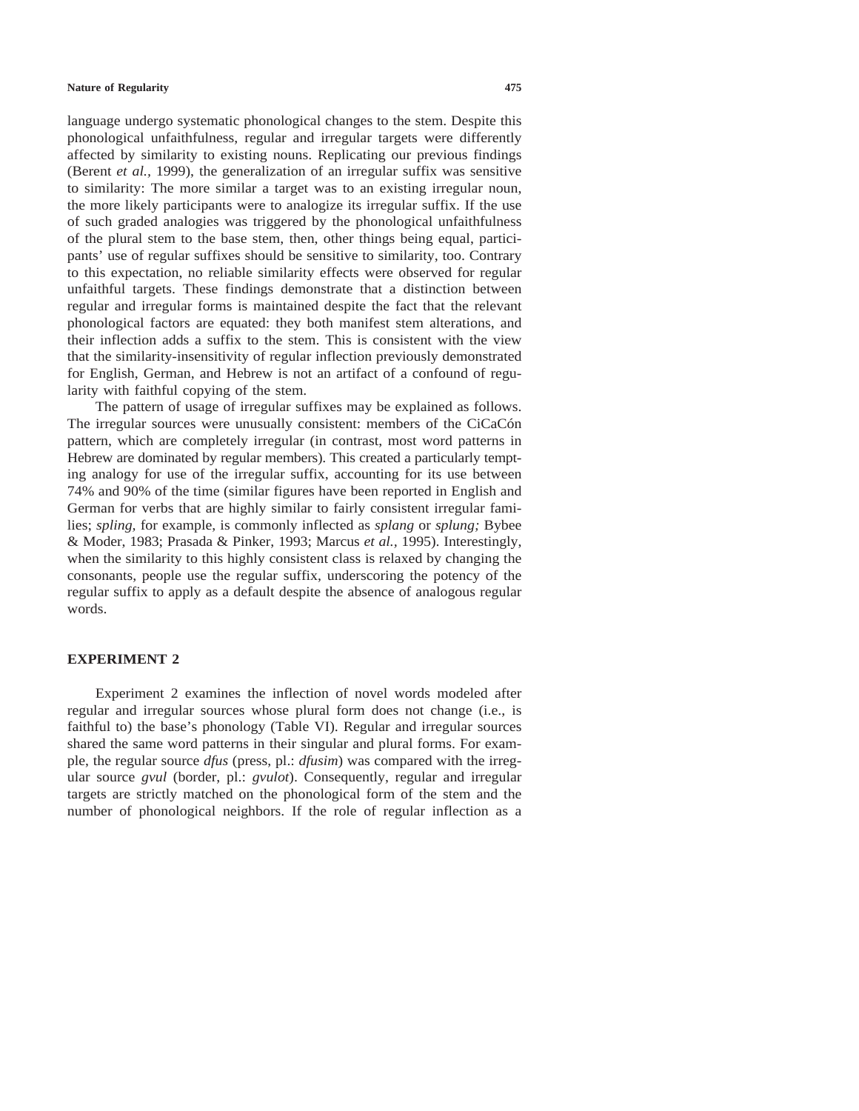language undergo systematic phonological changes to the stem. Despite this phonological unfaithfulness, regular and irregular targets were differently affected by similarity to existing nouns. Replicating our previous findings (Berent *et al.,* 1999), the generalization of an irregular suffix was sensitive to similarity: The more similar a target was to an existing irregular noun, the more likely participants were to analogize its irregular suffix. If the use of such graded analogies was triggered by the phonological unfaithfulness of the plural stem to the base stem, then, other things being equal, participants' use of regular suffixes should be sensitive to similarity, too. Contrary to this expectation, no reliable similarity effects were observed for regular unfaithful targets. These findings demonstrate that a distinction between regular and irregular forms is maintained despite the fact that the relevant phonological factors are equated: they both manifest stem alterations, and their inflection adds a suffix to the stem. This is consistent with the view that the similarity-insensitivity of regular inflection previously demonstrated for English, German, and Hebrew is not an artifact of a confound of regularity with faithful copying of the stem.

The pattern of usage of irregular suffixes may be explained as follows. The irregular sources were unusually consistent: members of the CiCaCón pattern, which are completely irregular (in contrast, most word patterns in Hebrew are dominated by regular members). This created a particularly tempting analogy for use of the irregular suffix, accounting for its use between 74% and 90% of the time (similar figures have been reported in English and German for verbs that are highly similar to fairly consistent irregular families; *spling,* for example, is commonly inflected as *splang* or *splung;* Bybee & Moder, 1983; Prasada & Pinker, 1993; Marcus *et al.,* 1995). Interestingly, when the similarity to this highly consistent class is relaxed by changing the consonants, people use the regular suffix, underscoring the potency of the regular suffix to apply as a default despite the absence of analogous regular words.

#### **EXPERIMENT 2**

Experiment 2 examines the inflection of novel words modeled after regular and irregular sources whose plural form does not change (i.e., is faithful to) the base's phonology (Table VI). Regular and irregular sources shared the same word patterns in their singular and plural forms. For example, the regular source *dfus* (press, pl.: *dfusim*) was compared with the irregular source *gvul* (border, pl.: *gvulot*). Consequently, regular and irregular targets are strictly matched on the phonological form of the stem and the number of phonological neighbors. If the role of regular inflection as a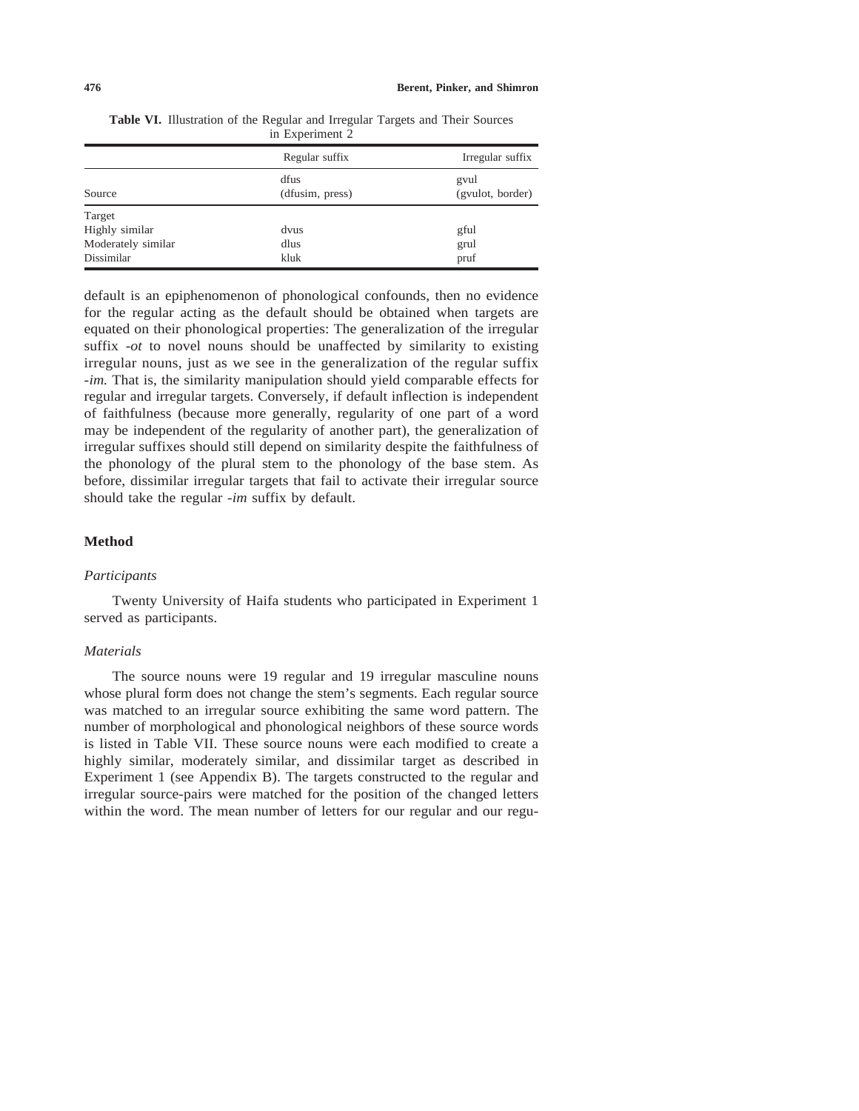|                    | Regular suffix          | Irregular suffix         |
|--------------------|-------------------------|--------------------------|
| Source             | dfus<br>(dfusim, press) | gvul<br>(gvulot, border) |
| Target             |                         |                          |
| Highly similar     | dvus                    | gful                     |
| Moderately similar | dlus                    | grul                     |
| Dissimilar         | kluk                    | pruf                     |

**Table VI.** Illustration of the Regular and Irregular Targets and Their Sources in Experiment 2

default is an epiphenomenon of phonological confounds, then no evidence for the regular acting as the default should be obtained when targets are equated on their phonological properties: The generalization of the irregular suffix *-ot* to novel nouns should be unaffected by similarity to existing irregular nouns, just as we see in the generalization of the regular suffix *-im.* That is, the similarity manipulation should yield comparable effects for regular and irregular targets. Conversely, if default inflection is independent of faithfulness (because more generally, regularity of one part of a word may be independent of the regularity of another part), the generalization of irregular suffixes should still depend on similarity despite the faithfulness of the phonology of the plural stem to the phonology of the base stem. As before, dissimilar irregular targets that fail to activate their irregular source should take the regular *-im* suffix by default.

## **Method**

## *Participants*

Twenty University of Haifa students who participated in Experiment 1 served as participants.

#### *Materials*

The source nouns were 19 regular and 19 irregular masculine nouns whose plural form does not change the stem's segments. Each regular source was matched to an irregular source exhibiting the same word pattern. The number of morphological and phonological neighbors of these source words is listed in Table VII. These source nouns were each modified to create a highly similar, moderately similar, and dissimilar target as described in Experiment 1 (see Appendix B). The targets constructed to the regular and irregular source-pairs were matched for the position of the changed letters within the word. The mean number of letters for our regular and our regu-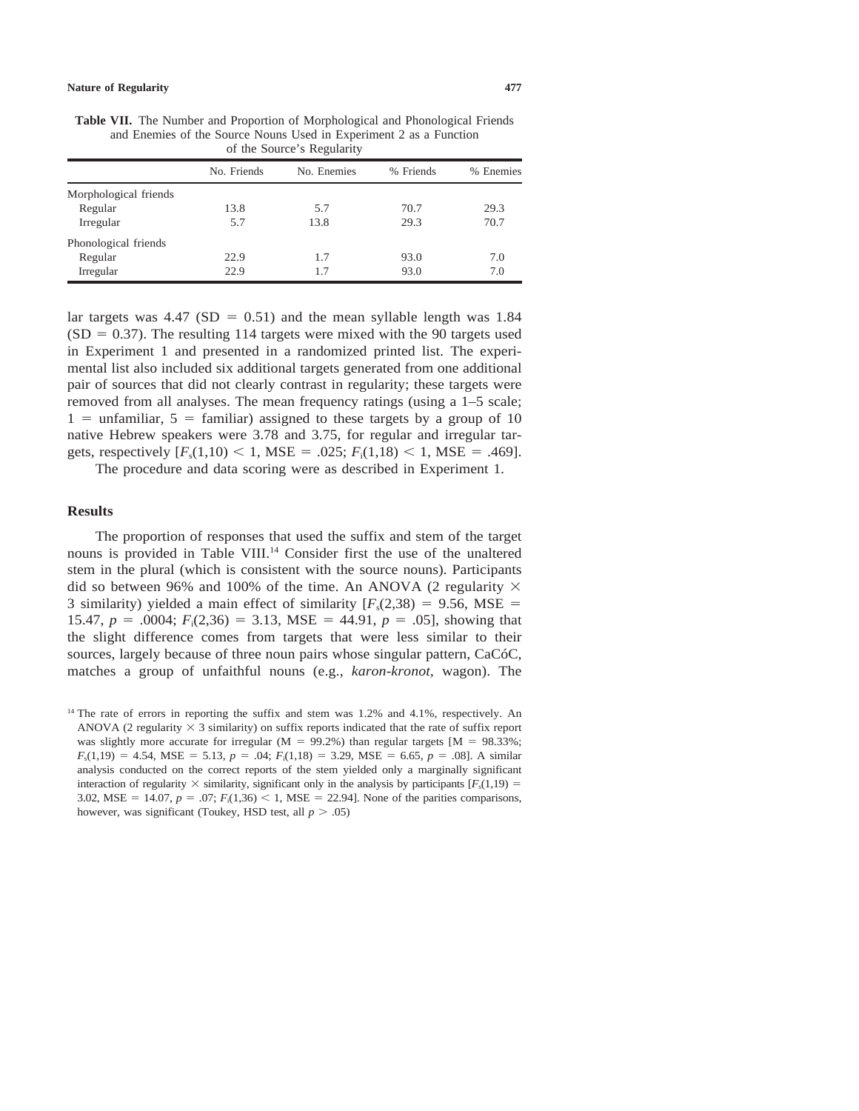**Table VII.** The Number and Proportion of Morphological and Phonological Friends and Enemies of the Source Nouns Used in Experiment 2 as a Function of the Source's Regularity

| No. Friends | No. Enemies | % Friends | % Enemies |
|-------------|-------------|-----------|-----------|
|             |             |           |           |
| 13.8        | 5.7         | 70.7      | 29.3      |
| 5.7         | 13.8        | 29.3      | 70.7      |
|             |             |           |           |
| 22.9        | 1.7         | 93.0      | 7.0       |
| 22.9        | 1.7         | 93.0      | 7.0       |
|             |             |           |           |

lar targets was  $4.47$  (SD = 0.51) and the mean syllable length was 1.84  $(SD = 0.37)$ . The resulting 114 targets were mixed with the 90 targets used in Experiment 1 and presented in a randomized printed list. The experimental list also included six additional targets generated from one additional pair of sources that did not clearly contrast in regularity; these targets were removed from all analyses. The mean frequency ratings (using a 1–5 scale;  $1 =$  unfamiliar,  $5 =$  familiar) assigned to these targets by a group of 10 native Hebrew speakers were 3.78 and 3.75, for regular and irregular targets, respectively  $[F_s(1,10) < 1, \text{MSE} = .025; F_i(1,18) < 1, \text{MSE} = .469]$ .

The procedure and data scoring were as described in Experiment 1.

#### **Results**

The proportion of responses that used the suffix and stem of the target nouns is provided in Table VIII.<sup>14</sup> Consider first the use of the unaltered stem in the plural (which is consistent with the source nouns). Participants did so between 96% and 100% of the time. An ANOVA (2 regularity  $\times$ 3 similarity) yielded a main effect of similarity  $[F<sub>s</sub>(2,38) = 9.56, MSE =$ 15.47,  $p = .0004$ ;  $F<sub>i</sub>(2,36) = 3.13$ , MSE = 44.91,  $p = .05$ ], showing that the slight difference comes from targets that were less similar to their sources, largely because of three noun pairs whose singular pattern, CaCóC, matches a group of unfaithful nouns (e.g., *karon-kronot,* wagon). The

<sup>&</sup>lt;sup>14</sup> The rate of errors in reporting the suffix and stem was 1.2% and 4.1%, respectively. An ANOVA (2 regularity  $\times$  3 similarity) on suffix reports indicated that the rate of suffix report was slightly more accurate for irregular ( $M = 99.2\%$ ) than regular targets [ $M = 98.33\%$ ;  $F_s(1,19) = 4.54$ , MSE = 5.13, *p* = .04;  $F_i(1,18) = 3.29$ , MSE = 6.65, *p* = .08]. A similar analysis conducted on the correct reports of the stem yielded only a marginally significant interaction of regularity  $\times$  similarity, significant only in the analysis by participants [ $F<sub>s</sub>(1,19)$  = 3.02, MSE = 14.07,  $p = .07$ ;  $F<sub>i</sub>(1,36) < 1$ , MSE = 22.94]. None of the parities comparisons, however, was significant (Toukey, HSD test, all  $p > .05$ )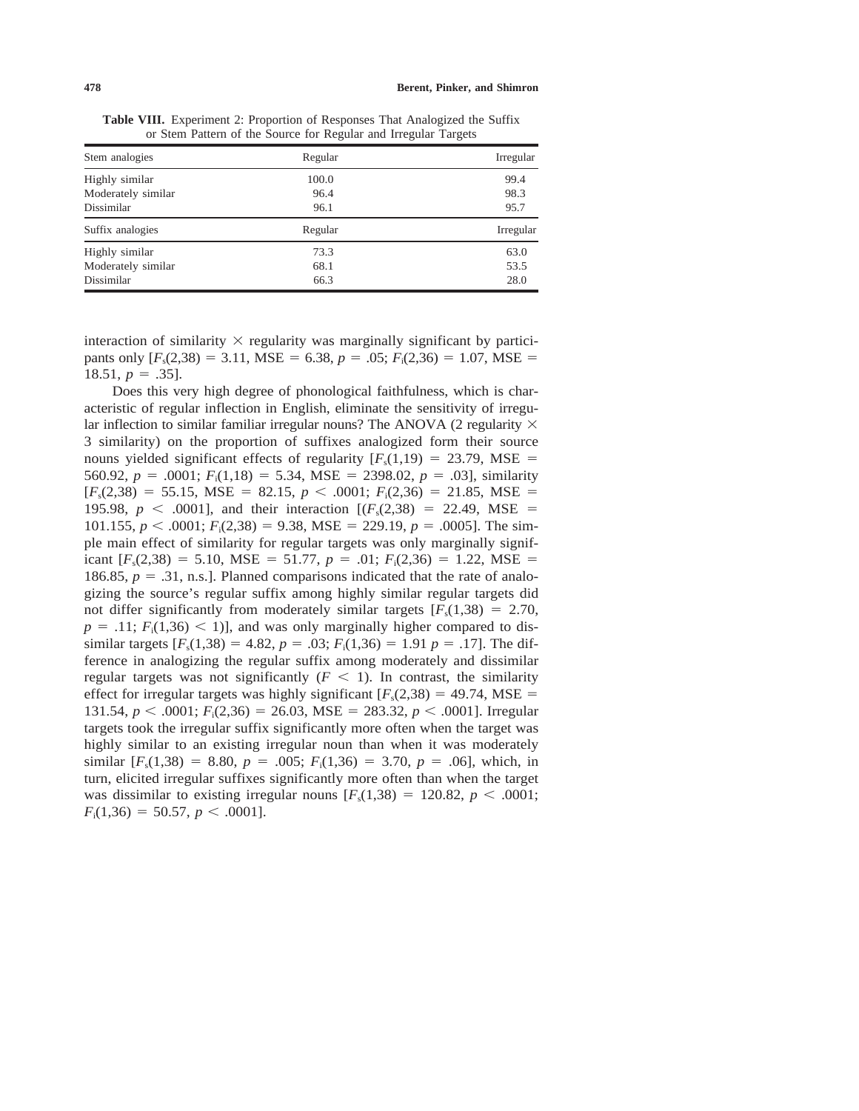| Stem analogies                       | Regular       | Irregular    |
|--------------------------------------|---------------|--------------|
| Highly similar<br>Moderately similar | 100.0<br>96.4 | 99.4<br>98.3 |
| Dissimilar                           | 96.1          | 95.7         |
| Suffix analogies                     | Regular       | Irregular    |
| Highly similar                       | 73.3          | 63.0         |
| Moderately similar                   | 68.1          | 53.5         |
| Dissimilar                           | 66.3          | 28.0         |

**Table VIII.** Experiment 2: Proportion of Responses That Analogized the Suffix or Stem Pattern of the Source for Regular and Irregular Targets

interaction of similarity  $\times$  regularity was marginally significant by participants only  $[F_s(2,38) = 3.11, \text{MSE} = 6.38, p = .05; F_i(2,36) = 1.07, \text{MSE} =$ 18.51,  $p = .35$ ].

Does this very high degree of phonological faithfulness, which is characteristic of regular inflection in English, eliminate the sensitivity of irregular inflection to similar familiar irregular nouns? The ANOVA (2 regularity  $\times$ 3 similarity) on the proportion of suffixes analogized form their source nouns yielded significant effects of regularity  $[F_s(1,19) = 23.79$ , MSE = 560.92,  $p = .0001$ ;  $F_1(1,18) = 5.34$ , MSE = 2398.02,  $p = .03$ ], similarity  $[F_s(2,38) = 55.15, \text{MSE} = 82.15, p < .0001; F_s(2,36) = 21.85, \text{MSE} =$ 195.98,  $p \le 0.0001$ ], and their interaction  $[(F_s(2,38) = 22.49, \text{MSE} =$ 101.155,  $p < .0001$ ;  $F_i(2,38) = 9.38$ , MSE = 229.19,  $p = .0005$ ]. The simple main effect of similarity for regular targets was only marginally significant  $[F_s(2,38) = 5.10, \text{MSE} = 51.77, p = .01; F_i(2,36) = 1.22, \text{MSE} =$ 186.85,  $p = .31$ , n.s.]. Planned comparisons indicated that the rate of analogizing the source's regular suffix among highly similar regular targets did not differ significantly from moderately similar targets  $[F_s(1,38) = 2.70$ ,  $p = .11$ ;  $F<sub>i</sub>(1,36) < 1$ ], and was only marginally higher compared to dissimilar targets  $[F_s(1,38) = 4.82, p = .03; F_s(1,36) = 1.91 p = .17]$ . The difference in analogizing the regular suffix among moderately and dissimilar regular targets was not significantly  $(F < 1)$ . In contrast, the similarity effect for irregular targets was highly significant  $[F_s(2,38) = 49.74$ , MSE = 131.54,  $p < .0001$ ;  $F_i(2,36) = 26.03$ , MSE = 283.32,  $p < .0001$ ]. Irregular targets took the irregular suffix significantly more often when the target was highly similar to an existing irregular noun than when it was moderately similar  $[F_s(1,38) = 8.80, p = .005; F_i(1,36) = 3.70, p = .06]$ , which, in turn, elicited irregular suffixes significantly more often than when the target was dissimilar to existing irregular nouns  $[F_s(1,38) = 120.82, p < .0001;$  $F_i(1,36) = 50.57, p < .0001$ .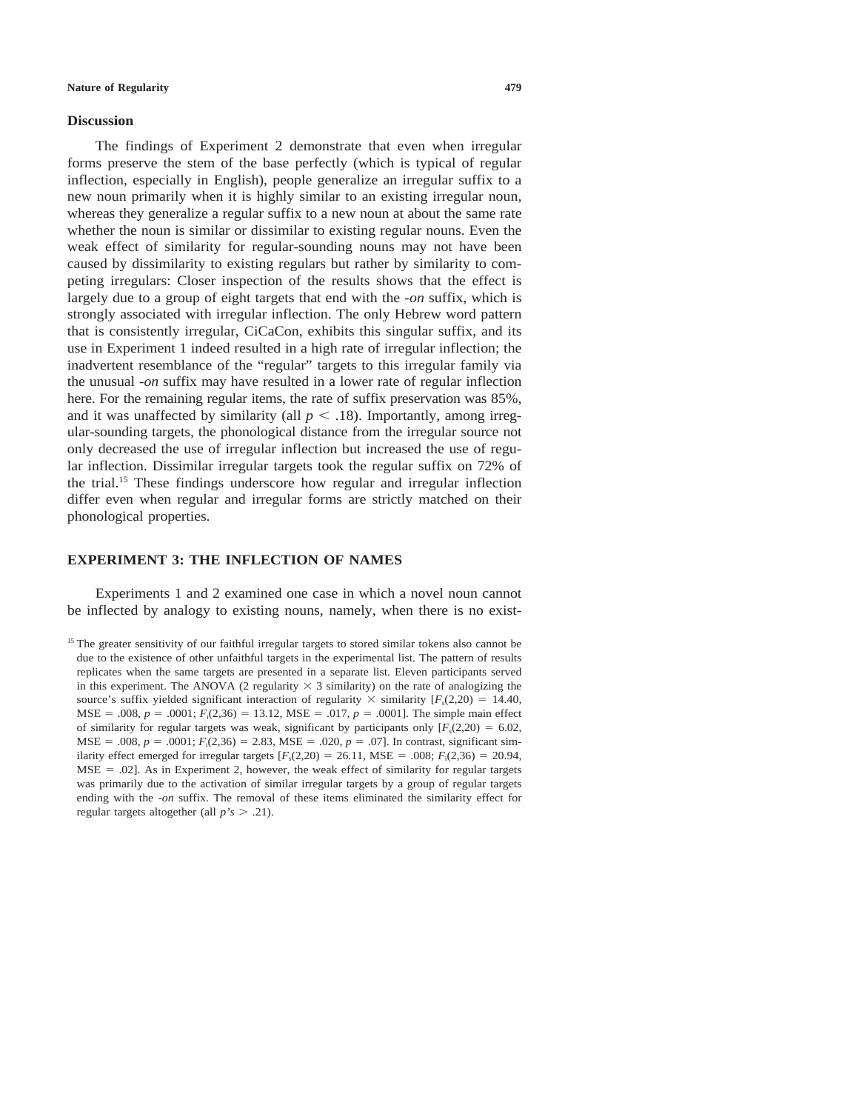#### **Discussion**

The findings of Experiment 2 demonstrate that even when irregular forms preserve the stem of the base perfectly (which is typical of regular inflection, especially in English), people generalize an irregular suffix to a new noun primarily when it is highly similar to an existing irregular noun, whereas they generalize a regular suffix to a new noun at about the same rate whether the noun is similar or dissimilar to existing regular nouns. Even the weak effect of similarity for regular-sounding nouns may not have been caused by dissimilarity to existing regulars but rather by similarity to competing irregulars: Closer inspection of the results shows that the effect is largely due to a group of eight targets that end with the *-on* suffix, which is strongly associated with irregular inflection. The only Hebrew word pattern that is consistently irregular, CiCaCon, exhibits this singular suffix, and its use in Experiment 1 indeed resulted in a high rate of irregular inflection; the inadvertent resemblance of the "regular" targets to this irregular family via the unusual *-on* suffix may have resulted in a lower rate of regular inflection here. For the remaining regular items, the rate of suffix preservation was 85%, and it was unaffected by similarity (all  $p < .18$ ). Importantly, among irregular-sounding targets, the phonological distance from the irregular source not only decreased the use of irregular inflection but increased the use of regular inflection. Dissimilar irregular targets took the regular suffix on 72% of the trial.15 These findings underscore how regular and irregular inflection differ even when regular and irregular forms are strictly matched on their phonological properties.

## **EXPERIMENT 3: THE INFLECTION OF NAMES**

Experiments 1 and 2 examined one case in which a novel noun cannot be inflected by analogy to existing nouns, namely, when there is no exist-

<sup>&</sup>lt;sup>15</sup> The greater sensitivity of our faithful irregular targets to stored similar tokens also cannot be due to the existence of other unfaithful targets in the experimental list. The pattern of results replicates when the same targets are presented in a separate list. Eleven participants served in this experiment. The ANOVA (2 regularity  $\times$  3 similarity) on the rate of analogizing the source's suffix yielded significant interaction of regularity  $\times$  similarity  $[F<sub>s</sub>(2,20) = 14.40$ ,  $MSE = .008$ ,  $p = .0001$ ;  $F_i(2,36) = 13.12$ ,  $MSE = .017$ ,  $p = .0001$ ]. The simple main effect of similarity for regular targets was weak, significant by participants only  $[F_s(2,20) = 6.02,$  $MSE = .008$ ,  $p = .0001$ ;  $F_1(2,36) = 2.83$ ,  $MSE = .020$ ,  $p = .07$ ]. In contrast, significant similarity effect emerged for irregular targets  $[F_s(2,20) = 26.11, \text{MSE} = .008; F_i(2,36) = 20.94,$  $MSE = .02$ ]. As in Experiment 2, however, the weak effect of similarity for regular targets was primarily due to the activation of similar irregular targets by a group of regular targets ending with the *-on* suffix. The removal of these items eliminated the similarity effect for regular targets altogether (all  $p's > .21$ ).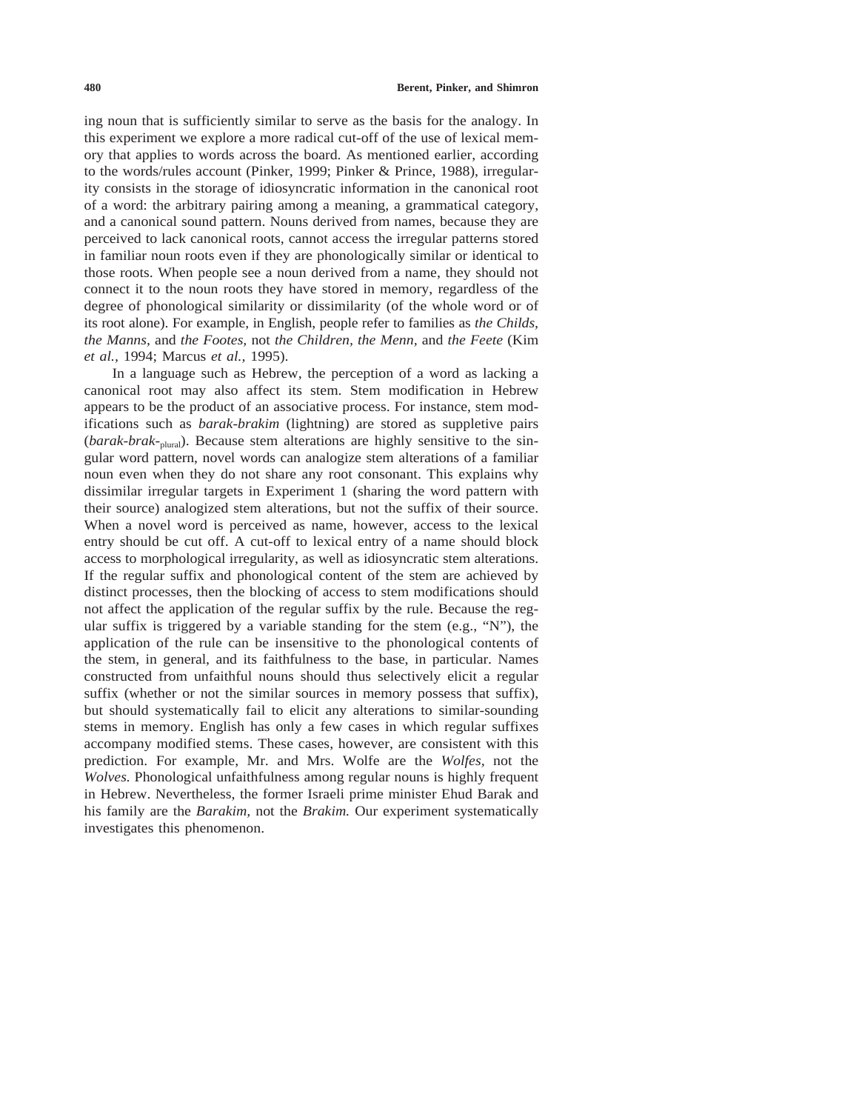ing noun that is sufficiently similar to serve as the basis for the analogy. In this experiment we explore a more radical cut-off of the use of lexical memory that applies to words across the board. As mentioned earlier, according to the words/rules account (Pinker, 1999; Pinker & Prince, 1988), irregularity consists in the storage of idiosyncratic information in the canonical root of a word: the arbitrary pairing among a meaning, a grammatical category, and a canonical sound pattern. Nouns derived from names, because they are perceived to lack canonical roots, cannot access the irregular patterns stored in familiar noun roots even if they are phonologically similar or identical to those roots. When people see a noun derived from a name, they should not connect it to the noun roots they have stored in memory, regardless of the degree of phonological similarity or dissimilarity (of the whole word or of its root alone). For example, in English, people refer to families as *the Childs, the Manns,* and *the Footes,* not *the Children, the Menn,* and *the Feete* (Kim *et al.,* 1994; Marcus *et al.,* 1995).

In a language such as Hebrew, the perception of a word as lacking a canonical root may also affect its stem. Stem modification in Hebrew appears to be the product of an associative process. For instance, stem modifications such as *barak-brakim* (lightning) are stored as suppletive pairs (*barak-brak-*plural). Because stem alterations are highly sensitive to the singular word pattern, novel words can analogize stem alterations of a familiar noun even when they do not share any root consonant. This explains why dissimilar irregular targets in Experiment 1 (sharing the word pattern with their source) analogized stem alterations, but not the suffix of their source. When a novel word is perceived as name, however, access to the lexical entry should be cut off. A cut-off to lexical entry of a name should block access to morphological irregularity, as well as idiosyncratic stem alterations. If the regular suffix and phonological content of the stem are achieved by distinct processes, then the blocking of access to stem modifications should not affect the application of the regular suffix by the rule. Because the regular suffix is triggered by a variable standing for the stem (e.g., "N"), the application of the rule can be insensitive to the phonological contents of the stem, in general, and its faithfulness to the base, in particular. Names constructed from unfaithful nouns should thus selectively elicit a regular suffix (whether or not the similar sources in memory possess that suffix), but should systematically fail to elicit any alterations to similar-sounding stems in memory. English has only a few cases in which regular suffixes accompany modified stems. These cases, however, are consistent with this prediction. For example, Mr. and Mrs. Wolfe are the *Wolfes,* not the *Wolves.* Phonological unfaithfulness among regular nouns is highly frequent in Hebrew. Nevertheless, the former Israeli prime minister Ehud Barak and his family are the *Barakim,* not the *Brakim.* Our experiment systematically investigates this phenomenon.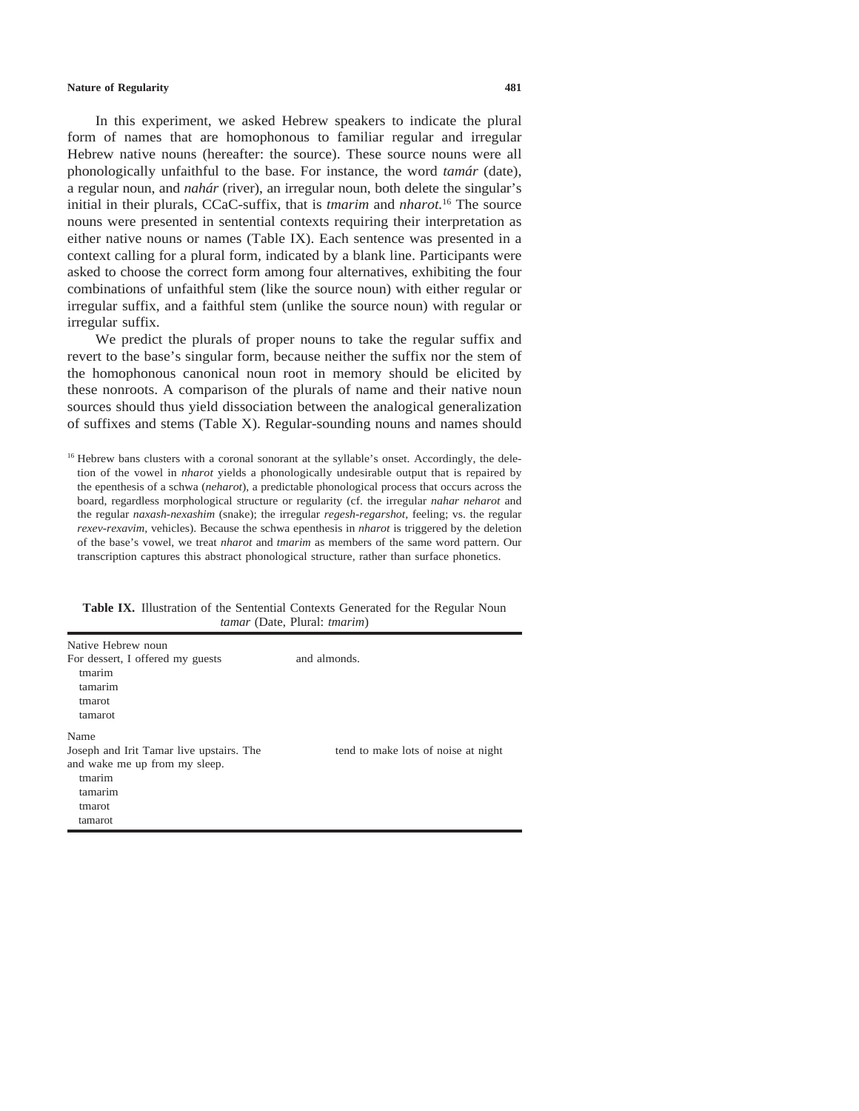In this experiment, we asked Hebrew speakers to indicate the plural form of names that are homophonous to familiar regular and irregular Hebrew native nouns (hereafter: the source). These source nouns were all phonologically unfaithful to the base. For instance, the word *tamár* (date), a regular noun, and *nahár* (river), an irregular noun, both delete the singular's initial in their plurals, CCaC-suffix, that is *tmarim* and *nharot.*<sup>16</sup> The source nouns were presented in sentential contexts requiring their interpretation as either native nouns or names (Table IX). Each sentence was presented in a context calling for a plural form, indicated by a blank line. Participants were asked to choose the correct form among four alternatives, exhibiting the four combinations of unfaithful stem (like the source noun) with either regular or irregular suffix, and a faithful stem (unlike the source noun) with regular or irregular suffix.

We predict the plurals of proper nouns to take the regular suffix and revert to the base's singular form, because neither the suffix nor the stem of the homophonous canonical noun root in memory should be elicited by these nonroots. A comparison of the plurals of name and their native noun sources should thus yield dissociation between the analogical generalization of suffixes and stems (Table X). Regular-sounding nouns and names should

<sup>16</sup> Hebrew bans clusters with a coronal sonorant at the syllable's onset. Accordingly, the deletion of the vowel in *nharot* yields a phonologically undesirable output that is repaired by the epenthesis of a schwa (*neharot*), a predictable phonological process that occurs across the board, regardless morphological structure or regularity (cf. the irregular *nahar neharot* and the regular *naxash-nexashim* (snake); the irregular *regesh-regarshot,* feeling; vs. the regular *rexev-rexavim,* vehicles). Because the schwa epenthesis in *nharot* is triggered by the deletion of the base's vowel, we treat *nharot* and *tmarim* as members of the same word pattern. Our transcription captures this abstract phonological structure, rather than surface phonetics.

Table IX. Illustration of the Sentential Contexts Generated for the Regular Noun *tamar* (Date, Plural: *tmarim*)

| Native Hebrew noun                       |                                     |
|------------------------------------------|-------------------------------------|
| For dessert, I offered my guests         | and almonds.                        |
| tmarim                                   |                                     |
| tamarim                                  |                                     |
| tmarot                                   |                                     |
| tamarot                                  |                                     |
| Name                                     |                                     |
| Joseph and Irit Tamar live upstairs. The | tend to make lots of noise at night |
| and wake me up from my sleep.            |                                     |
| tmarim                                   |                                     |
| tamarim                                  |                                     |
| tmarot                                   |                                     |
| tamarot                                  |                                     |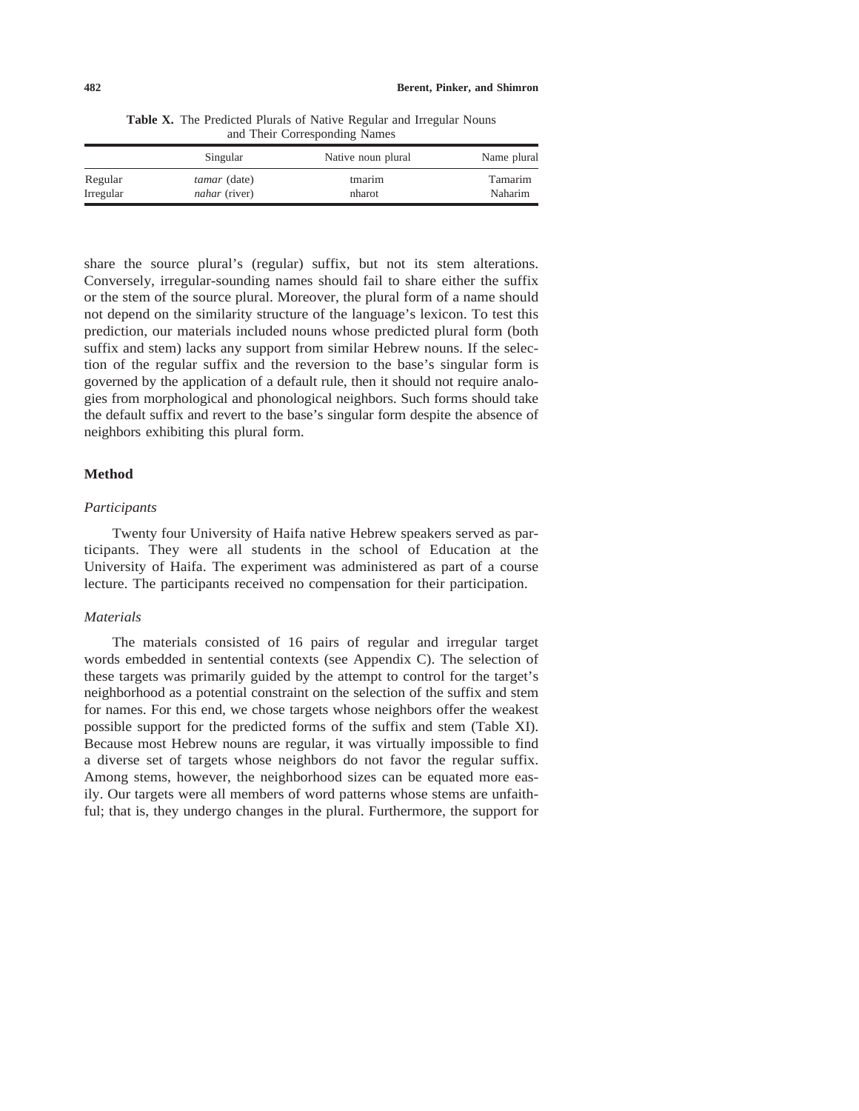**Table X.** The Predicted Plurals of Native Regular and Irregular Nouns and Their Corresponding Names

|           | Singular             | Native noun plural | Name plural |
|-----------|----------------------|--------------------|-------------|
| Regular   | <i>tamar</i> (date)  | tmarim             | Tamarim     |
| Irregular | <i>nahar</i> (river) | nharot             | Naharim     |
|           |                      |                    |             |

share the source plural's (regular) suffix, but not its stem alterations. Conversely, irregular-sounding names should fail to share either the suffix or the stem of the source plural. Moreover, the plural form of a name should not depend on the similarity structure of the language's lexicon. To test this prediction, our materials included nouns whose predicted plural form (both suffix and stem) lacks any support from similar Hebrew nouns. If the selection of the regular suffix and the reversion to the base's singular form is governed by the application of a default rule, then it should not require analogies from morphological and phonological neighbors. Such forms should take the default suffix and revert to the base's singular form despite the absence of neighbors exhibiting this plural form.

#### **Method**

## *Participants*

Twenty four University of Haifa native Hebrew speakers served as participants. They were all students in the school of Education at the University of Haifa. The experiment was administered as part of a course lecture. The participants received no compensation for their participation.

## *Materials*

The materials consisted of 16 pairs of regular and irregular target words embedded in sentential contexts (see Appendix C). The selection of these targets was primarily guided by the attempt to control for the target's neighborhood as a potential constraint on the selection of the suffix and stem for names. For this end, we chose targets whose neighbors offer the weakest possible support for the predicted forms of the suffix and stem (Table XI). Because most Hebrew nouns are regular, it was virtually impossible to find a diverse set of targets whose neighbors do not favor the regular suffix. Among stems, however, the neighborhood sizes can be equated more easily. Our targets were all members of word patterns whose stems are unfaithful; that is, they undergo changes in the plural. Furthermore, the support for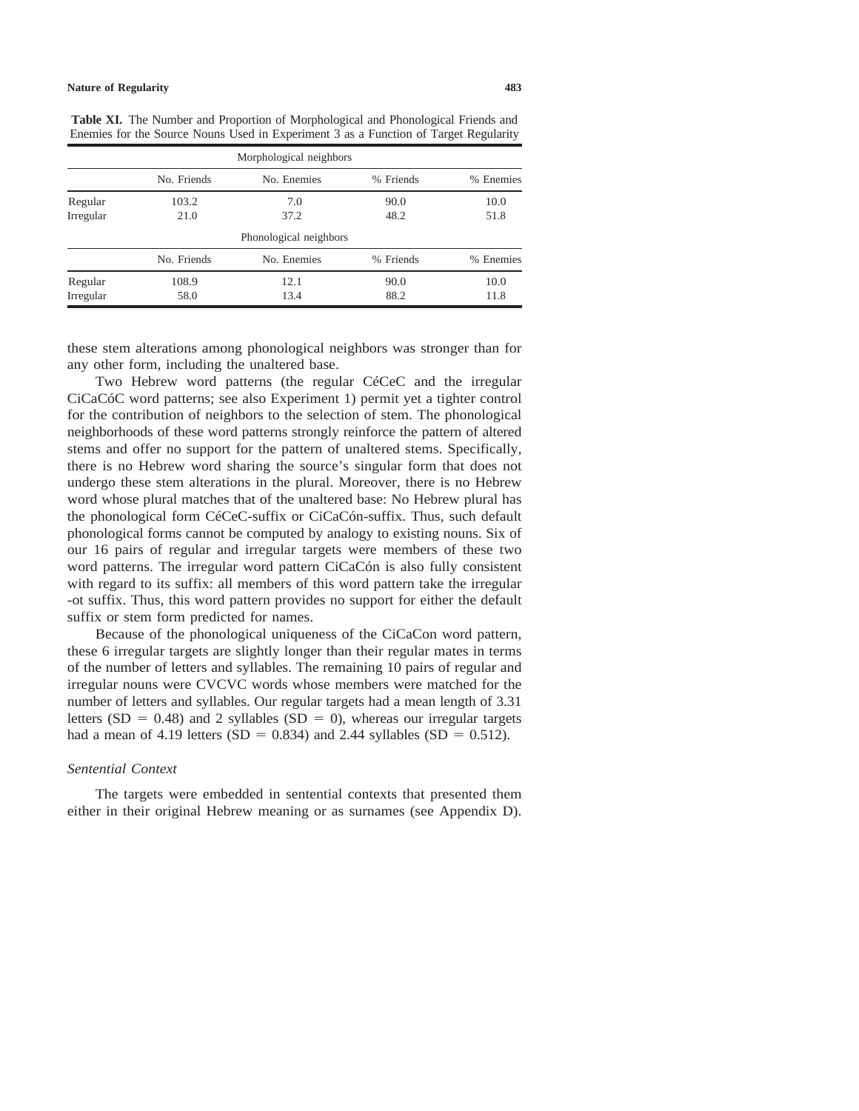|           |             | Morphological neighbors |           |           |
|-----------|-------------|-------------------------|-----------|-----------|
|           | No. Friends | No. Enemies             | % Friends | % Enemies |
| Regular   | 103.2       | 7.0                     | 90.0      | 10.0      |
| Irregular | 21.0        | 37.2                    | 48.2      | 51.8      |
|           |             | Phonological neighbors  |           |           |
|           | No. Friends | No. Enemies             | % Friends | % Enemies |
| Regular   | 108.9       | 12.1                    | 90.0      | 10.0      |
| Irregular | 58.0        | 13.4                    | 88.2      | 11.8      |

**Table XI.** The Number and Proportion of Morphological and Phonological Friends and Enemies for the Source Nouns Used in Experiment 3 as a Function of Target Regularity

these stem alterations among phonological neighbors was stronger than for any other form, including the unaltered base.

Two Hebrew word patterns (the regular CéCeC and the irregular CiCaCóC word patterns; see also Experiment 1) permit yet a tighter control for the contribution of neighbors to the selection of stem. The phonological neighborhoods of these word patterns strongly reinforce the pattern of altered stems and offer no support for the pattern of unaltered stems. Specifically, there is no Hebrew word sharing the source's singular form that does not undergo these stem alterations in the plural. Moreover, there is no Hebrew word whose plural matches that of the unaltered base: No Hebrew plural has the phonological form CéCeC-suffix or CiCaCón-suffix. Thus, such default phonological forms cannot be computed by analogy to existing nouns. Six of our 16 pairs of regular and irregular targets were members of these two word patterns. The irregular word pattern CiCaCón is also fully consistent with regard to its suffix: all members of this word pattern take the irregular -ot suffix. Thus, this word pattern provides no support for either the default suffix or stem form predicted for names.

Because of the phonological uniqueness of the CiCaCon word pattern, these 6 irregular targets are slightly longer than their regular mates in terms of the number of letters and syllables. The remaining 10 pairs of regular and irregular nouns were CVCVC words whose members were matched for the number of letters and syllables. Our regular targets had a mean length of 3.31 letters (SD = 0.48) and 2 syllables (SD = 0), whereas our irregular targets had a mean of 4.19 letters (SD = 0.834) and 2.44 syllables (SD = 0.512).

#### *Sentential Context*

The targets were embedded in sentential contexts that presented them either in their original Hebrew meaning or as surnames (see Appendix D).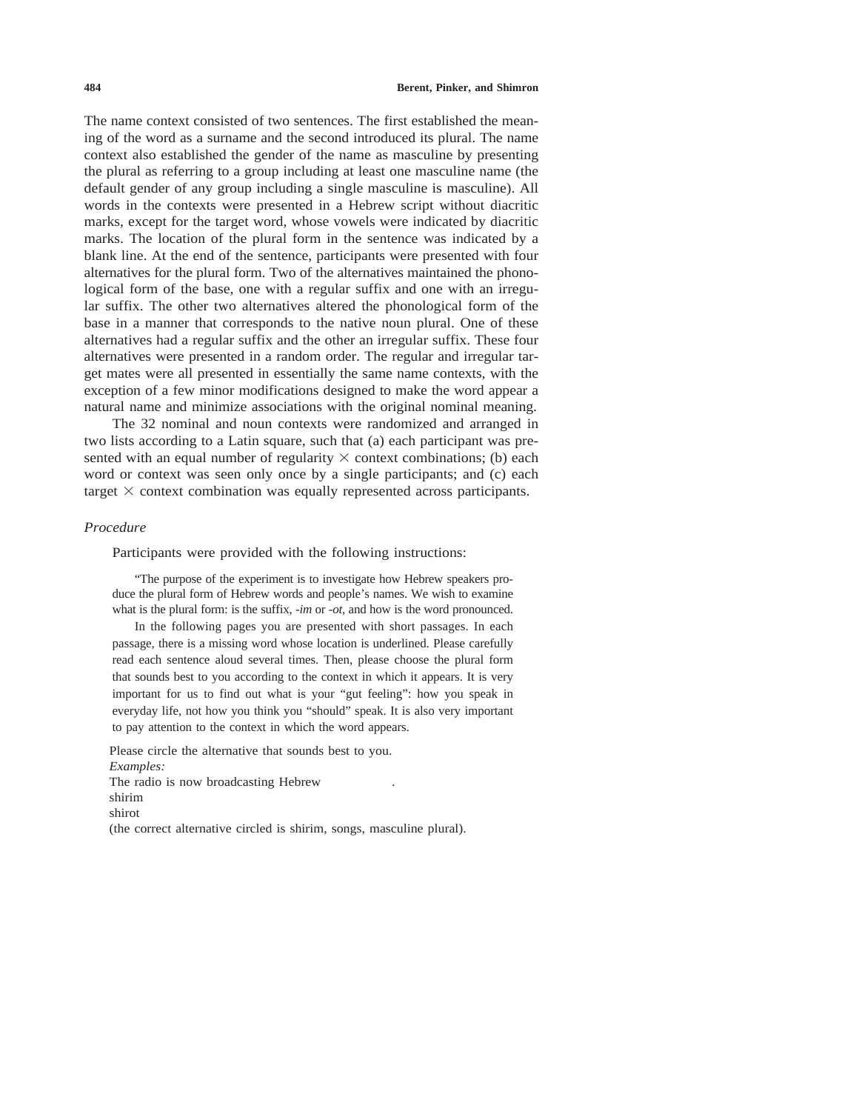The name context consisted of two sentences. The first established the meaning of the word as a surname and the second introduced its plural. The name context also established the gender of the name as masculine by presenting the plural as referring to a group including at least one masculine name (the default gender of any group including a single masculine is masculine). All words in the contexts were presented in a Hebrew script without diacritic marks, except for the target word, whose vowels were indicated by diacritic marks. The location of the plural form in the sentence was indicated by a blank line. At the end of the sentence, participants were presented with four alternatives for the plural form. Two of the alternatives maintained the phonological form of the base, one with a regular suffix and one with an irregular suffix. The other two alternatives altered the phonological form of the base in a manner that corresponds to the native noun plural. One of these alternatives had a regular suffix and the other an irregular suffix. These four alternatives were presented in a random order. The regular and irregular target mates were all presented in essentially the same name contexts, with the exception of a few minor modifications designed to make the word appear a natural name and minimize associations with the original nominal meaning.

The 32 nominal and noun contexts were randomized and arranged in two lists according to a Latin square, such that (a) each participant was presented with an equal number of regularity  $\times$  context combinations; (b) each word or context was seen only once by a single participants; and (c) each target  $\times$  context combination was equally represented across participants.

#### *Procedure*

Participants were provided with the following instructions:

"The purpose of the experiment is to investigate how Hebrew speakers produce the plural form of Hebrew words and people's names. We wish to examine what is the plural form: is the suffix, *-im* or *-ot,* and how is the word pronounced.

In the following pages you are presented with short passages. In each passage, there is a missing word whose location is underlined. Please carefully read each sentence aloud several times. Then, please choose the plural form that sounds best to you according to the context in which it appears. It is very important for us to find out what is your "gut feeling": how you speak in everyday life, not how you think you "should" speak. It is also very important to pay attention to the context in which the word appears.

Please circle the alternative that sounds best to you. *Examples:* The radio is now broadcasting Hebrew . shirim shirot (the correct alternative circled is shirim, songs, masculine plural).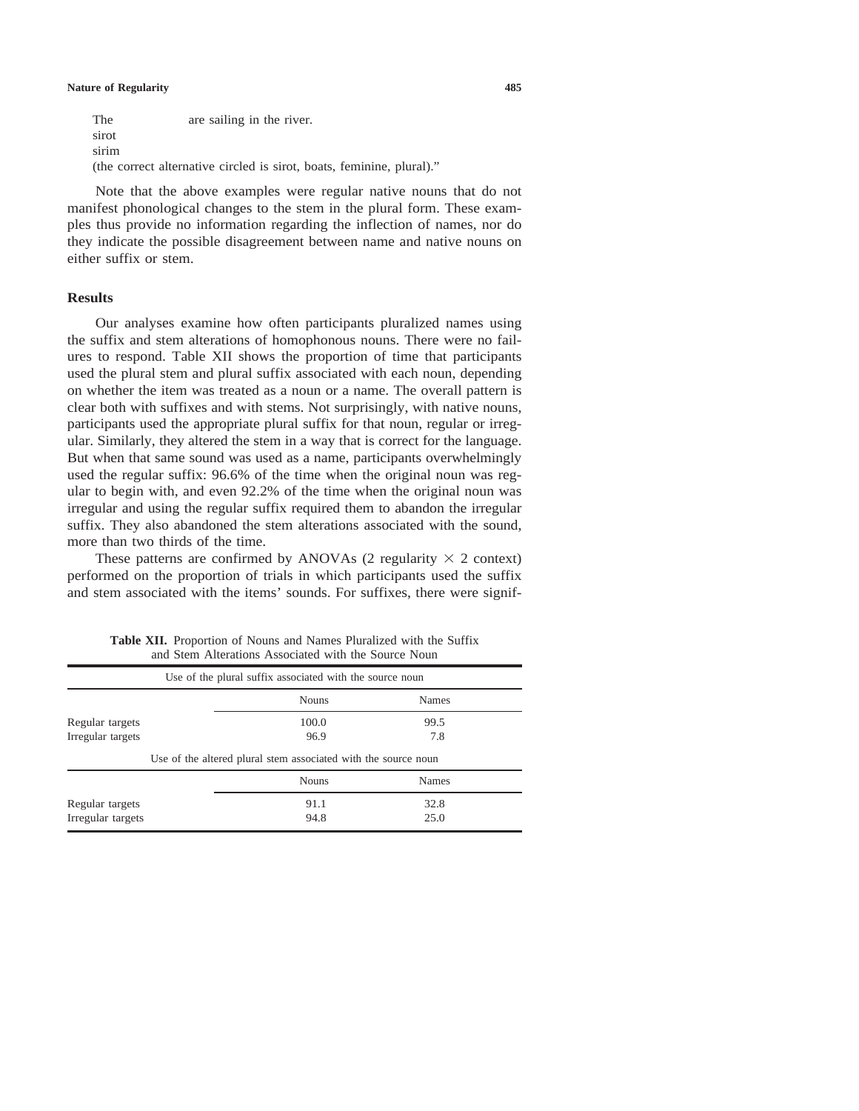The are sailing in the river. sirot sirim (the correct alternative circled is sirot, boats, feminine, plural)."

Note that the above examples were regular native nouns that do not manifest phonological changes to the stem in the plural form. These examples thus provide no information regarding the inflection of names, nor do they indicate the possible disagreement between name and native nouns on either suffix or stem.

#### **Results**

Our analyses examine how often participants pluralized names using the suffix and stem alterations of homophonous nouns. There were no failures to respond. Table XII shows the proportion of time that participants used the plural stem and plural suffix associated with each noun, depending on whether the item was treated as a noun or a name. The overall pattern is clear both with suffixes and with stems. Not surprisingly, with native nouns, participants used the appropriate plural suffix for that noun, regular or irregular. Similarly, they altered the stem in a way that is correct for the language. But when that same sound was used as a name, participants overwhelmingly used the regular suffix: 96.6% of the time when the original noun was regular to begin with, and even 92.2% of the time when the original noun was irregular and using the regular suffix required them to abandon the irregular suffix. They also abandoned the stem alterations associated with the sound, more than two thirds of the time.

These patterns are confirmed by ANOVAs (2 regularity  $\times$  2 context) performed on the proportion of trials in which participants used the suffix and stem associated with the items' sounds. For suffixes, there were signif-

**Table XII.** Proportion of Nouns and Names Pluralized with the Suffix and Stem Alterations Associated with the Source Noun

|                   | Use of the plural suffix associated with the source noun       |              |  |
|-------------------|----------------------------------------------------------------|--------------|--|
|                   | <b>Nouns</b>                                                   | <b>Names</b> |  |
| Regular targets   | 100.0                                                          | 99.5         |  |
| Irregular targets | 96.9                                                           | 7.8          |  |
|                   | Use of the altered plural stem associated with the source noun |              |  |
|                   | <b>Nouns</b>                                                   | <b>Names</b> |  |
| Regular targets   | 91.1                                                           | 32.8         |  |
| Irregular targets | 94.8                                                           | 25.0         |  |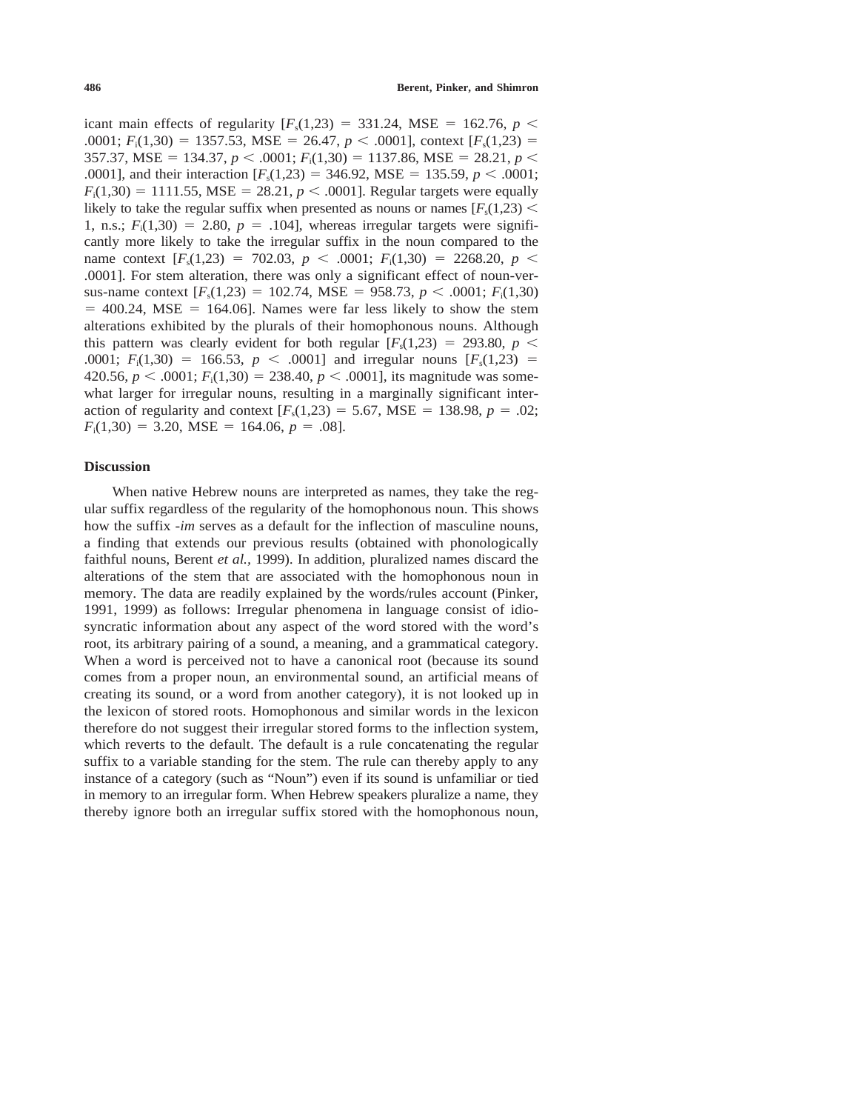icant main effects of regularity  $[F_s(1,23) = 331.24, \text{ MSE} = 162.76, p <$ .0001;  $F_i(1,30) = 1357.53$ , MSE = 26.47,  $p < .0001$ ], context  $[F_s(1,23) =$ 357.37, MSE = 134.37,  $p < .0001$ ;  $F<sub>i</sub>(1,30) = 1137.86$ , MSE = 28.21,  $p <$ .0001], and their interaction  $[F_s(1,23) = 346.92$ , MSE = 135.59,  $p < .0001$ ;  $F_i(1,30) = 1111.55$ , MSE = 28.21,  $p < .0001$ ]. Regular targets were equally likely to take the regular suffix when presented as nouns or names  $[F_s(1,23)$  < 1, n.s.;  $F_1(1,30) = 2.80$ ,  $p = .104$ , whereas irregular targets were significantly more likely to take the irregular suffix in the noun compared to the name context  $[F_s(1,23) = 702.03, p < .0001; F_i(1,30) = 2268.20, p < .0001$ .0001]. For stem alteration, there was only a significant effect of noun-versus-name context  $[F_s(1,23) = 102.74, \text{MSE} = 958.73, p < .0001; F_s(1,30)$  $= 400.24$ , MSE  $= 164.06$ . Names were far less likely to show the stem alterations exhibited by the plurals of their homophonous nouns. Although this pattern was clearly evident for both regular  $[F_s(1,23) = 293.80, p <$ .0001;  $F_i(1,30) = 166.53$ ,  $p < .0001$ ] and irregular nouns  $[F_s(1,23) =$ 420.56,  $p < .0001$ ;  $F<sub>i</sub>(1,30) = 238.40$ ,  $p < .0001$ ], its magnitude was somewhat larger for irregular nouns, resulting in a marginally significant interaction of regularity and context  $[F_s(1,23) = 5.67, \text{MSE} = 138.98, p = .02;$  $F_i(1,30) = 3.20$ , MSE = 164.06, *p* = .08].

#### **Discussion**

When native Hebrew nouns are interpreted as names, they take the regular suffix regardless of the regularity of the homophonous noun. This shows how the suffix *-im* serves as a default for the inflection of masculine nouns, a finding that extends our previous results (obtained with phonologically faithful nouns, Berent *et al.,* 1999). In addition, pluralized names discard the alterations of the stem that are associated with the homophonous noun in memory. The data are readily explained by the words/rules account (Pinker, 1991, 1999) as follows: Irregular phenomena in language consist of idiosyncratic information about any aspect of the word stored with the word's root, its arbitrary pairing of a sound, a meaning, and a grammatical category. When a word is perceived not to have a canonical root (because its sound comes from a proper noun, an environmental sound, an artificial means of creating its sound, or a word from another category), it is not looked up in the lexicon of stored roots. Homophonous and similar words in the lexicon therefore do not suggest their irregular stored forms to the inflection system, which reverts to the default. The default is a rule concatenating the regular suffix to a variable standing for the stem. The rule can thereby apply to any instance of a category (such as "Noun") even if its sound is unfamiliar or tied in memory to an irregular form. When Hebrew speakers pluralize a name, they thereby ignore both an irregular suffix stored with the homophonous noun,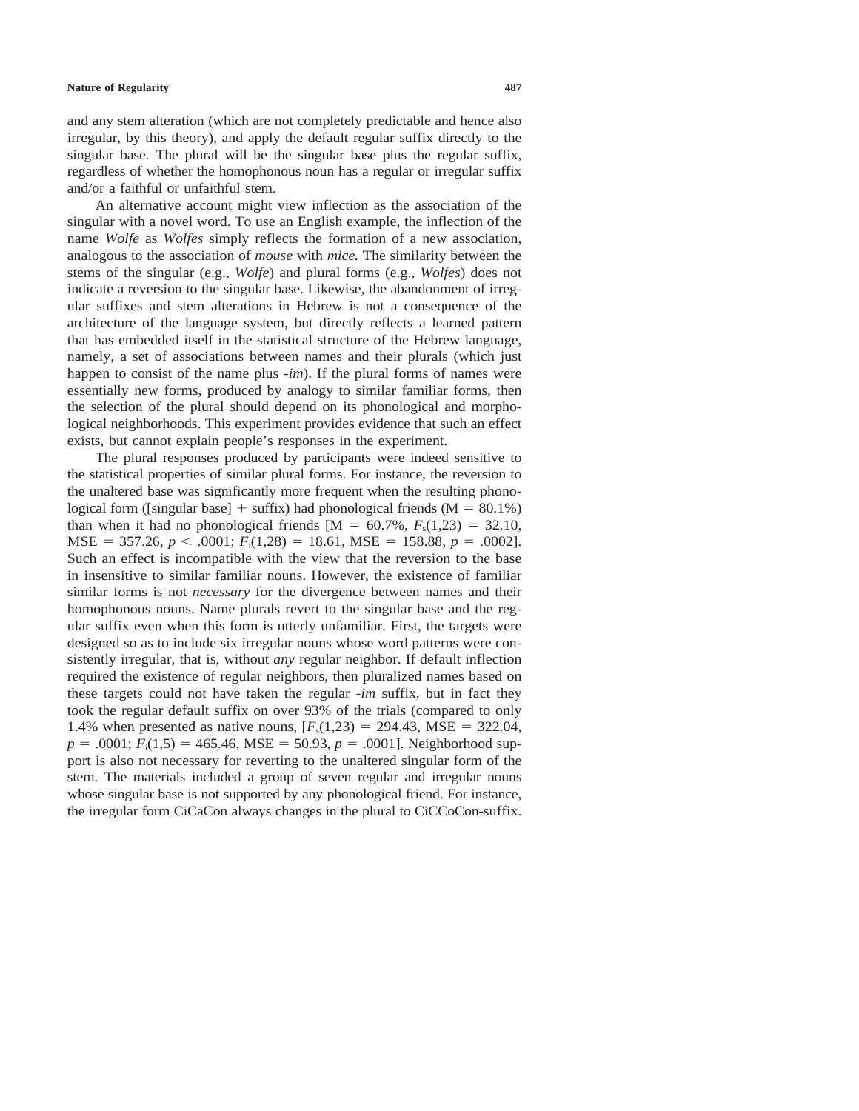and any stem alteration (which are not completely predictable and hence also irregular, by this theory), and apply the default regular suffix directly to the singular base. The plural will be the singular base plus the regular suffix, regardless of whether the homophonous noun has a regular or irregular suffix and/or a faithful or unfaithful stem.

An alternative account might view inflection as the association of the singular with a novel word. To use an English example, the inflection of the name *Wolfe* as *Wolfes* simply reflects the formation of a new association, analogous to the association of *mouse* with *mice.* The similarity between the stems of the singular (e.g., *Wolfe*) and plural forms (e.g., *Wolfes*) does not indicate a reversion to the singular base. Likewise, the abandonment of irregular suffixes and stem alterations in Hebrew is not a consequence of the architecture of the language system, but directly reflects a learned pattern that has embedded itself in the statistical structure of the Hebrew language, namely, a set of associations between names and their plurals (which just happen to consist of the name plus -*im*). If the plural forms of names were essentially new forms, produced by analogy to similar familiar forms, then the selection of the plural should depend on its phonological and morphological neighborhoods. This experiment provides evidence that such an effect exists, but cannot explain people's responses in the experiment.

The plural responses produced by participants were indeed sensitive to the statistical properties of similar plural forms. For instance, the reversion to the unaltered base was significantly more frequent when the resulting phonological form ([singular base]  $+$  suffix) had phonological friends (M = 80.1%) than when it had no phonological friends  $[M = 60.7\%, F_s(1,23) = 32.10,$  $MSE = 357.26, p < .0001; F<sub>i</sub>(1,28) = 18.61, MSE = 158.88, p = .0002$ . Such an effect is incompatible with the view that the reversion to the base in insensitive to similar familiar nouns. However, the existence of familiar similar forms is not *necessary* for the divergence between names and their homophonous nouns. Name plurals revert to the singular base and the regular suffix even when this form is utterly unfamiliar. First, the targets were designed so as to include six irregular nouns whose word patterns were consistently irregular, that is, without *any* regular neighbor. If default inflection required the existence of regular neighbors, then pluralized names based on these targets could not have taken the regular -*im* suffix, but in fact they took the regular default suffix on over 93% of the trials (compared to only 1.4% when presented as native nouns,  $[F_s(1,23) = 294.43, \text{MSE} = 322.04,$  $p = .0001$ ;  $F_1(1,5) = 465.46$ , MSE = 50.93,  $p = .0001$ ]. Neighborhood support is also not necessary for reverting to the unaltered singular form of the stem. The materials included a group of seven regular and irregular nouns whose singular base is not supported by any phonological friend. For instance, the irregular form CiCaCon always changes in the plural to CiCCoCon-suffix.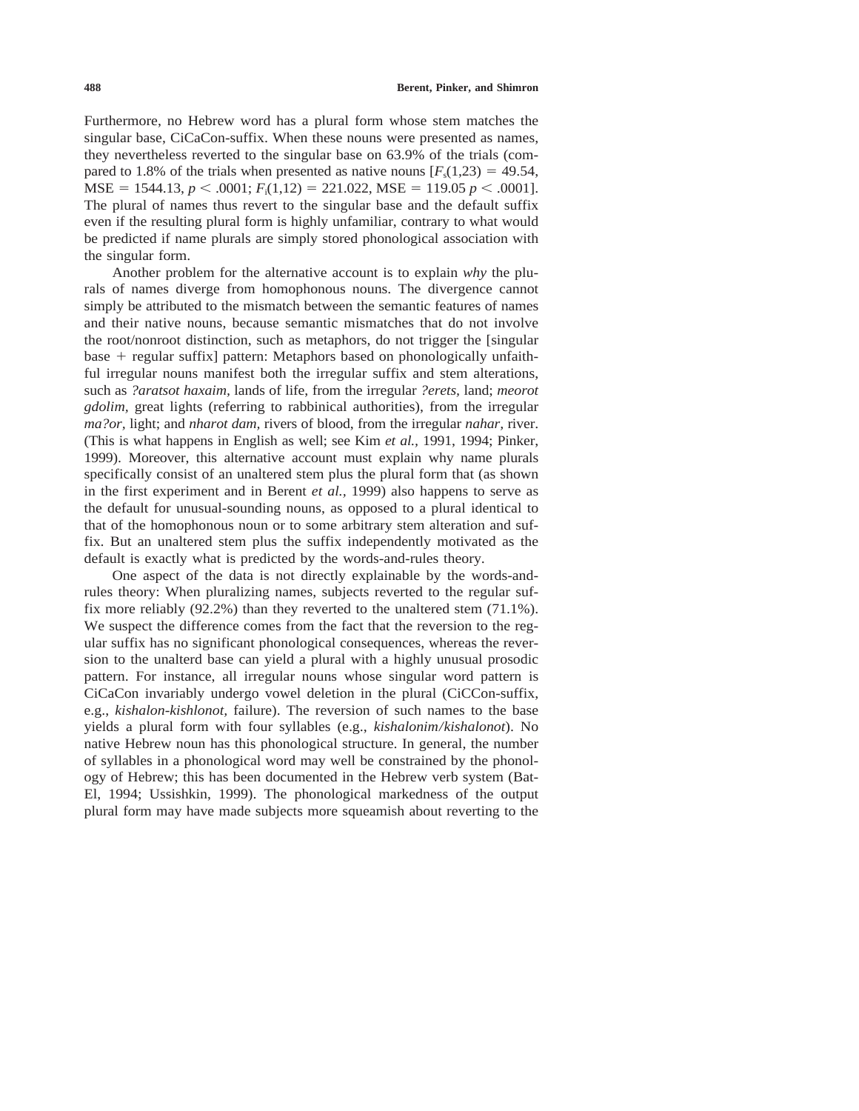Furthermore, no Hebrew word has a plural form whose stem matches the singular base, CiCaCon-suffix. When these nouns were presented as names, they nevertheless reverted to the singular base on 63.9% of the trials (compared to 1.8% of the trials when presented as native nouns  $[F<sub>s</sub>(1,23) = 49.54]$ ,  $MSE = 1544.13, p < .0001; F<sub>i</sub>(1,12) = 221.022, MSE = 119.05 p < .0001$ . The plural of names thus revert to the singular base and the default suffix even if the resulting plural form is highly unfamiliar, contrary to what would be predicted if name plurals are simply stored phonological association with the singular form.

Another problem for the alternative account is to explain *why* the plurals of names diverge from homophonous nouns. The divergence cannot simply be attributed to the mismatch between the semantic features of names and their native nouns, because semantic mismatches that do not involve the root/nonroot distinction, such as metaphors, do not trigger the [singular base  $+$  regular suffix] pattern: Metaphors based on phonologically unfaithful irregular nouns manifest both the irregular suffix and stem alterations, such as *?aratsot haxaim,* lands of life, from the irregular *?erets,* land; *meorot gdolim,* great lights (referring to rabbinical authorities), from the irregular *ma?or,* light; and *nharot dam,* rivers of blood, from the irregular *nahar,* river. (This is what happens in English as well; see Kim *et al.,* 1991, 1994; Pinker, 1999). Moreover, this alternative account must explain why name plurals specifically consist of an unaltered stem plus the plural form that (as shown in the first experiment and in Berent *et al.,* 1999) also happens to serve as the default for unusual-sounding nouns, as opposed to a plural identical to that of the homophonous noun or to some arbitrary stem alteration and suffix. But an unaltered stem plus the suffix independently motivated as the default is exactly what is predicted by the words-and-rules theory.

One aspect of the data is not directly explainable by the words-andrules theory: When pluralizing names, subjects reverted to the regular suffix more reliably (92.2%) than they reverted to the unaltered stem (71.1%). We suspect the difference comes from the fact that the reversion to the regular suffix has no significant phonological consequences, whereas the reversion to the unalterd base can yield a plural with a highly unusual prosodic pattern. For instance, all irregular nouns whose singular word pattern is CiCaCon invariably undergo vowel deletion in the plural (CiCCon-suffix, e.g., *kishalon-kishlonot,* failure). The reversion of such names to the base yields a plural form with four syllables (e.g., *kishalonim/kishalonot*). No native Hebrew noun has this phonological structure. In general, the number of syllables in a phonological word may well be constrained by the phonology of Hebrew; this has been documented in the Hebrew verb system (Bat-El, 1994; Ussishkin, 1999). The phonological markedness of the output plural form may have made subjects more squeamish about reverting to the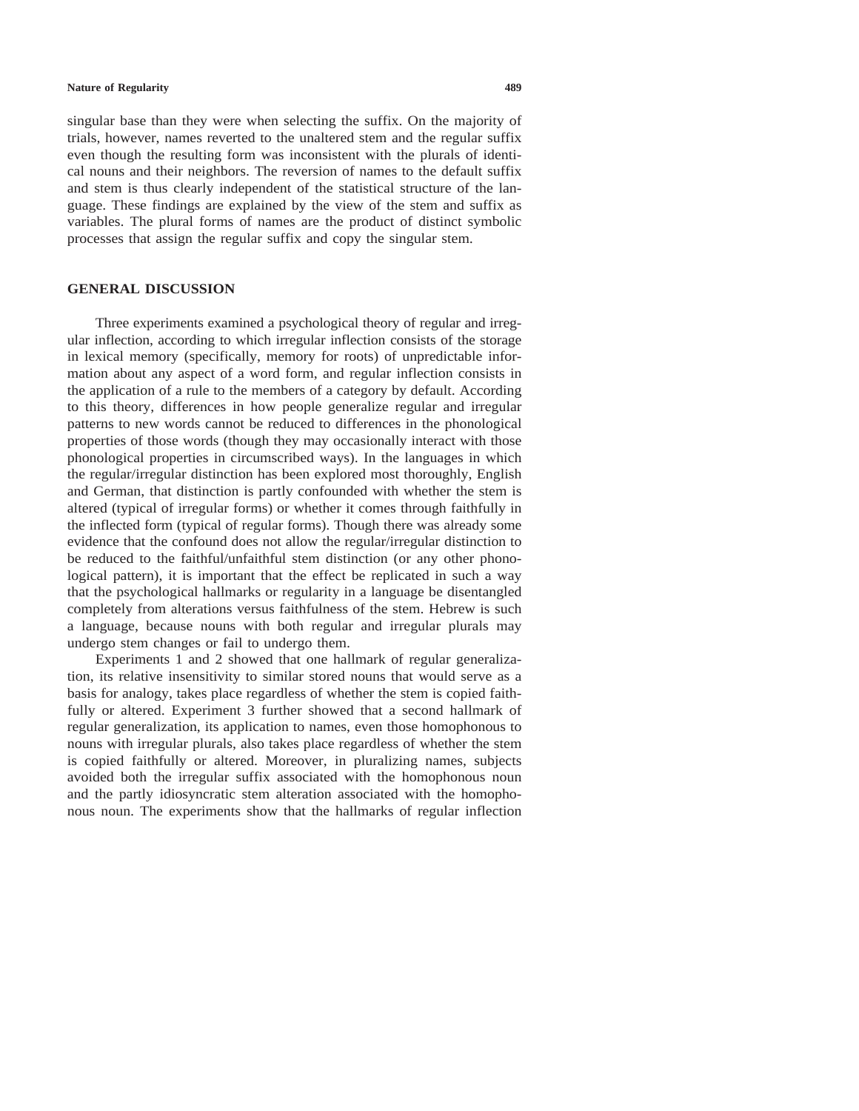singular base than they were when selecting the suffix. On the majority of trials, however, names reverted to the unaltered stem and the regular suffix even though the resulting form was inconsistent with the plurals of identical nouns and their neighbors. The reversion of names to the default suffix and stem is thus clearly independent of the statistical structure of the language. These findings are explained by the view of the stem and suffix as variables. The plural forms of names are the product of distinct symbolic processes that assign the regular suffix and copy the singular stem.

#### **GENERAL DISCUSSION**

Three experiments examined a psychological theory of regular and irregular inflection, according to which irregular inflection consists of the storage in lexical memory (specifically, memory for roots) of unpredictable information about any aspect of a word form, and regular inflection consists in the application of a rule to the members of a category by default. According to this theory, differences in how people generalize regular and irregular patterns to new words cannot be reduced to differences in the phonological properties of those words (though they may occasionally interact with those phonological properties in circumscribed ways). In the languages in which the regular/irregular distinction has been explored most thoroughly, English and German, that distinction is partly confounded with whether the stem is altered (typical of irregular forms) or whether it comes through faithfully in the inflected form (typical of regular forms). Though there was already some evidence that the confound does not allow the regular/irregular distinction to be reduced to the faithful/unfaithful stem distinction (or any other phonological pattern), it is important that the effect be replicated in such a way that the psychological hallmarks or regularity in a language be disentangled completely from alterations versus faithfulness of the stem. Hebrew is such a language, because nouns with both regular and irregular plurals may undergo stem changes or fail to undergo them.

Experiments 1 and 2 showed that one hallmark of regular generalization, its relative insensitivity to similar stored nouns that would serve as a basis for analogy, takes place regardless of whether the stem is copied faithfully or altered. Experiment 3 further showed that a second hallmark of regular generalization, its application to names, even those homophonous to nouns with irregular plurals, also takes place regardless of whether the stem is copied faithfully or altered. Moreover, in pluralizing names, subjects avoided both the irregular suffix associated with the homophonous noun and the partly idiosyncratic stem alteration associated with the homophonous noun. The experiments show that the hallmarks of regular inflection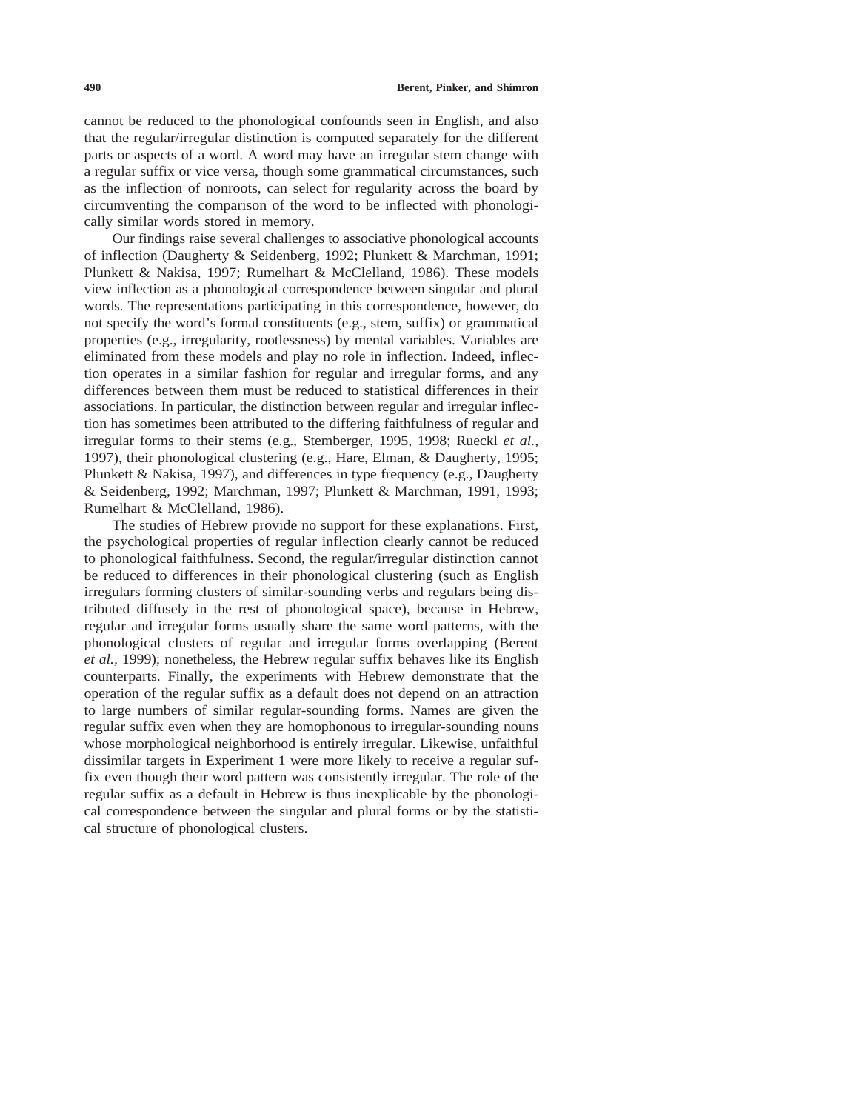cannot be reduced to the phonological confounds seen in English, and also that the regular/irregular distinction is computed separately for the different parts or aspects of a word. A word may have an irregular stem change with a regular suffix or vice versa, though some grammatical circumstances, such as the inflection of nonroots, can select for regularity across the board by circumventing the comparison of the word to be inflected with phonologically similar words stored in memory.

Our findings raise several challenges to associative phonological accounts of inflection (Daugherty & Seidenberg, 1992; Plunkett & Marchman, 1991; Plunkett & Nakisa, 1997; Rumelhart & McClelland, 1986). These models view inflection as a phonological correspondence between singular and plural words. The representations participating in this correspondence, however, do not specify the word's formal constituents (e.g., stem, suffix) or grammatical properties (e.g., irregularity, rootlessness) by mental variables. Variables are eliminated from these models and play no role in inflection. Indeed, inflection operates in a similar fashion for regular and irregular forms, and any differences between them must be reduced to statistical differences in their associations. In particular, the distinction between regular and irregular inflection has sometimes been attributed to the differing faithfulness of regular and irregular forms to their stems (e.g., Stemberger, 1995, 1998; Rueckl *et al.,* 1997), their phonological clustering (e.g., Hare, Elman, & Daugherty, 1995; Plunkett & Nakisa, 1997), and differences in type frequency (e.g., Daugherty & Seidenberg, 1992; Marchman, 1997; Plunkett & Marchman, 1991, 1993; Rumelhart & McClelland, 1986).

The studies of Hebrew provide no support for these explanations. First, the psychological properties of regular inflection clearly cannot be reduced to phonological faithfulness. Second, the regular/irregular distinction cannot be reduced to differences in their phonological clustering (such as English irregulars forming clusters of similar-sounding verbs and regulars being distributed diffusely in the rest of phonological space), because in Hebrew, regular and irregular forms usually share the same word patterns, with the phonological clusters of regular and irregular forms overlapping (Berent *et al.,* 1999); nonetheless, the Hebrew regular suffix behaves like its English counterparts. Finally, the experiments with Hebrew demonstrate that the operation of the regular suffix as a default does not depend on an attraction to large numbers of similar regular-sounding forms. Names are given the regular suffix even when they are homophonous to irregular-sounding nouns whose morphological neighborhood is entirely irregular. Likewise, unfaithful dissimilar targets in Experiment 1 were more likely to receive a regular suffix even though their word pattern was consistently irregular. The role of the regular suffix as a default in Hebrew is thus inexplicable by the phonological correspondence between the singular and plural forms or by the statistical structure of phonological clusters.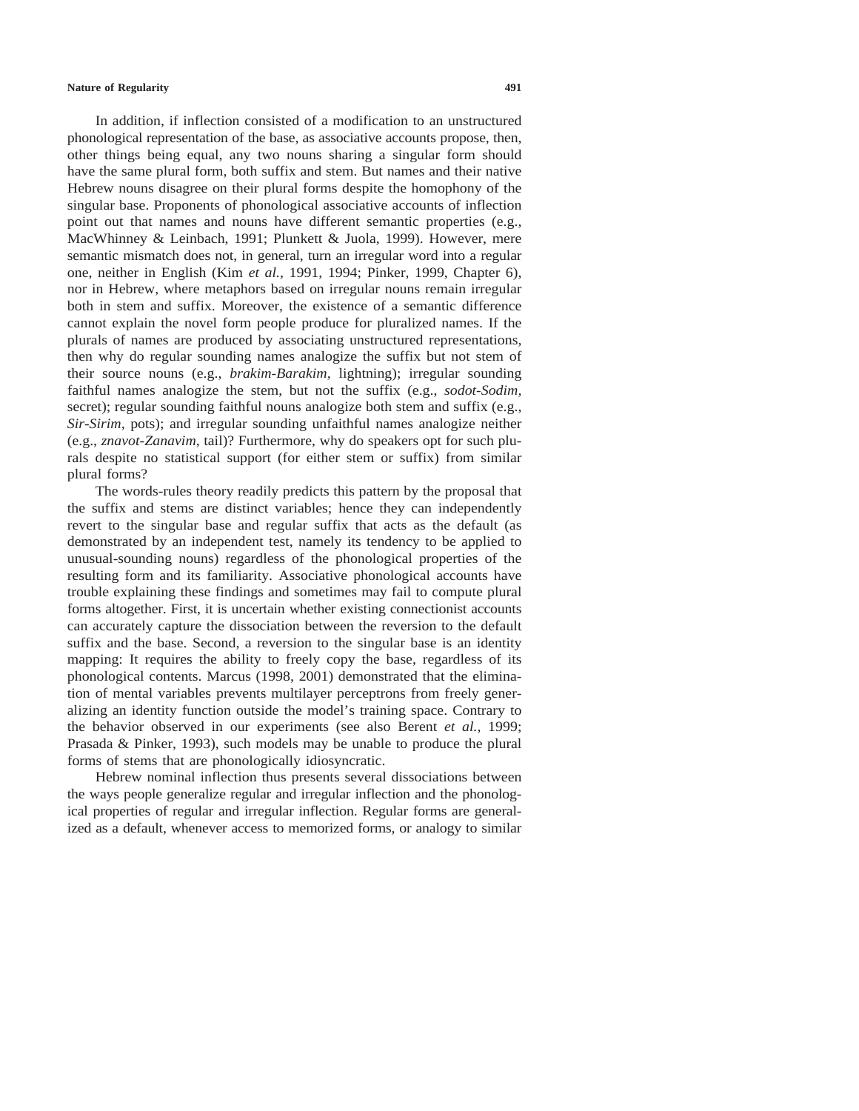In addition, if inflection consisted of a modification to an unstructured phonological representation of the base, as associative accounts propose, then, other things being equal, any two nouns sharing a singular form should have the same plural form, both suffix and stem. But names and their native Hebrew nouns disagree on their plural forms despite the homophony of the singular base. Proponents of phonological associative accounts of inflection point out that names and nouns have different semantic properties (e.g., MacWhinney & Leinbach, 1991; Plunkett & Juola, 1999). However, mere semantic mismatch does not, in general, turn an irregular word into a regular one, neither in English (Kim *et al.,* 1991, 1994; Pinker, 1999, Chapter 6), nor in Hebrew, where metaphors based on irregular nouns remain irregular both in stem and suffix. Moreover, the existence of a semantic difference cannot explain the novel form people produce for pluralized names. If the plurals of names are produced by associating unstructured representations, then why do regular sounding names analogize the suffix but not stem of their source nouns (e.g., *brakim-Barakim,* lightning); irregular sounding faithful names analogize the stem, but not the suffix (e.g., *sodot-Sodim,* secret); regular sounding faithful nouns analogize both stem and suffix (e.g., *Sir-Sirim,* pots); and irregular sounding unfaithful names analogize neither (e.g., *znavot-Zanavim,* tail)? Furthermore, why do speakers opt for such plurals despite no statistical support (for either stem or suffix) from similar plural forms?

The words-rules theory readily predicts this pattern by the proposal that the suffix and stems are distinct variables; hence they can independently revert to the singular base and regular suffix that acts as the default (as demonstrated by an independent test, namely its tendency to be applied to unusual-sounding nouns) regardless of the phonological properties of the resulting form and its familiarity. Associative phonological accounts have trouble explaining these findings and sometimes may fail to compute plural forms altogether. First, it is uncertain whether existing connectionist accounts can accurately capture the dissociation between the reversion to the default suffix and the base. Second, a reversion to the singular base is an identity mapping: It requires the ability to freely copy the base, regardless of its phonological contents. Marcus (1998, 2001) demonstrated that the elimination of mental variables prevents multilayer perceptrons from freely generalizing an identity function outside the model's training space. Contrary to the behavior observed in our experiments (see also Berent *et al.,* 1999; Prasada & Pinker, 1993), such models may be unable to produce the plural forms of stems that are phonologically idiosyncratic.

Hebrew nominal inflection thus presents several dissociations between the ways people generalize regular and irregular inflection and the phonological properties of regular and irregular inflection. Regular forms are generalized as a default, whenever access to memorized forms, or analogy to similar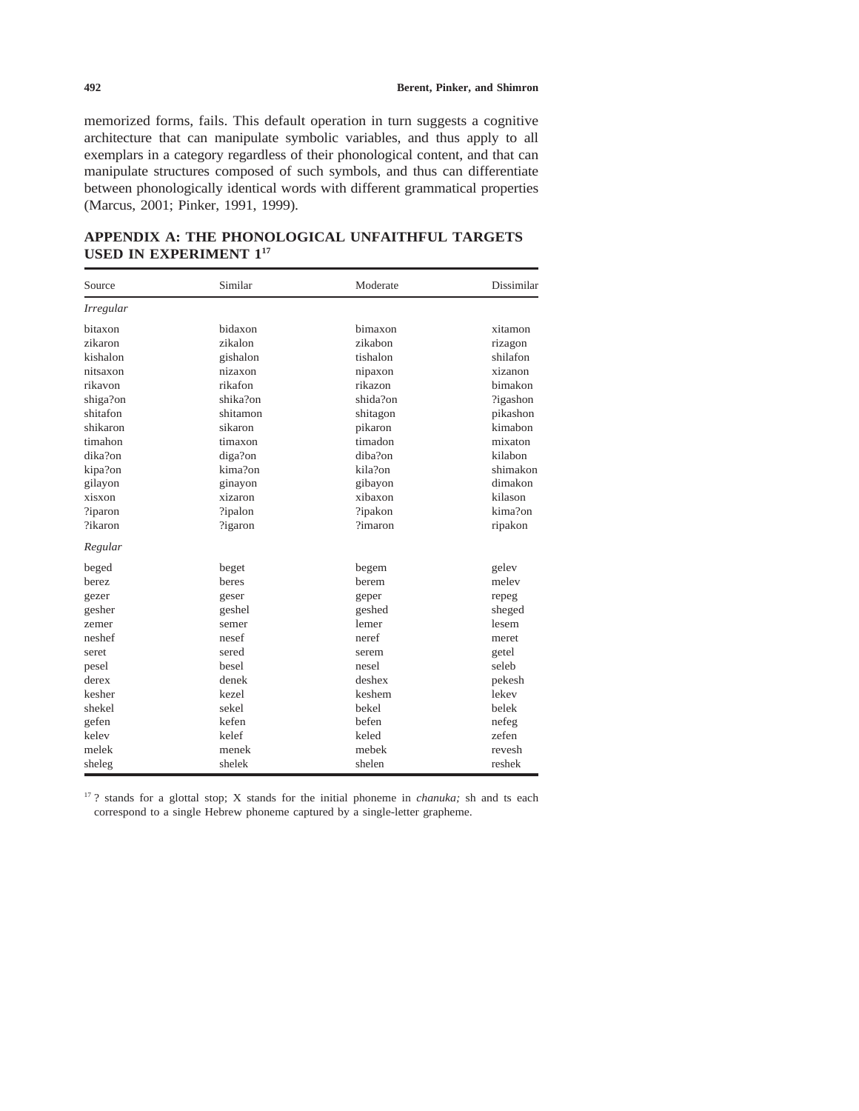memorized forms, fails. This default operation in turn suggests a cognitive architecture that can manipulate symbolic variables, and thus apply to all exemplars in a category regardless of their phonological content, and that can manipulate structures composed of such symbols, and thus can differentiate between phonologically identical words with different grammatical properties (Marcus, 2001; Pinker, 1991, 1999).

| Source           | Similar  | Moderate | Dissimilar |
|------------------|----------|----------|------------|
| <i>Irregular</i> |          |          |            |
| bitaxon          | bidaxon  | bimaxon  | xitamon    |
| zikaron          | zikalon  | zikabon  | rizagon    |
| kishalon         | gishalon | tishalon | shilafon   |
| nitsaxon         | nizaxon  | nipaxon  | xizanon    |
| rikavon          | rikafon  | rikazon  | bimakon    |
| shiga?on         | shika?on | shida?on | ?igashon   |
| shitafon         | shitamon | shitagon | pikashon   |
| shikaron         | sikaron  | pikaron  | kimabon    |
| timahon          | timaxon  | timadon  | mixaton    |
| dika?on          | diga?on  | diba?on  | kilabon    |
| kipa?on          | kima?on  | kila?on  | shimakon   |
| gilayon          | ginayon  | gibayon  | dimakon    |
| xisxon           | xizaron  | xibaxon  | kilason    |
| ?iparon          | ?ipalon  | ?ipakon  | kima?on    |
| ?ikaron          | ?igaron  | ?imaron  | ripakon    |
| Regular          |          |          |            |
| beged            | beget    | begem    | gelev      |
| berez            | beres    | herem    | melev      |
| gezer            | geser    | geper    | repeg      |
| gesher           | geshel   | geshed   | sheged     |
| zemer            | semer    | lemer    | lesem      |
| neshef           | nesef    | neref    | meret      |
| seret            | sered    | serem    | getel      |
| pesel            | besel    | nesel    | seleb      |
| derex            | denek    | deshex   | pekesh     |
| kesher           | kezel    | keshem   | lekey      |
| shekel           | sekel    | bekel    | belek      |
| gefen            | kefen    | befen    | nefeg      |
| kelev            | kelef    | keled    | zefen      |
| melek            | menek    | mebek    | revesh     |
| sheleg           | shelek   | shelen   | reshek     |

**APPENDIX A: THE PHONOLOGICAL UNFAITHFUL TARGETS USED IN EXPERIMENT 1<sup>17</sup>** 

<sup>17</sup>? stands for a glottal stop; X stands for the initial phoneme in *chanuka*; sh and ts each correspond to a single Hebrew phoneme captured by a single-letter grapheme.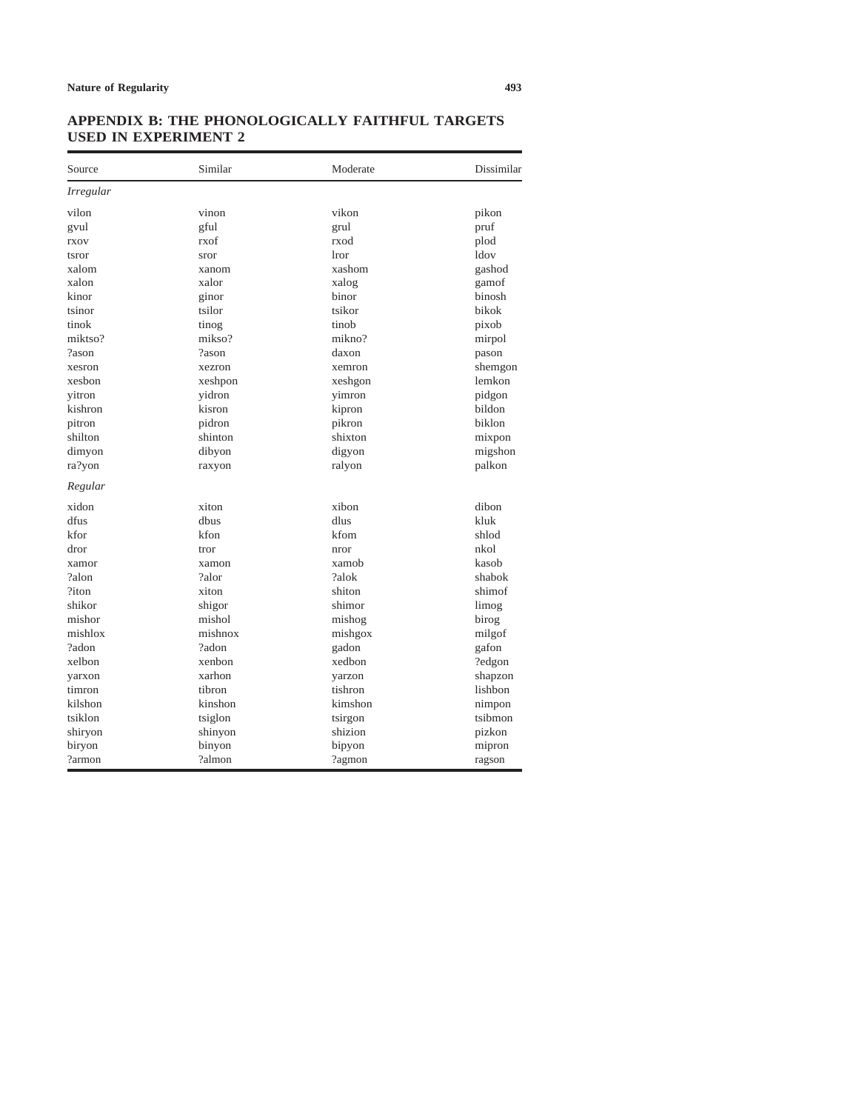## **APPENDIX B: THE PHONOLOGICALLY FAITHFUL TARGETS USED IN EXPERIMENT 2**

| Source           | Similar<br>Moderate |             | Dissimilar |
|------------------|---------------------|-------------|------------|
| <b>Irregular</b> |                     |             |            |
| vilon            | vinon               | vikon       | pikon      |
| gvul             | gful                | grul        | pruf       |
| rxov             | rxof                | rxod        | plod       |
| tsror            | sror                | <b>lror</b> | ldov       |
| xalom            | xanom               | xashom      | gashod     |
| xalon            | xalor               | xalog       | gamof      |
| kinor            | ginor               | binor       | binosh     |
| tsinor           | tsilor              | tsikor      | bikok      |
| tinok            | tinog               | tinob       | pixob      |
| miktso?          | mikso?              | mikno?      | mirpol     |
| ?ason            | ?ason               | daxon       | pason      |
| xesron           | xezron              | xemron      | shemgon    |
| xesbon           | xeshpon             | xeshgon     | lemkon     |
| yitron           | yidron              | yimron      | pidgon     |
| kishron          | kisron              | kipron      | bildon     |
| pitron           | pidron              | pikron      | biklon     |
| shilton          | shinton             | shixton     | mixpon     |
| dimyon           | dibyon              | digyon      | migshon    |
| ra?yon           | raxyon              | ralyon      | palkon     |
| Regular          |                     |             |            |
| xidon            | xiton               | xibon       | dibon      |
| dfus             | dbus                | dlus        | kluk       |
| kfor             | kfon                | kfom        | shlod      |
| dror             | tror                | nror        | nkol       |
| xamor            | xamon               | xamob       | kasob      |
| ?alon            | ?alor               | ?alok       | shabok     |
| ?iton            | xiton               | shiton      | shimof     |
| shikor           | shigor              | shimor      | limog      |
| mishor           | mishol              | mishog      | birog      |
| mishlox          | mishnox             | mishgox     | milgof     |
| ?adon            | ?adon               | gadon       | gafon      |
| xelbon           | xenbon              | xedbon      | ?edgon     |
| yarxon           | xarhon              | yarzon      | shapzon    |
| timron           | tibron              | tishron     | lishbon    |
| kilshon          | kinshon             | kimshon     | nimpon     |
| tsiklon          | tsiglon             | tsirgon     | tsibmon    |
| shiryon          | shinyon             | shizion     | pizkon     |
| biryon           | binyon              | bipyon      | mipron     |
| ?armon           | ?almon              | ?agmon      | ragson     |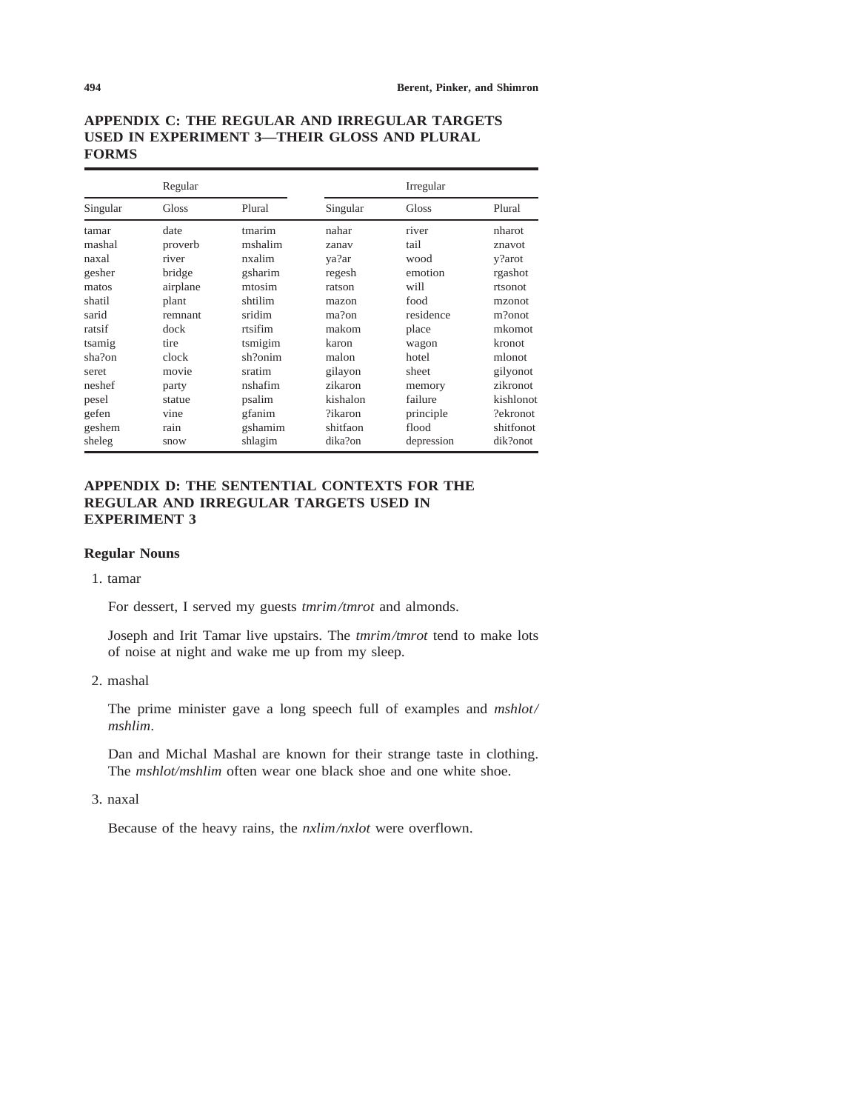|          | Regular  |         |          | Irregular  |           |
|----------|----------|---------|----------|------------|-----------|
| Singular | Gloss    | Plural  | Singular | Gloss      | Plural    |
| tamar    | date     | tmarim  | nahar    | river      | nharot    |
| mashal   | proverb  | mshalim | zanav    | tail       | znavot    |
| naxal    | river    | nxalim  | ya?ar    | wood       | y?arot    |
| gesher   | bridge   | gsharim | regesh   | emotion    | rgashot   |
| matos    | airplane | mtosim  | ratson   | will       | rtsonot   |
| shatil   | plant    | shtilim | mazon    | food       | mzonot    |
| sarid    | remnant  | sridim  | $ma?$ on | residence  | m?onot    |
| ratsif   | dock     | rtsifim | makom    | place      | mkomot    |
| tsamig   | tire     | tsmigim | karon    | wagon      | kronot    |
| sha?on   | clock    | sh?onim | malon    | hotel      | mlonot    |
| seret    | movie    | sratim  | gilayon  | sheet      | gilyonot  |
| neshef   | party    | nshafim | zikaron  | memory     | zikronot  |
| pesel    | statue   | psalim  | kishalon | failure    | kishlonot |
| gefen    | vine     | gfanim  | ?ikaron  | principle  | ?ekronot  |
| geshem   | rain     | gshamim | shitfaon | flood      | shitfonot |
| sheleg   | snow     | shlagim | dika?on  | depression | dik?onot  |

## **APPENDIX C: THE REGULAR AND IRREGULAR TARGETS USED IN EXPERIMENT 3—THEIR GLOSS AND PLURAL FORMS**

## **APPENDIX D: THE SENTENTIAL CONTEXTS FOR THE REGULAR AND IRREGULAR TARGETS USED IN EXPERIMENT 3**

## **Regular Nouns**

## 1. tamar

For dessert, I served my guests *tmrim/tmrot* and almonds.

Joseph and Irit Tamar live upstairs. The *tmrim/tmrot* tend to make lots of noise at night and wake me up from my sleep.

## 2. mashal

The prime minister gave a long speech full of examples and *mshlot/ mshlim*.

Dan and Michal Mashal are known for their strange taste in clothing. The *mshlot/mshlim* often wear one black shoe and one white shoe.

## 3. naxal

Because of the heavy rains, the *nxlim/nxlot* were overflown.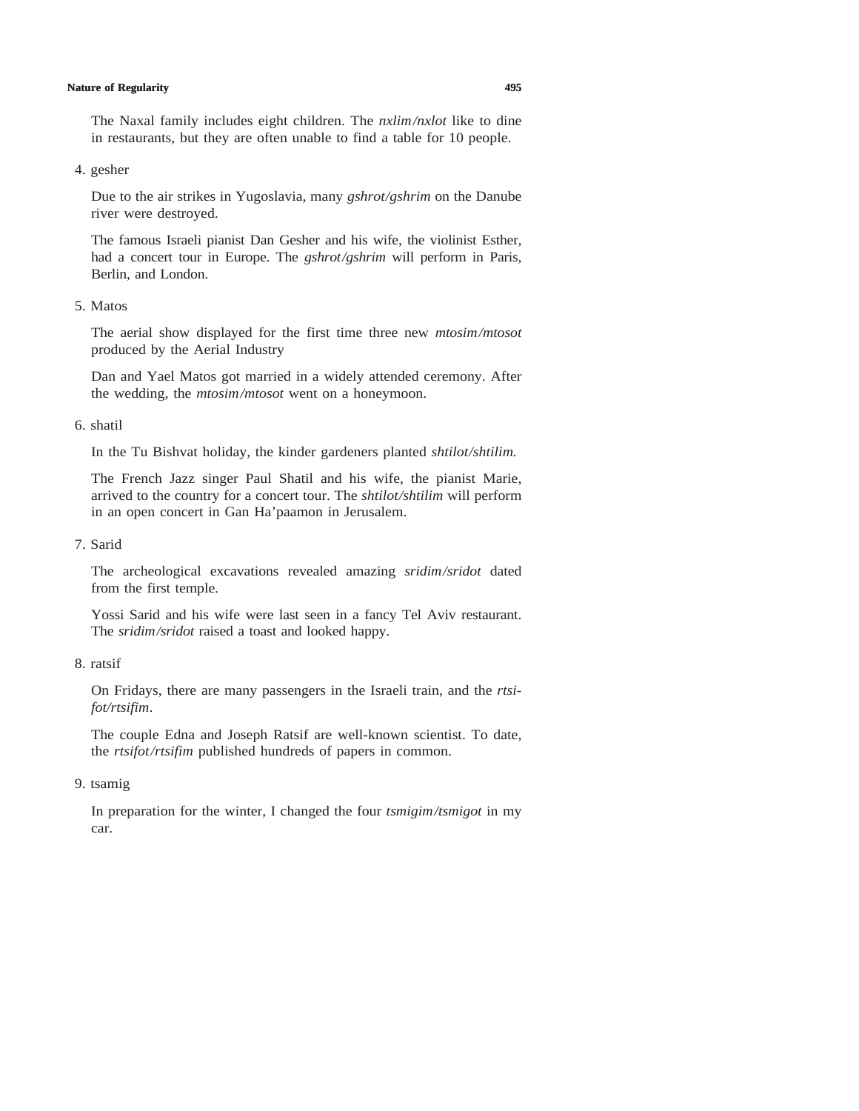The Naxal family includes eight children. The *nxlim/nxlot* like to dine in restaurants, but they are often unable to find a table for 10 people.

## 4. gesher

Due to the air strikes in Yugoslavia, many *gshrot/gshrim* on the Danube river were destroyed.

The famous Israeli pianist Dan Gesher and his wife, the violinist Esther, had a concert tour in Europe. The *gshrot/gshrim* will perform in Paris, Berlin, and London.

## 5. Matos

The aerial show displayed for the first time three new *mtosim/mtosot* produced by the Aerial Industry

Dan and Yael Matos got married in a widely attended ceremony. After the wedding, the *mtosim/mtosot* went on a honeymoon.

#### 6. shatil

In the Tu Bishvat holiday, the kinder gardeners planted *shtilot/shtilim.*

The French Jazz singer Paul Shatil and his wife, the pianist Marie, arrived to the country for a concert tour. The *shtilot/shtilim* will perform in an open concert in Gan Ha'paamon in Jerusalem.

## 7. Sarid

The archeological excavations revealed amazing *sridim/sridot* dated from the first temple.

Yossi Sarid and his wife were last seen in a fancy Tel Aviv restaurant. The *sridim/sridot* raised a toast and looked happy.

## 8. ratsif

On Fridays, there are many passengers in the Israeli train, and the *rtsifot/rtsifim*.

The couple Edna and Joseph Ratsif are well-known scientist. To date, the *rtsifot/rtsifim* published hundreds of papers in common.

#### 9. tsamig

In preparation for the winter, I changed the four *tsmigim/tsmigot* in my car.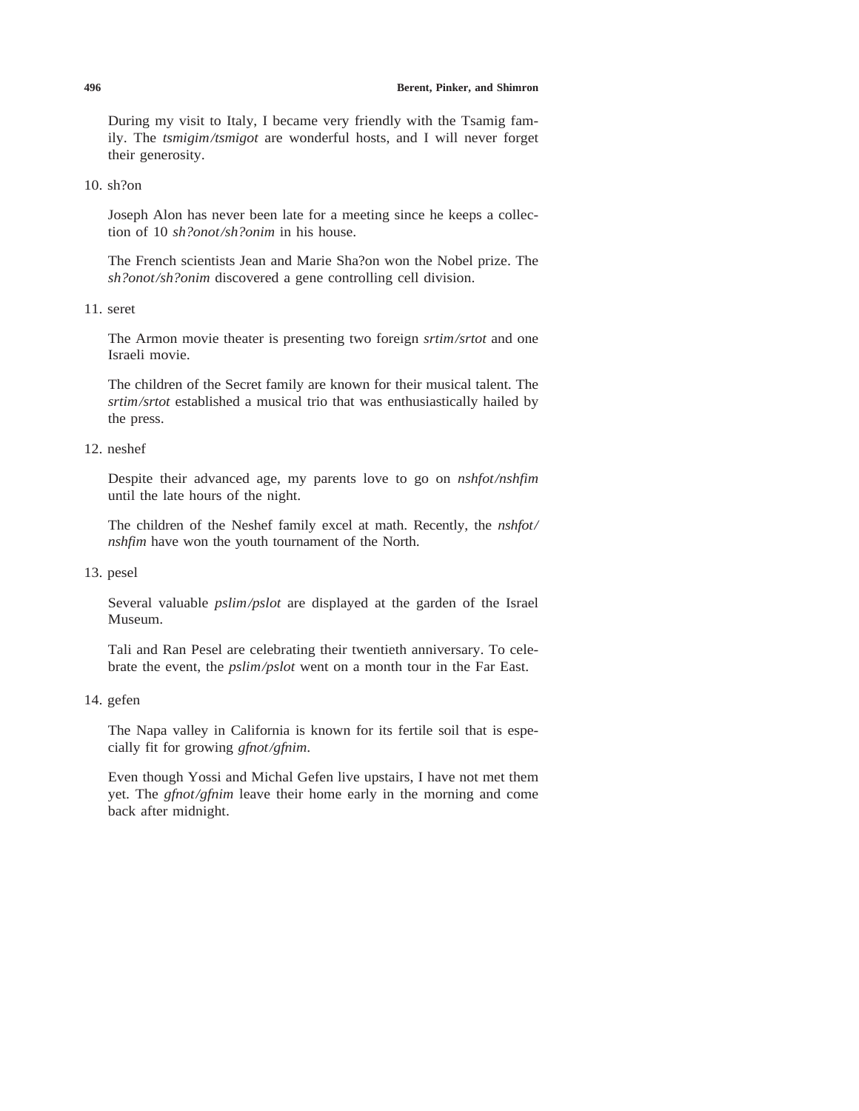#### **496 Berent, Pinker, and Shimron**

During my visit to Italy, I became very friendly with the Tsamig family. The *tsmigim/tsmigot* are wonderful hosts, and I will never forget their generosity.

## 10. sh?on

Joseph Alon has never been late for a meeting since he keeps a collection of 10 *sh?onot/sh?onim* in his house.

The French scientists Jean and Marie Sha?on won the Nobel prize. The *sh?onot/sh?onim* discovered a gene controlling cell division.

## 11. seret

The Armon movie theater is presenting two foreign *srtim/srtot* and one Israeli movie.

The children of the Secret family are known for their musical talent. The *srtim/srtot* established a musical trio that was enthusiastically hailed by the press.

## 12. neshef

Despite their advanced age, my parents love to go on *nshfot/nshfim* until the late hours of the night.

The children of the Neshef family excel at math. Recently, the *nshfot/ nshfim* have won the youth tournament of the North.

## 13. pesel

Several valuable *pslim/pslot* are displayed at the garden of the Israel Museum.

Tali and Ran Pesel are celebrating their twentieth anniversary. To celebrate the event, the *pslim/pslot* went on a month tour in the Far East.

## 14. gefen

The Napa valley in California is known for its fertile soil that is especially fit for growing *gfnot/gfnim*.

Even though Yossi and Michal Gefen live upstairs, I have not met them yet. The *gfnot/gfnim* leave their home early in the morning and come back after midnight.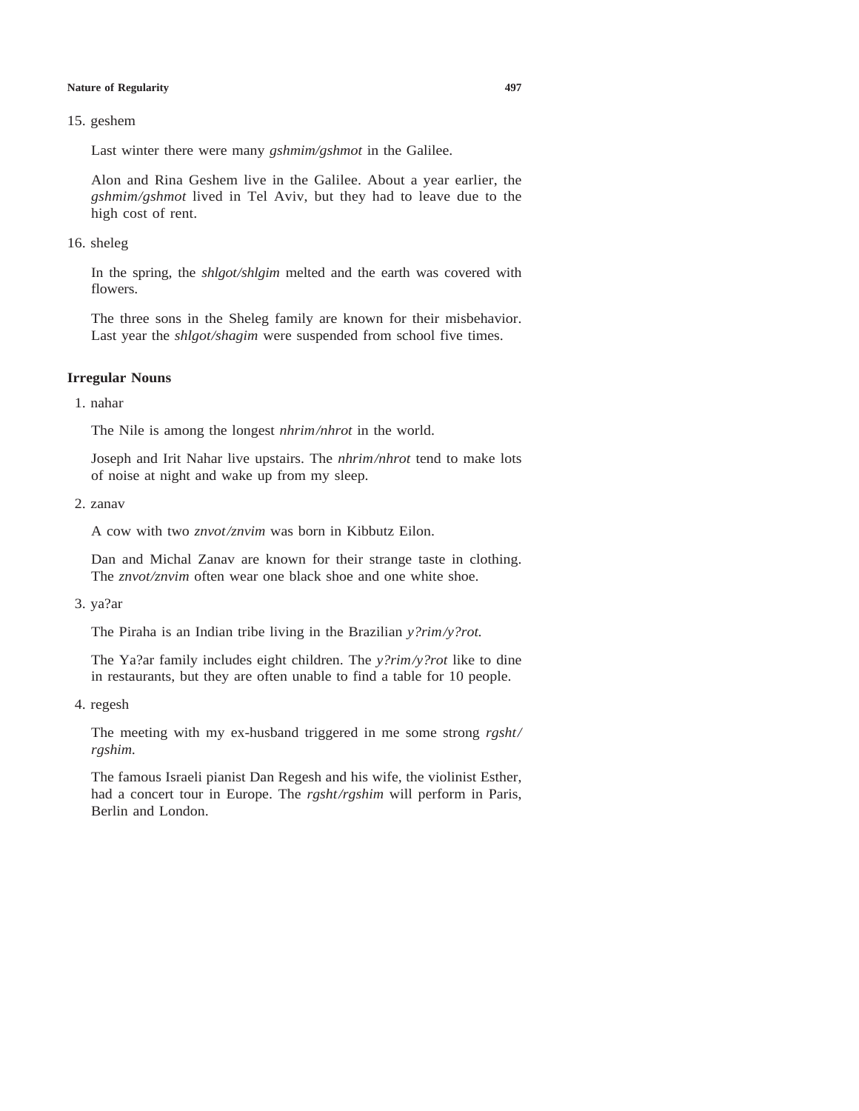#### 15. geshem

Last winter there were many *gshmim/gshmot* in the Galilee.

Alon and Rina Geshem live in the Galilee. About a year earlier, the *gshmim/gshmot* lived in Tel Aviv, but they had to leave due to the high cost of rent.

## 16. sheleg

In the spring, the *shlgot/shlgim* melted and the earth was covered with flowers.

The three sons in the Sheleg family are known for their misbehavior. Last year the *shlgot/shagim* were suspended from school five times.

#### **Irregular Nouns**

## 1. nahar

The Nile is among the longest *nhrim/nhrot* in the world.

Joseph and Irit Nahar live upstairs. The *nhrim/nhrot* tend to make lots of noise at night and wake up from my sleep.

## 2. zanav

A cow with two *znvot/znvim* was born in Kibbutz Eilon.

Dan and Michal Zanav are known for their strange taste in clothing. The *znvot/znvim* often wear one black shoe and one white shoe.

#### 3. ya?ar

The Piraha is an Indian tribe living in the Brazilian *y?rim/y?rot.*

The Ya?ar family includes eight children. The *y?rim/y?rot* like to dine in restaurants, but they are often unable to find a table for 10 people.

4. regesh

The meeting with my ex-husband triggered in me some strong *rgsht/ rgshim.*

The famous Israeli pianist Dan Regesh and his wife, the violinist Esther, had a concert tour in Europe. The *rgsht/rgshim* will perform in Paris, Berlin and London.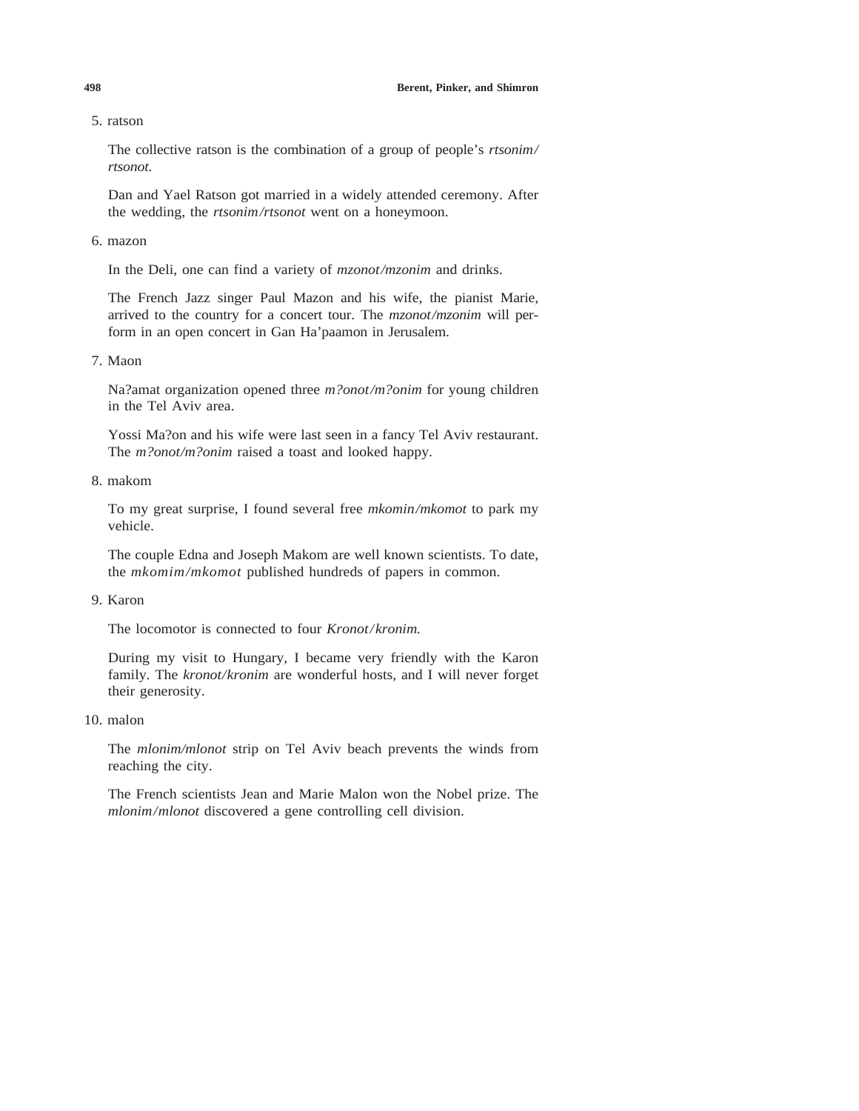#### **498 Berent, Pinker, and Shimron**

## 5. ratson

The collective ratson is the combination of a group of people's *rtsonim/ rtsonot.*

Dan and Yael Ratson got married in a widely attended ceremony. After the wedding, the *rtsonim/rtsonot* went on a honeymoon.

## 6. mazon

In the Deli, one can find a variety of *mzonot/mzonim* and drinks.

The French Jazz singer Paul Mazon and his wife, the pianist Marie, arrived to the country for a concert tour. The *mzonot/mzonim* will perform in an open concert in Gan Ha'paamon in Jerusalem.

## 7. Maon

Na?amat organization opened three *m?onot/m?onim* for young children in the Tel Aviv area.

Yossi Ma?on and his wife were last seen in a fancy Tel Aviv restaurant. The *m?onot/m?onim* raised a toast and looked happy.

## 8. makom

To my great surprise, I found several free *mkomin/mkomot* to park my vehicle.

The couple Edna and Joseph Makom are well known scientists. To date, the *mkomim/mkomot* published hundreds of papers in common.

## 9. Karon

The locomotor is connected to four *Kronot/kronim.*

During my visit to Hungary, I became very friendly with the Karon family. The *kronot/kronim* are wonderful hosts, and I will never forget their generosity.

## 10. malon

The *mlonim/mlonot* strip on Tel Aviv beach prevents the winds from reaching the city.

The French scientists Jean and Marie Malon won the Nobel prize. The *mlonim/mlonot* discovered a gene controlling cell division.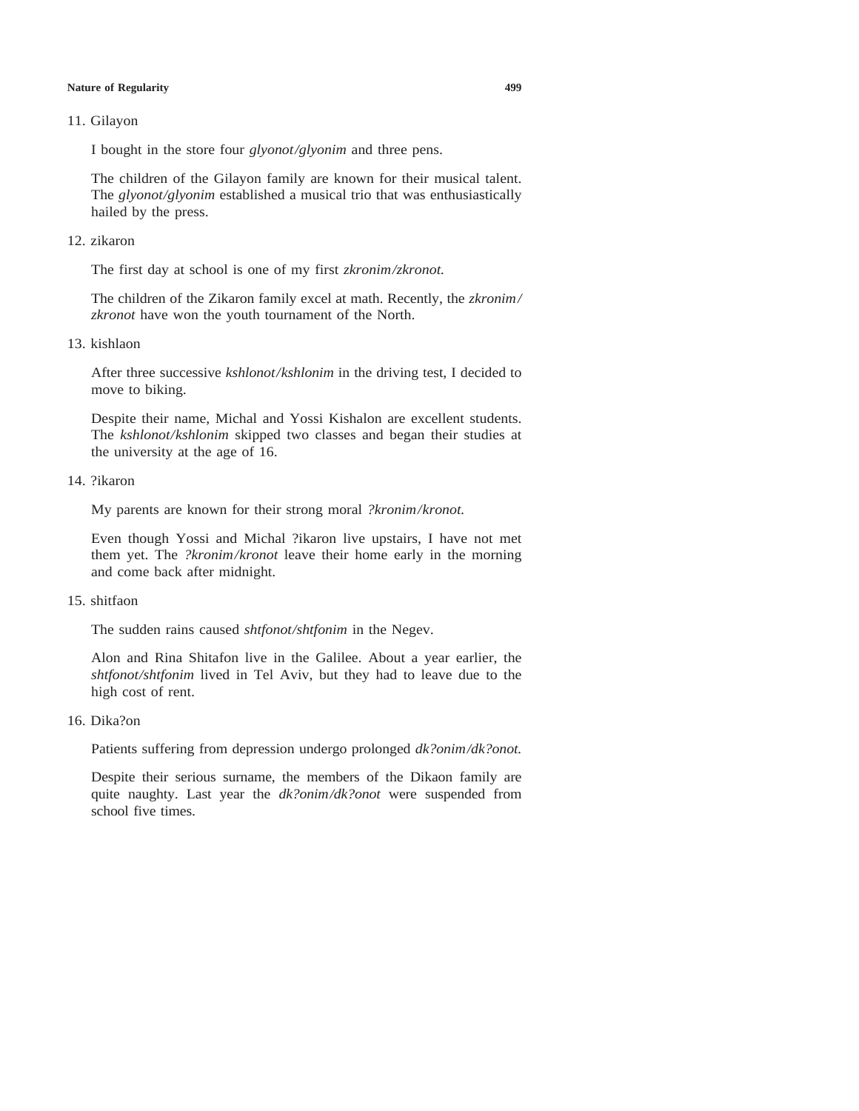## 11. Gilayon

I bought in the store four *glyonot/glyonim* and three pens.

The children of the Gilayon family are known for their musical talent. The *glyonot/glyonim* established a musical trio that was enthusiastically hailed by the press.

## 12. zikaron

The first day at school is one of my first *zkronim/zkronot.*

The children of the Zikaron family excel at math. Recently, the *zkronim/ zkronot* have won the youth tournament of the North.

## 13. kishlaon

After three successive *kshlonot/kshlonim* in the driving test, I decided to move to biking.

Despite their name, Michal and Yossi Kishalon are excellent students. The *kshlonot/kshlonim* skipped two classes and began their studies at the university at the age of 16.

## 14. ?ikaron

My parents are known for their strong moral *?kronim/kronot.*

Even though Yossi and Michal ?ikaron live upstairs, I have not met them yet. The *?kronim/kronot* leave their home early in the morning and come back after midnight.

## 15. shitfaon

The sudden rains caused *shtfonot/shtfonim* in the Negev.

Alon and Rina Shitafon live in the Galilee. About a year earlier, the *shtfonot/shtfonim* lived in Tel Aviv, but they had to leave due to the high cost of rent.

## 16. Dika?on

Patients suffering from depression undergo prolonged *dk?onim/dk?onot.*

Despite their serious surname, the members of the Dikaon family are quite naughty. Last year the *dk?onim/dk?onot* were suspended from school five times.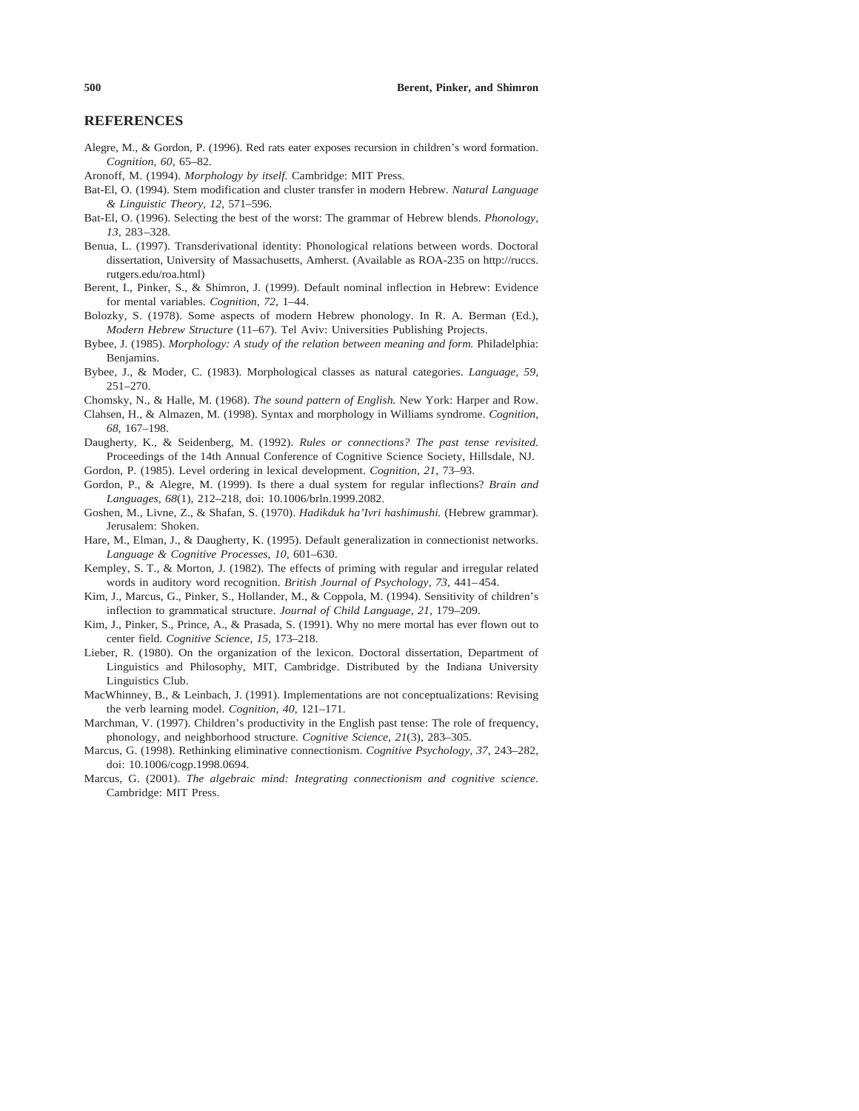#### **REFERENCES**

- Alegre, M., & Gordon, P. (1996). Red rats eater exposes recursion in children's word formation. *Cognition, 60,* 65–82.
- Aronoff, M. (1994). *Morphology by itself.* Cambridge: MIT Press.
- Bat-El, O. (1994). Stem modification and cluster transfer in modern Hebrew. *Natural Language & Linguistic Theory, 12,* 571–596.
- Bat-El, O. (1996). Selecting the best of the worst: The grammar of Hebrew blends. *Phonology, 13,* 283–328.
- Benua, L. (1997). Transderivational identity: Phonological relations between words. Doctoral dissertation, University of Massachusetts, Amherst. (Available as ROA-235 on http://ruccs. rutgers.edu/roa.html)
- Berent, I., Pinker, S., & Shimron, J. (1999). Default nominal inflection in Hebrew: Evidence for mental variables. *Cognition, 72,* 1–44.
- Bolozky, S. (1978). Some aspects of modern Hebrew phonology. In R. A. Berman (Ed.), *Modern Hebrew Structure* (11–67). Tel Aviv: Universities Publishing Projects.
- Bybee, J. (1985). *Morphology: A study of the relation between meaning and form.* Philadelphia: Benjamins.
- Bybee, J., & Moder, C. (1983). Morphological classes as natural categories. *Language, 59,* 251–270.

Chomsky, N., & Halle, M. (1968). *The sound pattern of English.* New York: Harper and Row.

- Clahsen, H., & Almazen, M. (1998). Syntax and morphology in Williams syndrome. *Cognition, 68,* 167–198.
- Daugherty, K., & Seidenberg, M. (1992). *Rules or connections? The past tense revisited.* Proceedings of the 14th Annual Conference of Cognitive Science Society, Hillsdale, NJ. Gordon, P. (1985). Level ordering in lexical development. *Cognition, 21,* 73–93.
- 
- Gordon, P., & Alegre, M. (1999). Is there a dual system for regular inflections? *Brain and Languages, 68*(1), 212–218, doi: 10.1006/brln.1999.2082.
- Goshen, M., Livne, Z., & Shafan, S. (1970). *Hadikduk ha'Ivri hashimushi.* (Hebrew grammar). Jerusalem: Shoken.
- Hare, M., Elman, J., & Daugherty, K. (1995). Default generalization in connectionist networks. *Language & Cognitive Processes, 10,* 601–630.
- Kempley, S. T., & Morton, J. (1982). The effects of priming with regular and irregular related words in auditory word recognition. *British Journal of Psychology, 73,* 441–454.
- Kim, J., Marcus, G., Pinker, S., Hollander, M., & Coppola, M. (1994). Sensitivity of children's inflection to grammatical structure. *Journal of Child Language, 21,* 179–209.
- Kim, J., Pinker, S., Prince, A., & Prasada, S. (1991). Why no mere mortal has ever flown out to center field. *Cognitive Science, 15,* 173–218.
- Lieber, R. (1980). On the organization of the lexicon. Doctoral dissertation, Department of Linguistics and Philosophy, MIT, Cambridge. Distributed by the Indiana University Linguistics Club.
- MacWhinney, B., & Leinbach, J. (1991). Implementations are not conceptualizations: Revising the verb learning model. *Cognition, 40,* 121–171.
- Marchman, V. (1997). Children's productivity in the English past tense: The role of frequency, phonology, and neighborhood structure. *Cognitive Science, 21*(3), 283–305.
- Marcus, G. (1998). Rethinking eliminative connectionism. *Cognitive Psychology, 37,* 243–282, doi: 10.1006/cogp.1998.0694.
- Marcus, G. (2001). *The algebraic mind: Integrating connectionism and cognitive science.* Cambridge: MIT Press.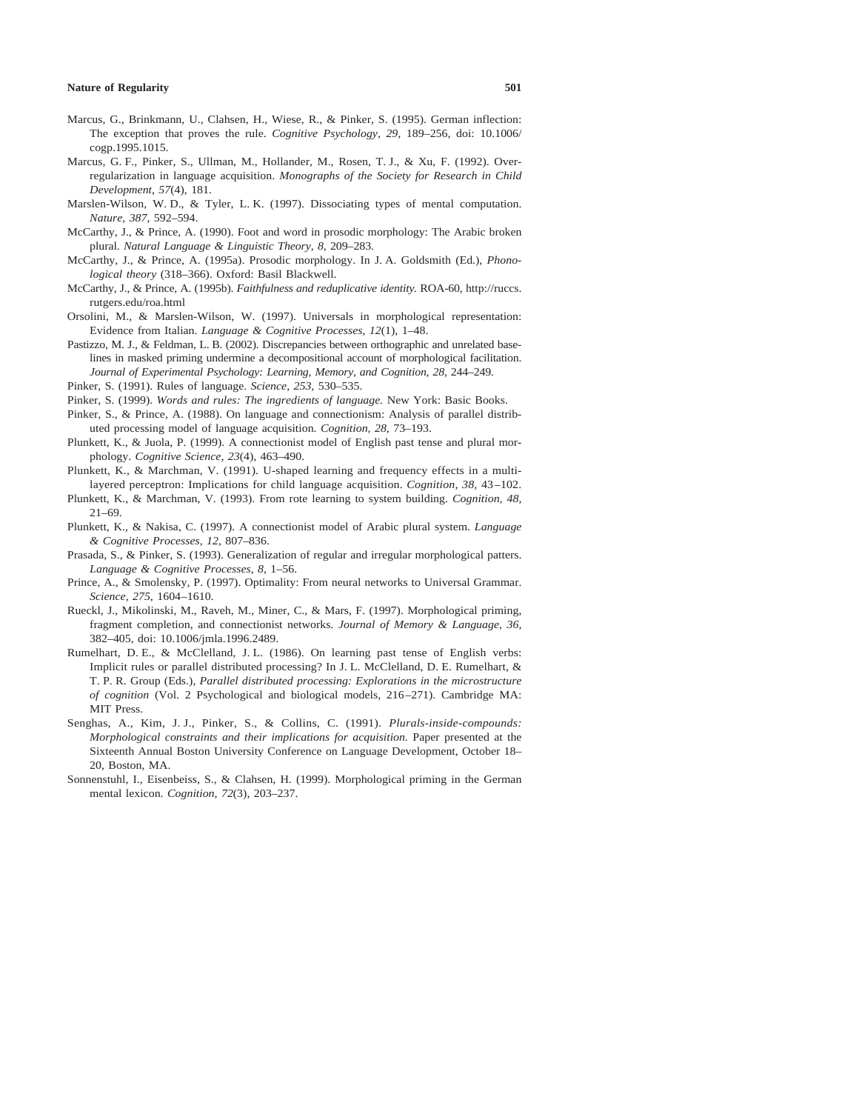- Marcus, G., Brinkmann, U., Clahsen, H., Wiese, R., & Pinker, S. (1995). German inflection: The exception that proves the rule. *Cognitive Psychology, 29,* 189–256, doi: 10.1006/ cogp.1995.1015.
- Marcus, G. F., Pinker, S., Ullman, M., Hollander, M., Rosen, T. J., & Xu, F. (1992). Overregularization in language acquisition. *Monographs of the Society for Research in Child Development, 57*(4), 181.
- Marslen-Wilson, W. D., & Tyler, L. K. (1997). Dissociating types of mental computation. *Nature, 387,* 592–594.
- McCarthy, J., & Prince, A. (1990). Foot and word in prosodic morphology: The Arabic broken plural. *Natural Language & Linguistic Theory, 8,* 209–283.
- McCarthy, J., & Prince, A. (1995a). Prosodic morphology. In J. A. Goldsmith (Ed.), *Phonological theory* (318–366). Oxford: Basil Blackwell.
- McCarthy, J., & Prince, A. (1995b). *Faithfulness and reduplicative identity.* ROA-60, http://ruccs. rutgers.edu/roa.html
- Orsolini, M., & Marslen-Wilson, W. (1997). Universals in morphological representation: Evidence from Italian. *Language & Cognitive Processes, 12*(1), 1–48.
- Pastizzo, M. J., & Feldman, L. B. (2002). Discrepancies between orthographic and unrelated baselines in masked priming undermine a decompositional account of morphological facilitation. *Journal of Experimental Psychology: Learning, Memory, and Cognition, 28, 244–249.*
- Pinker, S. (1991). Rules of language. *Science, 253,* 530–535.
- Pinker, S. (1999). *Words and rules: The ingredients of language.* New York: Basic Books.
- Pinker, S., & Prince, A. (1988). On language and connectionism: Analysis of parallel distributed processing model of language acquisition. *Cognition, 28,* 73–193.
- Plunkett, K., & Juola, P. (1999). A connectionist model of English past tense and plural morphology. *Cognitive Science, 23*(4), 463–490.
- Plunkett, K., & Marchman, V. (1991). U-shaped learning and frequency effects in a multilayered perceptron: Implications for child language acquisition. *Cognition, 38,* 43–102.
- Plunkett, K., & Marchman, V. (1993). From rote learning to system building. *Cognition, 48,* 21–69.
- Plunkett, K., & Nakisa, C. (1997). A connectionist model of Arabic plural system. *Language & Cognitive Processes, 12,* 807–836.
- Prasada, S., & Pinker, S. (1993). Generalization of regular and irregular morphological patters. *Language & Cognitive Processes, 8,* 1–56.
- Prince, A., & Smolensky, P. (1997). Optimality: From neural networks to Universal Grammar. *Science, 275,* 1604–1610.
- Rueckl, J., Mikolinski, M., Raveh, M., Miner, C., & Mars, F. (1997). Morphological priming, fragment completion, and connectionist networks. *Journal of Memory & Language, 36,* 382–405, doi: 10.1006/jmla.1996.2489.
- Rumelhart, D. E., & McClelland, J. L. (1986). On learning past tense of English verbs: Implicit rules or parallel distributed processing? In J. L. McClelland, D. E. Rumelhart, & T. P. R. Group (Eds.), *Parallel distributed processing: Explorations in the microstructure of cognition* (Vol. 2 Psychological and biological models, 216–271). Cambridge MA: MIT Press.
- Senghas, A., Kim, J. J., Pinker, S., & Collins, C. (1991). *Plurals-inside-compounds: Morphological constraints and their implications for acquisition.* Paper presented at the Sixteenth Annual Boston University Conference on Language Development, October 18– 20, Boston, MA.
- Sonnenstuhl, I., Eisenbeiss, S., & Clahsen, H. (1999). Morphological priming in the German mental lexicon. *Cognition, 72*(3), 203–237.